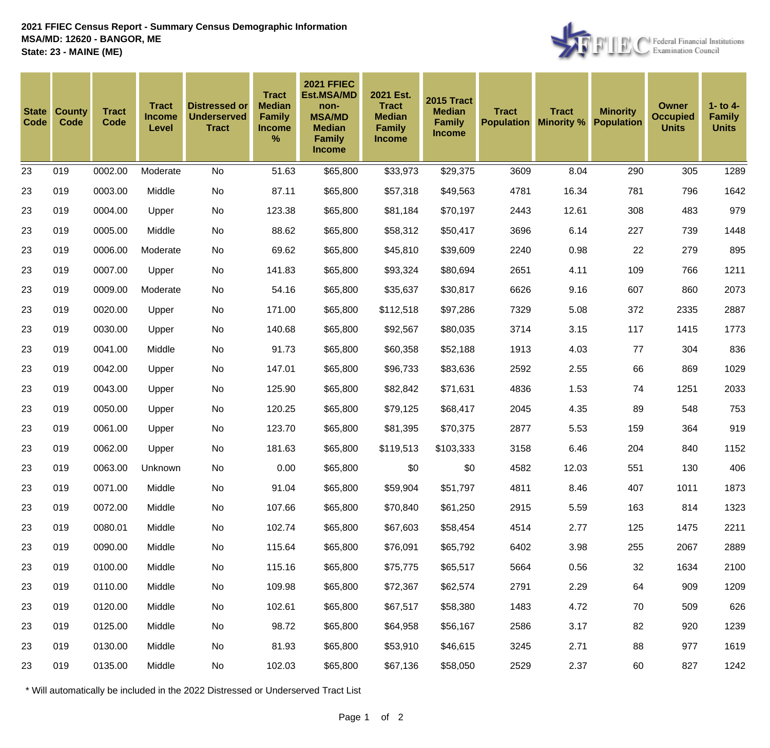

| <b>State</b><br>Code | <b>County</b><br>Code | <b>Tract</b><br>Code | <b>Tract</b><br><b>Income</b><br>Level | <b>Distressed or</b><br><b>Underserved</b><br><b>Tract</b> | <b>Tract</b><br><b>Median</b><br><b>Family</b><br><b>Income</b><br>$\frac{9}{6}$ | <b>2021 FFIEC</b><br><b>Est.MSA/MD</b><br>non-<br><b>MSA/MD</b><br><b>Median</b><br><b>Family</b><br><b>Income</b> | 2021 Est.<br><b>Tract</b><br><b>Median</b><br><b>Family</b><br><b>Income</b> | <b>2015 Tract</b><br><b>Median</b><br><b>Family</b><br><b>Income</b> | <b>Tract</b><br><b>Population</b> | <b>Tract</b><br><b>Minority %</b> | <b>Minority</b><br><b>Population</b> | <b>Owner</b><br><b>Occupied</b><br><b>Units</b> | $1 -$ to $4 -$<br><b>Family</b><br><b>Units</b> |
|----------------------|-----------------------|----------------------|----------------------------------------|------------------------------------------------------------|----------------------------------------------------------------------------------|--------------------------------------------------------------------------------------------------------------------|------------------------------------------------------------------------------|----------------------------------------------------------------------|-----------------------------------|-----------------------------------|--------------------------------------|-------------------------------------------------|-------------------------------------------------|
| 23                   | 019                   | 0002.00              | Moderate                               | No                                                         | 51.63                                                                            | \$65,800                                                                                                           | \$33,973                                                                     | \$29,375                                                             | 3609                              | 8.04                              | 290                                  | 305                                             | 1289                                            |
| 23                   | 019                   | 0003.00              | Middle                                 | No                                                         | 87.11                                                                            | \$65,800                                                                                                           | \$57,318                                                                     | \$49,563                                                             | 4781                              | 16.34                             | 781                                  | 796                                             | 1642                                            |
| 23                   | 019                   | 0004.00              | Upper                                  | No                                                         | 123.38                                                                           | \$65,800                                                                                                           | \$81,184                                                                     | \$70,197                                                             | 2443                              | 12.61                             | 308                                  | 483                                             | 979                                             |
| 23                   | 019                   | 0005.00              | Middle                                 | No                                                         | 88.62                                                                            | \$65,800                                                                                                           | \$58,312                                                                     | \$50,417                                                             | 3696                              | 6.14                              | 227                                  | 739                                             | 1448                                            |
| 23                   | 019                   | 0006.00              | Moderate                               | No                                                         | 69.62                                                                            | \$65,800                                                                                                           | \$45,810                                                                     | \$39,609                                                             | 2240                              | 0.98                              | 22                                   | 279                                             | 895                                             |
| 23                   | 019                   | 0007.00              | Upper                                  | No                                                         | 141.83                                                                           | \$65,800                                                                                                           | \$93,324                                                                     | \$80,694                                                             | 2651                              | 4.11                              | 109                                  | 766                                             | 1211                                            |
| 23                   | 019                   | 0009.00              | Moderate                               | No                                                         | 54.16                                                                            | \$65,800                                                                                                           | \$35,637                                                                     | \$30,817                                                             | 6626                              | 9.16                              | 607                                  | 860                                             | 2073                                            |
| 23                   | 019                   | 0020.00              | Upper                                  | No                                                         | 171.00                                                                           | \$65,800                                                                                                           | \$112,518                                                                    | \$97,286                                                             | 7329                              | 5.08                              | 372                                  | 2335                                            | 2887                                            |
| 23                   | 019                   | 0030.00              | Upper                                  | No                                                         | 140.68                                                                           | \$65,800                                                                                                           | \$92,567                                                                     | \$80,035                                                             | 3714                              | 3.15                              | 117                                  | 1415                                            | 1773                                            |
| 23                   | 019                   | 0041.00              | Middle                                 | No                                                         | 91.73                                                                            | \$65,800                                                                                                           | \$60,358                                                                     | \$52,188                                                             | 1913                              | 4.03                              | 77                                   | 304                                             | 836                                             |
| 23                   | 019                   | 0042.00              | Upper                                  | No                                                         | 147.01                                                                           | \$65,800                                                                                                           | \$96,733                                                                     | \$83,636                                                             | 2592                              | 2.55                              | 66                                   | 869                                             | 1029                                            |
| 23                   | 019                   | 0043.00              | Upper                                  | No                                                         | 125.90                                                                           | \$65,800                                                                                                           | \$82,842                                                                     | \$71,631                                                             | 4836                              | 1.53                              | 74                                   | 1251                                            | 2033                                            |
| 23                   | 019                   | 0050.00              | Upper                                  | No                                                         | 120.25                                                                           | \$65,800                                                                                                           | \$79,125                                                                     | \$68,417                                                             | 2045                              | 4.35                              | 89                                   | 548                                             | 753                                             |
| 23                   | 019                   | 0061.00              | Upper                                  | No                                                         | 123.70                                                                           | \$65,800                                                                                                           | \$81,395                                                                     | \$70,375                                                             | 2877                              | 5.53                              | 159                                  | 364                                             | 919                                             |
| 23                   | 019                   | 0062.00              | Upper                                  | No                                                         | 181.63                                                                           | \$65,800                                                                                                           | \$119,513                                                                    | \$103,333                                                            | 3158                              | 6.46                              | 204                                  | 840                                             | 1152                                            |
| 23                   | 019                   | 0063.00              | Unknown                                | No                                                         | 0.00                                                                             | \$65,800                                                                                                           | \$0                                                                          | \$0                                                                  | 4582                              | 12.03                             | 551                                  | 130                                             | 406                                             |
| 23                   | 019                   | 0071.00              | Middle                                 | No                                                         | 91.04                                                                            | \$65,800                                                                                                           | \$59,904                                                                     | \$51,797                                                             | 4811                              | 8.46                              | 407                                  | 1011                                            | 1873                                            |
| 23                   | 019                   | 0072.00              | Middle                                 | No                                                         | 107.66                                                                           | \$65,800                                                                                                           | \$70,840                                                                     | \$61,250                                                             | 2915                              | 5.59                              | 163                                  | 814                                             | 1323                                            |
| 23                   | 019                   | 0080.01              | Middle                                 | No                                                         | 102.74                                                                           | \$65,800                                                                                                           | \$67,603                                                                     | \$58,454                                                             | 4514                              | 2.77                              | 125                                  | 1475                                            | 2211                                            |
| 23                   | 019                   | 0090.00              | Middle                                 | No                                                         | 115.64                                                                           | \$65,800                                                                                                           | \$76,091                                                                     | \$65,792                                                             | 6402                              | 3.98                              | 255                                  | 2067                                            | 2889                                            |
| 23                   | 019                   | 0100.00              | Middle                                 | No                                                         | 115.16                                                                           | \$65,800                                                                                                           | \$75,775                                                                     | \$65,517                                                             | 5664                              | 0.56                              | 32                                   | 1634                                            | 2100                                            |
| 23                   | 019                   | 0110.00              | Middle                                 | No                                                         | 109.98                                                                           | \$65,800                                                                                                           | \$72,367                                                                     | \$62,574                                                             | 2791                              | 2.29                              | 64                                   | 909                                             | 1209                                            |
| 23                   | 019                   | 0120.00              | Middle                                 | No                                                         | 102.61                                                                           | \$65,800                                                                                                           | \$67,517                                                                     | \$58,380                                                             | 1483                              | 4.72                              | 70                                   | 509                                             | 626                                             |
| 23                   | 019                   | 0125.00              | Middle                                 | No                                                         | 98.72                                                                            | \$65,800                                                                                                           | \$64,958                                                                     | \$56,167                                                             | 2586                              | 3.17                              | 82                                   | 920                                             | 1239                                            |
| 23                   | 019                   | 0130.00              | Middle                                 | No                                                         | 81.93                                                                            | \$65,800                                                                                                           | \$53,910                                                                     | \$46,615                                                             | 3245                              | 2.71                              | 88                                   | 977                                             | 1619                                            |
| 23                   | 019                   | 0135.00              | Middle                                 | No                                                         | 102.03                                                                           | \$65,800                                                                                                           | \$67,136                                                                     | \$58,050                                                             | 2529                              | 2.37                              | 60                                   | 827                                             | 1242                                            |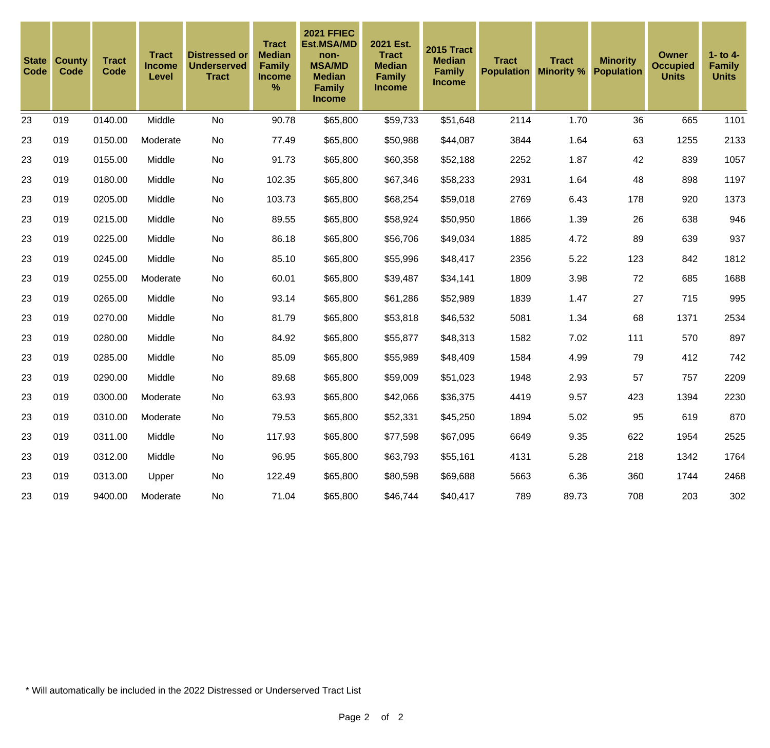| <b>State</b><br><b>Code</b> | <b>County</b><br>Code | <b>Tract</b><br>Code | <b>Tract</b><br><b>Income</b><br>Level | Distressed or<br><b>Underserved</b><br><b>Tract</b> | <b>Tract</b><br><b>Median</b><br>Family<br><b>Income</b><br>% | <b>2021 FFIEC</b><br><b>Est.MSA/MD</b><br>non-<br><b>MSA/MD</b><br><b>Median</b><br><b>Family</b><br><b>Income</b> | 2021 Est.<br><b>Tract</b><br><b>Median</b><br><b>Family</b><br>Income | <b>2015 Tract</b><br><b>Median</b><br><b>Family</b><br><b>Income</b> | <b>Tract</b> | Tract<br><b>Population Minority %</b> | <b>Minority</b><br><b>Population</b> | <b>Owner</b><br><b>Occupied</b><br><b>Units</b> | 1- to $4-$<br><b>Family</b><br><b>Units</b> |
|-----------------------------|-----------------------|----------------------|----------------------------------------|-----------------------------------------------------|---------------------------------------------------------------|--------------------------------------------------------------------------------------------------------------------|-----------------------------------------------------------------------|----------------------------------------------------------------------|--------------|---------------------------------------|--------------------------------------|-------------------------------------------------|---------------------------------------------|
| 23                          | 019                   | 0140.00              | Middle                                 | <b>No</b>                                           | 90.78                                                         | \$65,800                                                                                                           | \$59,733                                                              | \$51,648                                                             | 2114         | 1.70                                  | 36                                   | 665                                             | 1101                                        |
| 23                          | 019                   | 0150.00              | Moderate                               | <b>No</b>                                           | 77.49                                                         | \$65,800                                                                                                           | \$50,988                                                              | \$44,087                                                             | 3844         | 1.64                                  | 63                                   | 1255                                            | 2133                                        |
| 23                          | 019                   | 0155.00              | Middle                                 | <b>No</b>                                           | 91.73                                                         | \$65,800                                                                                                           | \$60,358                                                              | \$52,188                                                             | 2252         | 1.87                                  | 42                                   | 839                                             | 1057                                        |
| 23                          | 019                   | 0180.00              | Middle                                 | No                                                  | 102.35                                                        | \$65,800                                                                                                           | \$67,346                                                              | \$58,233                                                             | 2931         | 1.64                                  | 48                                   | 898                                             | 1197                                        |
| 23                          | 019                   | 0205.00              | Middle                                 | <b>No</b>                                           | 103.73                                                        | \$65,800                                                                                                           | \$68,254                                                              | \$59,018                                                             | 2769         | 6.43                                  | 178                                  | 920                                             | 1373                                        |
| 23                          | 019                   | 0215.00              | Middle                                 | No                                                  | 89.55                                                         | \$65,800                                                                                                           | \$58,924                                                              | \$50,950                                                             | 1866         | 1.39                                  | 26                                   | 638                                             | 946                                         |
| 23                          | 019                   | 0225.00              | Middle                                 | <b>No</b>                                           | 86.18                                                         | \$65,800                                                                                                           | \$56,706                                                              | \$49,034                                                             | 1885         | 4.72                                  | 89                                   | 639                                             | 937                                         |
| 23                          | 019                   | 0245.00              | Middle                                 | No                                                  | 85.10                                                         | \$65,800                                                                                                           | \$55,996                                                              | \$48,417                                                             | 2356         | 5.22                                  | 123                                  | 842                                             | 1812                                        |
| 23                          | 019                   | 0255.00              | Moderate                               | No                                                  | 60.01                                                         | \$65,800                                                                                                           | \$39,487                                                              | \$34,141                                                             | 1809         | 3.98                                  | 72                                   | 685                                             | 1688                                        |
| 23                          | 019                   | 0265.00              | Middle                                 | No                                                  | 93.14                                                         | \$65,800                                                                                                           | \$61,286                                                              | \$52,989                                                             | 1839         | 1.47                                  | 27                                   | 715                                             | 995                                         |
| 23                          | 019                   | 0270.00              | Middle                                 | <b>No</b>                                           | 81.79                                                         | \$65,800                                                                                                           | \$53,818                                                              | \$46,532                                                             | 5081         | 1.34                                  | 68                                   | 1371                                            | 2534                                        |
| 23                          | 019                   | 0280.00              | Middle                                 | <b>No</b>                                           | 84.92                                                         | \$65,800                                                                                                           | \$55,877                                                              | \$48,313                                                             | 1582         | 7.02                                  | 111                                  | 570                                             | 897                                         |
| 23                          | 019                   | 0285.00              | Middle                                 | No                                                  | 85.09                                                         | \$65,800                                                                                                           | \$55,989                                                              | \$48,409                                                             | 1584         | 4.99                                  | 79                                   | 412                                             | 742                                         |
| 23                          | 019                   | 0290.00              | Middle                                 | <b>No</b>                                           | 89.68                                                         | \$65,800                                                                                                           | \$59,009                                                              | \$51,023                                                             | 1948         | 2.93                                  | 57                                   | 757                                             | 2209                                        |
| 23                          | 019                   | 0300.00              | Moderate                               | <b>No</b>                                           | 63.93                                                         | \$65,800                                                                                                           | \$42,066                                                              | \$36,375                                                             | 4419         | 9.57                                  | 423                                  | 1394                                            | 2230                                        |
| 23                          | 019                   | 0310.00              | Moderate                               | No                                                  | 79.53                                                         | \$65,800                                                                                                           | \$52,331                                                              | \$45,250                                                             | 1894         | 5.02                                  | 95                                   | 619                                             | 870                                         |
| 23                          | 019                   | 0311.00              | Middle                                 | <b>No</b>                                           | 117.93                                                        | \$65,800                                                                                                           | \$77,598                                                              | \$67,095                                                             | 6649         | 9.35                                  | 622                                  | 1954                                            | 2525                                        |
| 23                          | 019                   | 0312.00              | Middle                                 | No                                                  | 96.95                                                         | \$65,800                                                                                                           | \$63,793                                                              | \$55,161                                                             | 4131         | 5.28                                  | 218                                  | 1342                                            | 1764                                        |
| 23                          | 019                   | 0313.00              | Upper                                  | <b>No</b>                                           | 122.49                                                        | \$65,800                                                                                                           | \$80,598                                                              | \$69,688                                                             | 5663         | 6.36                                  | 360                                  | 1744                                            | 2468                                        |
| 23                          | 019                   | 9400.00              | Moderate                               | <b>No</b>                                           | 71.04                                                         | \$65,800                                                                                                           | \$46,744                                                              | \$40,417                                                             | 789          | 89.73                                 | 708                                  | 203                                             | 302                                         |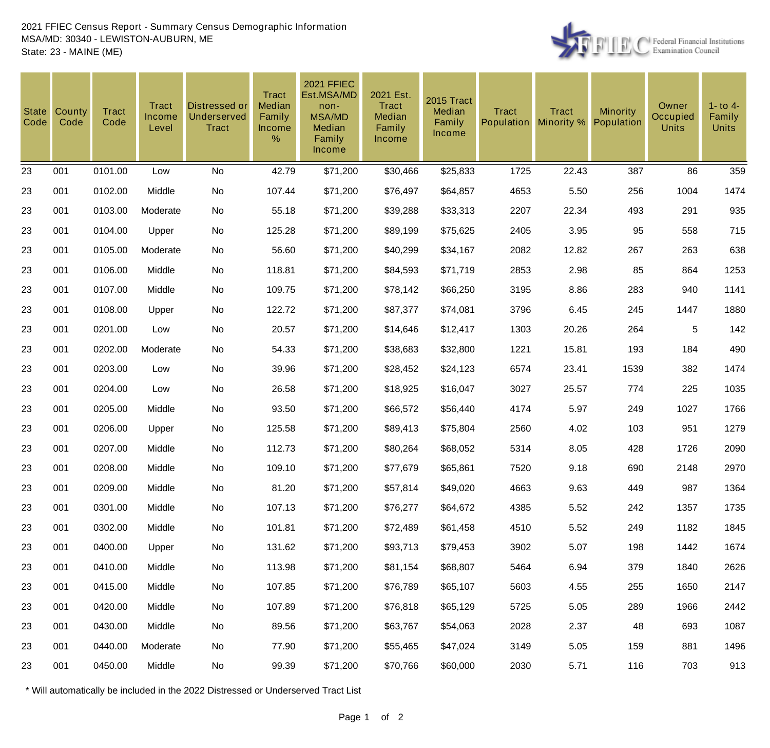

| <b>State</b><br>Code | County<br>Code | <b>Tract</b><br>Code | <b>Tract</b><br><b>Income</b><br>Level | Distressed or<br>Underserved<br><b>Tract</b> | <b>Tract</b><br>Median<br>Family<br>Income<br>% | <b>2021 FFIEC</b><br>Est.MSA/MD<br>non-<br><b>MSA/MD</b><br>Median<br>Family<br>Income | 2021 Est.<br>Tract<br>Median<br>Family<br><b>Income</b> | 2015 Tract<br>Median<br>Family<br><b>Income</b> | <b>Tract</b><br>Population | <b>Tract</b><br>Minority % | <b>Minority</b><br>Population | Owner<br>Occupied<br><b>Units</b> | $1 -$ to $4 -$<br>Family<br><b>Units</b> |
|----------------------|----------------|----------------------|----------------------------------------|----------------------------------------------|-------------------------------------------------|----------------------------------------------------------------------------------------|---------------------------------------------------------|-------------------------------------------------|----------------------------|----------------------------|-------------------------------|-----------------------------------|------------------------------------------|
| 23                   | 001            | 0101.00              | Low                                    | No                                           | 42.79                                           | \$71,200                                                                               | \$30,466                                                | \$25,833                                        | 1725                       | 22.43                      | 387                           | 86                                | 359                                      |
| 23                   | 001            | 0102.00              | Middle                                 | No                                           | 107.44                                          | \$71,200                                                                               | \$76,497                                                | \$64,857                                        | 4653                       | 5.50                       | 256                           | 1004                              | 1474                                     |
| 23                   | 001            | 0103.00              | Moderate                               | No                                           | 55.18                                           | \$71,200                                                                               | \$39,288                                                | \$33,313                                        | 2207                       | 22.34                      | 493                           | 291                               | 935                                      |
| 23                   | 001            | 0104.00              | Upper                                  | No                                           | 125.28                                          | \$71,200                                                                               | \$89,199                                                | \$75,625                                        | 2405                       | 3.95                       | 95                            | 558                               | 715                                      |
| 23                   | 001            | 0105.00              | Moderate                               | No                                           | 56.60                                           | \$71,200                                                                               | \$40,299                                                | \$34,167                                        | 2082                       | 12.82                      | 267                           | 263                               | 638                                      |
| 23                   | 001            | 0106.00              | Middle                                 | No                                           | 118.81                                          | \$71,200                                                                               | \$84,593                                                | \$71,719                                        | 2853                       | 2.98                       | 85                            | 864                               | 1253                                     |
| 23                   | 001            | 0107.00              | Middle                                 | No                                           | 109.75                                          | \$71,200                                                                               | \$78,142                                                | \$66,250                                        | 3195                       | 8.86                       | 283                           | 940                               | 1141                                     |
| 23                   | 001            | 0108.00              | Upper                                  | No                                           | 122.72                                          | \$71,200                                                                               | \$87,377                                                | \$74,081                                        | 3796                       | 6.45                       | 245                           | 1447                              | 1880                                     |
| 23                   | 001            | 0201.00              | Low                                    | No                                           | 20.57                                           | \$71,200                                                                               | \$14,646                                                | \$12,417                                        | 1303                       | 20.26                      | 264                           | 5                                 | 142                                      |
| 23                   | 001            | 0202.00              | Moderate                               | No                                           | 54.33                                           | \$71,200                                                                               | \$38,683                                                | \$32,800                                        | 1221                       | 15.81                      | 193                           | 184                               | 490                                      |
| 23                   | 001            | 0203.00              | Low                                    | No                                           | 39.96                                           | \$71,200                                                                               | \$28,452                                                | \$24,123                                        | 6574                       | 23.41                      | 1539                          | 382                               | 1474                                     |
| 23                   | 001            | 0204.00              | Low                                    | No                                           | 26.58                                           | \$71,200                                                                               | \$18,925                                                | \$16,047                                        | 3027                       | 25.57                      | 774                           | 225                               | 1035                                     |
| 23                   | 001            | 0205.00              | Middle                                 | No                                           | 93.50                                           | \$71,200                                                                               | \$66,572                                                | \$56,440                                        | 4174                       | 5.97                       | 249                           | 1027                              | 1766                                     |
| 23                   | 001            | 0206.00              | Upper                                  | No                                           | 125.58                                          | \$71,200                                                                               | \$89,413                                                | \$75,804                                        | 2560                       | 4.02                       | 103                           | 951                               | 1279                                     |
| 23                   | 001            | 0207.00              | Middle                                 | No                                           | 112.73                                          | \$71,200                                                                               | \$80,264                                                | \$68,052                                        | 5314                       | 8.05                       | 428                           | 1726                              | 2090                                     |
| 23                   | 001            | 0208.00              | Middle                                 | No                                           | 109.10                                          | \$71,200                                                                               | \$77,679                                                | \$65,861                                        | 7520                       | 9.18                       | 690                           | 2148                              | 2970                                     |
| 23                   | 001            | 0209.00              | Middle                                 | No                                           | 81.20                                           | \$71,200                                                                               | \$57,814                                                | \$49,020                                        | 4663                       | 9.63                       | 449                           | 987                               | 1364                                     |
| 23                   | 001            | 0301.00              | Middle                                 | No                                           | 107.13                                          | \$71,200                                                                               | \$76,277                                                | \$64,672                                        | 4385                       | 5.52                       | 242                           | 1357                              | 1735                                     |
| 23                   | 001            | 0302.00              | Middle                                 | No                                           | 101.81                                          | \$71,200                                                                               | \$72,489                                                | \$61,458                                        | 4510                       | 5.52                       | 249                           | 1182                              | 1845                                     |
| 23                   | 001            | 0400.00              | Upper                                  | No                                           | 131.62                                          | \$71,200                                                                               | \$93,713                                                | \$79,453                                        | 3902                       | 5.07                       | 198                           | 1442                              | 1674                                     |
| 23                   | 001            | 0410.00              | Middle                                 | No                                           | 113.98                                          | \$71,200                                                                               | \$81,154                                                | \$68,807                                        | 5464                       | 6.94                       | 379                           | 1840                              | 2626                                     |
| 23                   | 001            | 0415.00              | Middle                                 | No                                           | 107.85                                          | \$71,200                                                                               | \$76,789                                                | \$65,107                                        | 5603                       | 4.55                       | 255                           | 1650                              | 2147                                     |
| 23                   | 001            | 0420.00              | Middle                                 | No                                           | 107.89                                          | \$71,200                                                                               | \$76,818                                                | \$65,129                                        | 5725                       | 5.05                       | 289                           | 1966                              | 2442                                     |
| 23                   | 001            | 0430.00              | Middle                                 | No                                           | 89.56                                           | \$71,200                                                                               | \$63,767                                                | \$54,063                                        | 2028                       | 2.37                       | 48                            | 693                               | 1087                                     |
| 23                   | 001            | 0440.00              | Moderate                               | No                                           | 77.90                                           | \$71,200                                                                               | \$55,465                                                | \$47,024                                        | 3149                       | 5.05                       | 159                           | 881                               | 1496                                     |
| 23                   | 001            | 0450.00              | Middle                                 | No                                           | 99.39                                           | \$71,200                                                                               | \$70,766                                                | \$60,000                                        | 2030                       | 5.71                       | 116                           | 703                               | 913                                      |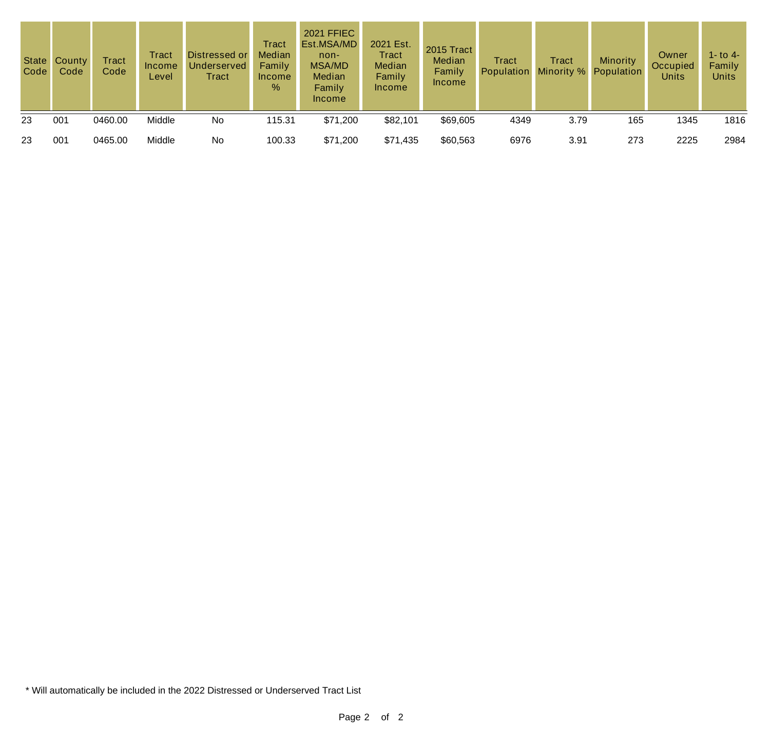| Code | State County<br>Code | <b>Tract</b><br>Code | Tract<br>Income<br>Level | Distressed or<br><b>Underserved</b><br>Tract | Tract<br>Median<br>Family<br>Income<br>$\%$ | <b>2021 FFIEC</b><br>Est.MSA/MD<br>$non-$<br>MSA/MD<br><b>Median</b><br>Family<br><b>Income</b> | 2021 Est.<br><b>Tract</b><br>Median<br>Family<br><b>Income</b> | 2015 Tract<br>Median<br>Family<br><b>Income</b> | <b>Tract</b><br>Population | Tract<br>Minority % | Minority<br>Population | Owner<br>Occupied<br><b>Units</b> | 1- to 4-<br>Family<br><b>Units</b> |
|------|----------------------|----------------------|--------------------------|----------------------------------------------|---------------------------------------------|-------------------------------------------------------------------------------------------------|----------------------------------------------------------------|-------------------------------------------------|----------------------------|---------------------|------------------------|-----------------------------------|------------------------------------|
| 23   | 001                  | 0460.00              | Middle                   | No                                           | 115.31                                      | \$71,200                                                                                        | \$82,101                                                       | \$69,605                                        | 4349                       | 3.79                | 165                    | 1345                              | 1816                               |
| 23   | 001                  | 0465.00              | Middle                   | No                                           | 100.33                                      | \$71,200                                                                                        | \$71,435                                                       | \$60,563                                        | 6976                       | 3.91                | 273                    | 2225                              | 2984                               |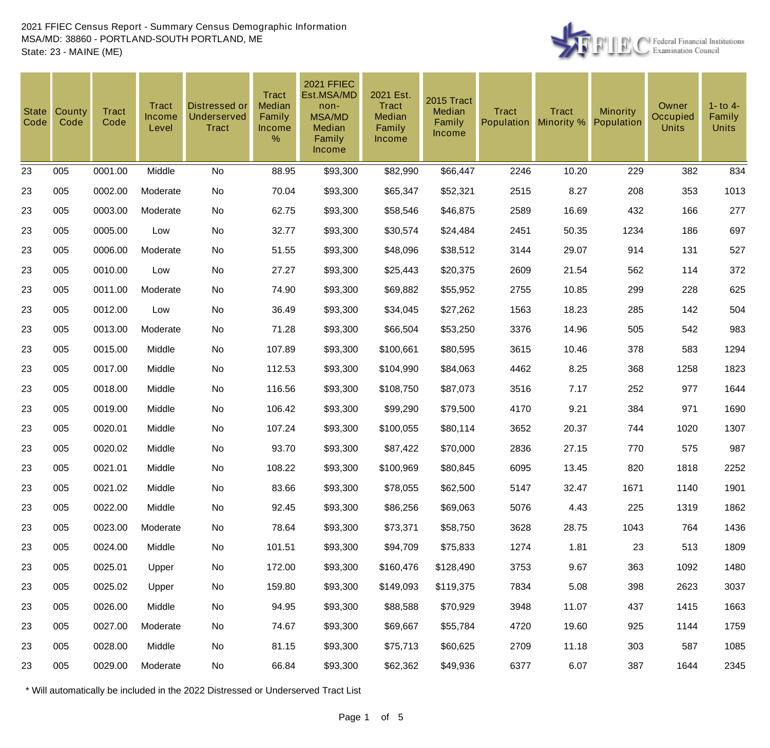

| <b>State</b><br>Code | County<br>Code | <b>Tract</b><br>Code | Tract<br>Income<br>Level | <b>Distressed or</b><br>Underserved<br><b>Tract</b> | <b>Tract</b><br>Median<br>Family<br><b>Income</b><br>% | <b>2021 FFIEC</b><br>Est.MSA/MD<br>non-<br><b>MSA/MD</b><br>Median<br>Family<br><b>Income</b> | 2021 Est.<br>Tract<br>Median<br>Family<br>Income | 2015 Tract<br>Median<br>Family<br>Income | <b>Tract</b><br>Population | <b>Tract</b><br>Minority % | <b>Minority</b><br>Population | Owner<br>Occupied<br><b>Units</b> | $1 -$ to $4 -$<br>Family<br><b>Units</b> |
|----------------------|----------------|----------------------|--------------------------|-----------------------------------------------------|--------------------------------------------------------|-----------------------------------------------------------------------------------------------|--------------------------------------------------|------------------------------------------|----------------------------|----------------------------|-------------------------------|-----------------------------------|------------------------------------------|
| 23                   | 005            | 0001.00              | Middle                   | No                                                  | 88.95                                                  | \$93,300                                                                                      | \$82,990                                         | \$66,447                                 | 2246                       | 10.20                      | 229                           | 382                               | 834                                      |
| 23                   | 005            | 0002.00              | Moderate                 | No                                                  | 70.04                                                  | \$93,300                                                                                      | \$65,347                                         | \$52,321                                 | 2515                       | 8.27                       | 208                           | 353                               | 1013                                     |
| 23                   | 005            | 0003.00              | Moderate                 | No                                                  | 62.75                                                  | \$93,300                                                                                      | \$58,546                                         | \$46,875                                 | 2589                       | 16.69                      | 432                           | 166                               | 277                                      |
| 23                   | 005            | 0005.00              | Low                      | No                                                  | 32.77                                                  | \$93,300                                                                                      | \$30,574                                         | \$24,484                                 | 2451                       | 50.35                      | 1234                          | 186                               | 697                                      |
| 23                   | 005            | 0006.00              | Moderate                 | No                                                  | 51.55                                                  | \$93,300                                                                                      | \$48,096                                         | \$38,512                                 | 3144                       | 29.07                      | 914                           | 131                               | 527                                      |
| 23                   | 005            | 0010.00              | Low                      | No                                                  | 27.27                                                  | \$93,300                                                                                      | \$25,443                                         | \$20,375                                 | 2609                       | 21.54                      | 562                           | 114                               | 372                                      |
| 23                   | 005            | 0011.00              | Moderate                 | No                                                  | 74.90                                                  | \$93,300                                                                                      | \$69,882                                         | \$55,952                                 | 2755                       | 10.85                      | 299                           | 228                               | 625                                      |
| 23                   | 005            | 0012.00              | Low                      | No                                                  | 36.49                                                  | \$93,300                                                                                      | \$34,045                                         | \$27,262                                 | 1563                       | 18.23                      | 285                           | 142                               | 504                                      |
| 23                   | 005            | 0013.00              | Moderate                 | No                                                  | 71.28                                                  | \$93,300                                                                                      | \$66,504                                         | \$53,250                                 | 3376                       | 14.96                      | 505                           | 542                               | 983                                      |
| 23                   | 005            | 0015.00              | Middle                   | No                                                  | 107.89                                                 | \$93,300                                                                                      | \$100,661                                        | \$80,595                                 | 3615                       | 10.46                      | 378                           | 583                               | 1294                                     |
| 23                   | 005            | 0017.00              | Middle                   | No                                                  | 112.53                                                 | \$93,300                                                                                      | \$104,990                                        | \$84,063                                 | 4462                       | 8.25                       | 368                           | 1258                              | 1823                                     |
| 23                   | 005            | 0018.00              | Middle                   | No                                                  | 116.56                                                 | \$93,300                                                                                      | \$108,750                                        | \$87,073                                 | 3516                       | 7.17                       | 252                           | 977                               | 1644                                     |
| 23                   | 005            | 0019.00              | Middle                   | No                                                  | 106.42                                                 | \$93,300                                                                                      | \$99,290                                         | \$79,500                                 | 4170                       | 9.21                       | 384                           | 971                               | 1690                                     |
| 23                   | 005            | 0020.01              | Middle                   | No                                                  | 107.24                                                 | \$93,300                                                                                      | \$100,055                                        | \$80,114                                 | 3652                       | 20.37                      | 744                           | 1020                              | 1307                                     |
| 23                   | 005            | 0020.02              | Middle                   | No                                                  | 93.70                                                  | \$93,300                                                                                      | \$87,422                                         | \$70,000                                 | 2836                       | 27.15                      | 770                           | 575                               | 987                                      |
| 23                   | 005            | 0021.01              | Middle                   | No                                                  | 108.22                                                 | \$93,300                                                                                      | \$100,969                                        | \$80,845                                 | 6095                       | 13.45                      | 820                           | 1818                              | 2252                                     |
| 23                   | 005            | 0021.02              | Middle                   | No                                                  | 83.66                                                  | \$93,300                                                                                      | \$78,055                                         | \$62,500                                 | 5147                       | 32.47                      | 1671                          | 1140                              | 1901                                     |
| 23                   | 005            | 0022.00              | Middle                   | No                                                  | 92.45                                                  | \$93,300                                                                                      | \$86,256                                         | \$69,063                                 | 5076                       | 4.43                       | 225                           | 1319                              | 1862                                     |
| 23                   | 005            | 0023.00              | Moderate                 | No                                                  | 78.64                                                  | \$93,300                                                                                      | \$73,371                                         | \$58,750                                 | 3628                       | 28.75                      | 1043                          | 764                               | 1436                                     |
| 23                   | 005            | 0024.00              | Middle                   | No                                                  | 101.51                                                 | \$93,300                                                                                      | \$94,709                                         | \$75,833                                 | 1274                       | 1.81                       | 23                            | 513                               | 1809                                     |
| 23                   | 005            | 0025.01              | Upper                    | No                                                  | 172.00                                                 | \$93,300                                                                                      | \$160,476                                        | \$128,490                                | 3753                       | 9.67                       | 363                           | 1092                              | 1480                                     |
| 23                   | 005            | 0025.02              | Upper                    | No                                                  | 159.80                                                 | \$93,300                                                                                      | \$149,093                                        | \$119,375                                | 7834                       | 5.08                       | 398                           | 2623                              | 3037                                     |
| 23                   | 005            | 0026.00              | Middle                   | No                                                  | 94.95                                                  | \$93,300                                                                                      | \$88,588                                         | \$70,929                                 | 3948                       | 11.07                      | 437                           | 1415                              | 1663                                     |
| 23                   | 005            | 0027.00              | Moderate                 | No                                                  | 74.67                                                  | \$93,300                                                                                      | \$69,667                                         | \$55,784                                 | 4720                       | 19.60                      | 925                           | 1144                              | 1759                                     |
| 23                   | 005            | 0028.00              | Middle                   | No                                                  | 81.15                                                  | \$93,300                                                                                      | \$75,713                                         | \$60,625                                 | 2709                       | 11.18                      | 303                           | 587                               | 1085                                     |
| 23                   | 005            | 0029.00              | Moderate                 | No                                                  | 66.84                                                  | \$93,300                                                                                      | \$62,362                                         | \$49,936                                 | 6377                       | 6.07                       | 387                           | 1644                              | 2345                                     |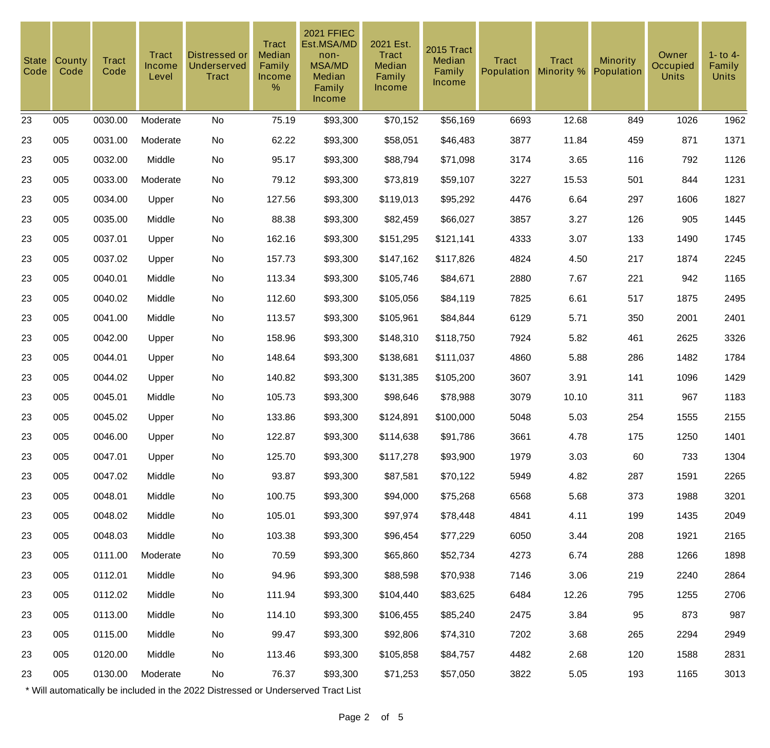| <b>State</b><br>Code | County<br>Code | <b>Tract</b><br>Code | Tract<br><b>Income</b><br>Level | Distressed or<br><b>Underserved</b><br><b>Tract</b> | <b>Tract</b><br>Median<br>Family<br>Income<br>% | <b>2021 FFIEC</b><br>Est.MSA/MD<br>non-<br><b>MSA/MD</b><br>Median<br>Family<br>Income | 2021 Est.<br>Tract<br>Median<br>Family<br><b>Income</b> | 2015 Tract<br>Median<br>Family<br><b>Income</b> | <b>Tract</b><br><b>Population</b> | <b>Tract</b><br>Minority % | Minority<br>Population | Owner<br>Occupied<br><b>Units</b> | $1 -$ to $4 -$<br>Family<br><b>Units</b> |
|----------------------|----------------|----------------------|---------------------------------|-----------------------------------------------------|-------------------------------------------------|----------------------------------------------------------------------------------------|---------------------------------------------------------|-------------------------------------------------|-----------------------------------|----------------------------|------------------------|-----------------------------------|------------------------------------------|
| 23                   | 005            | 0030.00              | Moderate                        | <b>No</b>                                           | 75.19                                           | \$93,300                                                                               | \$70,152                                                | \$56,169                                        | 6693                              | 12.68                      | 849                    | 1026                              | 1962                                     |
| 23                   | 005            | 0031.00              | Moderate                        | No                                                  | 62.22                                           | \$93,300                                                                               | \$58,051                                                | \$46,483                                        | 3877                              | 11.84                      | 459                    | 871                               | 1371                                     |
| 23                   | 005            | 0032.00              | Middle                          | <b>No</b>                                           | 95.17                                           | \$93,300                                                                               | \$88,794                                                | \$71,098                                        | 3174                              | 3.65                       | 116                    | 792                               | 1126                                     |
| 23                   | 005            | 0033.00              | Moderate                        | No                                                  | 79.12                                           | \$93,300                                                                               | \$73,819                                                | \$59,107                                        | 3227                              | 15.53                      | 501                    | 844                               | 1231                                     |
| 23                   | 005            | 0034.00              | Upper                           | <b>No</b>                                           | 127.56                                          | \$93,300                                                                               | \$119,013                                               | \$95,292                                        | 4476                              | 6.64                       | 297                    | 1606                              | 1827                                     |
| 23                   | 005            | 0035.00              | Middle                          | No                                                  | 88.38                                           | \$93,300                                                                               | \$82,459                                                | \$66,027                                        | 3857                              | 3.27                       | 126                    | 905                               | 1445                                     |
| 23                   | 005            | 0037.01              | Upper                           | No                                                  | 162.16                                          | \$93,300                                                                               | \$151,295                                               | \$121,141                                       | 4333                              | 3.07                       | 133                    | 1490                              | 1745                                     |
| 23                   | 005            | 0037.02              | Upper                           | No                                                  | 157.73                                          | \$93,300                                                                               | \$147,162                                               | \$117,826                                       | 4824                              | 4.50                       | 217                    | 1874                              | 2245                                     |
| 23                   | 005            | 0040.01              | Middle                          | No                                                  | 113.34                                          | \$93,300                                                                               | \$105,746                                               | \$84,671                                        | 2880                              | 7.67                       | 221                    | 942                               | 1165                                     |
| 23                   | 005            | 0040.02              | Middle                          | No                                                  | 112.60                                          | \$93,300                                                                               | \$105,056                                               | \$84,119                                        | 7825                              | 6.61                       | 517                    | 1875                              | 2495                                     |
| 23                   | 005            | 0041.00              | Middle                          | No                                                  | 113.57                                          | \$93,300                                                                               | \$105,961                                               | \$84,844                                        | 6129                              | 5.71                       | 350                    | 2001                              | 2401                                     |
| 23                   | 005            | 0042.00              | Upper                           | No                                                  | 158.96                                          | \$93,300                                                                               | \$148,310                                               | \$118,750                                       | 7924                              | 5.82                       | 461                    | 2625                              | 3326                                     |
| 23                   | 005            | 0044.01              | Upper                           | No                                                  | 148.64                                          | \$93,300                                                                               | \$138,681                                               | \$111,037                                       | 4860                              | 5.88                       | 286                    | 1482                              | 1784                                     |
| 23                   | 005            | 0044.02              | Upper                           | No                                                  | 140.82                                          | \$93,300                                                                               | \$131,385                                               | \$105,200                                       | 3607                              | 3.91                       | 141                    | 1096                              | 1429                                     |
| 23                   | 005            | 0045.01              | Middle                          | No                                                  | 105.73                                          | \$93,300                                                                               | \$98,646                                                | \$78,988                                        | 3079                              | 10.10                      | 311                    | 967                               | 1183                                     |
| 23                   | 005            | 0045.02              | Upper                           | No                                                  | 133.86                                          | \$93,300                                                                               | \$124,891                                               | \$100,000                                       | 5048                              | 5.03                       | 254                    | 1555                              | 2155                                     |
| 23                   | 005            | 0046.00              | Upper                           | No                                                  | 122.87                                          | \$93,300                                                                               | \$114,638                                               | \$91,786                                        | 3661                              | 4.78                       | 175                    | 1250                              | 1401                                     |
| 23                   | 005            | 0047.01              | Upper                           | No                                                  | 125.70                                          | \$93,300                                                                               | \$117,278                                               | \$93,900                                        | 1979                              | 3.03                       | 60                     | 733                               | 1304                                     |
| 23                   | 005            | 0047.02              | Middle                          | No                                                  | 93.87                                           | \$93,300                                                                               | \$87,581                                                | \$70,122                                        | 5949                              | 4.82                       | 287                    | 1591                              | 2265                                     |
| 23                   | 005            | 0048.01              | Middle                          | No                                                  | 100.75                                          | \$93,300                                                                               | \$94,000                                                | \$75,268                                        | 6568                              | 5.68                       | 373                    | 1988                              | 3201                                     |
| 23                   | 005            | 0048.02              | Middle                          | No                                                  | 105.01                                          | \$93,300                                                                               | \$97,974                                                | \$78,448                                        | 4841                              | 4.11                       | 199                    | 1435                              | 2049                                     |
| 23                   | 005            | 0048.03              | Middle                          | No                                                  | 103.38                                          | \$93,300                                                                               | \$96,454                                                | \$77,229                                        | 6050                              | 3.44                       | 208                    | 1921                              | 2165                                     |
| 23                   | 005            | 0111.00              | Moderate                        | No                                                  | 70.59                                           | \$93,300                                                                               | \$65,860                                                | \$52,734                                        | 4273                              | 6.74                       | 288                    | 1266                              | 1898                                     |
| 23                   | 005            | 0112.01              | Middle                          | No                                                  | 94.96                                           | \$93,300                                                                               | \$88,598                                                | \$70,938                                        | 7146                              | 3.06                       | 219                    | 2240                              | 2864                                     |
| 23                   | 005            | 0112.02              | Middle                          | No                                                  | 111.94                                          | \$93,300                                                                               | \$104,440                                               | \$83,625                                        | 6484                              | 12.26                      | 795                    | 1255                              | 2706                                     |
| 23                   | 005            | 0113.00              | Middle                          | No                                                  | 114.10                                          | \$93,300                                                                               | \$106,455                                               | \$85,240                                        | 2475                              | 3.84                       | 95                     | 873                               | 987                                      |
| 23                   | 005            | 0115.00              | Middle                          | No                                                  | 99.47                                           | \$93,300                                                                               | \$92,806                                                | \$74,310                                        | 7202                              | 3.68                       | 265                    | 2294                              | 2949                                     |
| 23                   | 005            | 0120.00              | Middle                          | No                                                  | 113.46                                          | \$93,300                                                                               | \$105,858                                               | \$84,757                                        | 4482                              | 2.68                       | 120                    | 1588                              | 2831                                     |
| 23                   | 005            | 0130.00              | Moderate                        | No                                                  | 76.37                                           | \$93,300                                                                               | \$71,253                                                | \$57,050                                        | 3822                              | 5.05                       | 193                    | 1165                              | 3013                                     |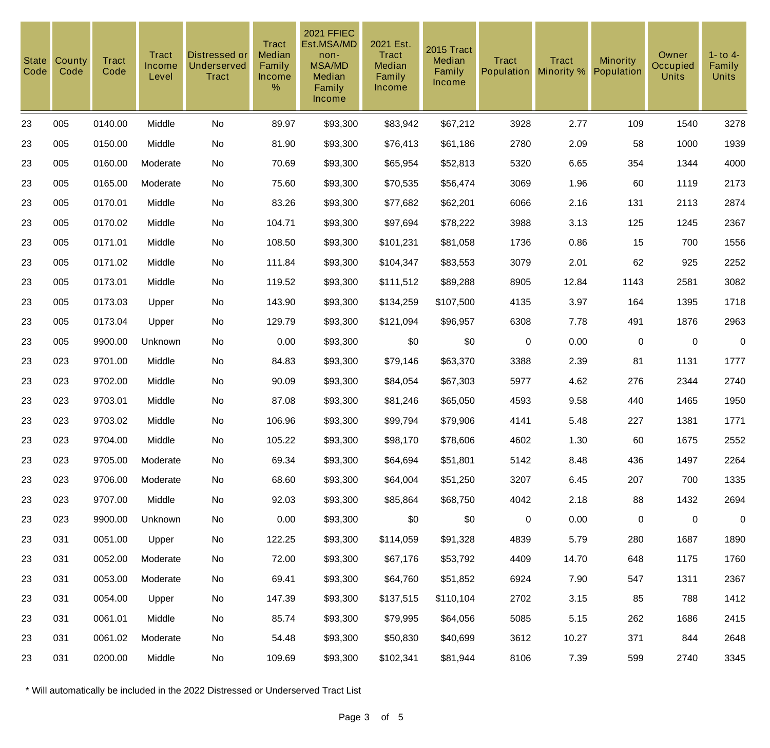| <b>State</b><br>Code | County<br>Code | <b>Tract</b><br>Code | Tract<br>Income<br>Level | Distressed or<br><b>Underserved</b><br><b>Tract</b> | <b>Tract</b><br>Median<br>Family<br>Income<br>% | <b>2021 FFIEC</b><br>Est.MSA/MD<br>non-<br><b>MSA/MD</b><br>Median<br>Family<br>Income | 2021 Est.<br><b>Tract</b><br>Median<br>Family<br>Income | 2015 Tract<br>Median<br>Family<br>Income | <b>Tract</b><br><b>Population</b> | <b>Tract</b><br>Minority % | <b>Minority</b><br>Population | Owner<br>Occupied<br><b>Units</b> | $1 -$ to $4 -$<br>Family<br><b>Units</b> |
|----------------------|----------------|----------------------|--------------------------|-----------------------------------------------------|-------------------------------------------------|----------------------------------------------------------------------------------------|---------------------------------------------------------|------------------------------------------|-----------------------------------|----------------------------|-------------------------------|-----------------------------------|------------------------------------------|
| 23                   | 005            | 0140.00              | Middle                   | No                                                  | 89.97                                           | \$93,300                                                                               | \$83,942                                                | \$67,212                                 | 3928                              | 2.77                       | 109                           | 1540                              | 3278                                     |
| 23                   | 005            | 0150.00              | Middle                   | No                                                  | 81.90                                           | \$93,300                                                                               | \$76,413                                                | \$61,186                                 | 2780                              | 2.09                       | 58                            | 1000                              | 1939                                     |
| 23                   | 005            | 0160.00              | Moderate                 | No                                                  | 70.69                                           | \$93,300                                                                               | \$65,954                                                | \$52,813                                 | 5320                              | 6.65                       | 354                           | 1344                              | 4000                                     |
| 23                   | 005            | 0165.00              | Moderate                 | No                                                  | 75.60                                           | \$93,300                                                                               | \$70,535                                                | \$56,474                                 | 3069                              | 1.96                       | 60                            | 1119                              | 2173                                     |
| 23                   | 005            | 0170.01              | Middle                   | No                                                  | 83.26                                           | \$93,300                                                                               | \$77,682                                                | \$62,201                                 | 6066                              | 2.16                       | 131                           | 2113                              | 2874                                     |
| 23                   | 005            | 0170.02              | Middle                   | No                                                  | 104.71                                          | \$93,300                                                                               | \$97,694                                                | \$78,222                                 | 3988                              | 3.13                       | 125                           | 1245                              | 2367                                     |
| 23                   | 005            | 0171.01              | Middle                   | No                                                  | 108.50                                          | \$93,300                                                                               | \$101,231                                               | \$81,058                                 | 1736                              | 0.86                       | 15                            | 700                               | 1556                                     |
| 23                   | 005            | 0171.02              | Middle                   | No                                                  | 111.84                                          | \$93,300                                                                               | \$104,347                                               | \$83,553                                 | 3079                              | 2.01                       | 62                            | 925                               | 2252                                     |
| 23                   | 005            | 0173.01              | Middle                   | No                                                  | 119.52                                          | \$93,300                                                                               | \$111,512                                               | \$89,288                                 | 8905                              | 12.84                      | 1143                          | 2581                              | 3082                                     |
| 23                   | 005            | 0173.03              | Upper                    | No                                                  | 143.90                                          | \$93,300                                                                               | \$134,259                                               | \$107,500                                | 4135                              | 3.97                       | 164                           | 1395                              | 1718                                     |
| 23                   | 005            | 0173.04              | Upper                    | No                                                  | 129.79                                          | \$93,300                                                                               | \$121,094                                               | \$96,957                                 | 6308                              | 7.78                       | 491                           | 1876                              | 2963                                     |
| 23                   | 005            | 9900.00              | Unknown                  | No                                                  | 0.00                                            | \$93,300                                                                               | \$0                                                     | \$0                                      | $\pmb{0}$                         | 0.00                       | $\mathbf 0$                   | $\mathbf 0$                       | $\boldsymbol{0}$                         |
| 23                   | 023            | 9701.00              | Middle                   | No                                                  | 84.83                                           | \$93,300                                                                               | \$79,146                                                | \$63,370                                 | 3388                              | 2.39                       | 81                            | 1131                              | 1777                                     |
| 23                   | 023            | 9702.00              | Middle                   | No                                                  | 90.09                                           | \$93,300                                                                               | \$84,054                                                | \$67,303                                 | 5977                              | 4.62                       | 276                           | 2344                              | 2740                                     |
| 23                   | 023            | 9703.01              | Middle                   | No                                                  | 87.08                                           | \$93,300                                                                               | \$81,246                                                | \$65,050                                 | 4593                              | 9.58                       | 440                           | 1465                              | 1950                                     |
| 23                   | 023            | 9703.02              | Middle                   | No                                                  | 106.96                                          | \$93,300                                                                               | \$99,794                                                | \$79,906                                 | 4141                              | 5.48                       | 227                           | 1381                              | 1771                                     |
| 23                   | 023            | 9704.00              | Middle                   | No                                                  | 105.22                                          | \$93,300                                                                               | \$98,170                                                | \$78,606                                 | 4602                              | 1.30                       | 60                            | 1675                              | 2552                                     |
| 23                   | 023            | 9705.00              | Moderate                 | No                                                  | 69.34                                           | \$93,300                                                                               | \$64,694                                                | \$51,801                                 | 5142                              | 8.48                       | 436                           | 1497                              | 2264                                     |
| 23                   | 023            | 9706.00              | Moderate                 | No                                                  | 68.60                                           | \$93,300                                                                               | \$64,004                                                | \$51,250                                 | 3207                              | 6.45                       | 207                           | 700                               | 1335                                     |
| 23                   | 023            | 9707.00              | Middle                   | No                                                  | 92.03                                           | \$93,300                                                                               | \$85,864                                                | \$68,750                                 | 4042                              | 2.18                       | 88                            | 1432                              | 2694                                     |
| 23                   | 023            | 9900.00              | Unknown                  | No                                                  | 0.00                                            | \$93,300                                                                               | \$0                                                     | \$0                                      | $\mathbf 0$                       | 0.00                       | 0                             | $\mathbf 0$                       | $\mathbf 0$                              |
| 23                   | 031            | 0051.00              | Upper                    | No                                                  | 122.25                                          | \$93,300                                                                               | \$114,059                                               | \$91,328                                 | 4839                              | 5.79                       | 280                           | 1687                              | 1890                                     |
| 23                   | 031            | 0052.00              | Moderate                 | No                                                  | 72.00                                           | \$93,300                                                                               | \$67,176                                                | \$53,792                                 | 4409                              | 14.70                      | 648                           | 1175                              | 1760                                     |
| 23                   | 031            | 0053.00              | Moderate                 | No                                                  | 69.41                                           | \$93,300                                                                               | \$64,760                                                | \$51,852                                 | 6924                              | 7.90                       | 547                           | 1311                              | 2367                                     |
| 23                   | 031            | 0054.00              | Upper                    | No                                                  | 147.39                                          | \$93,300                                                                               | \$137,515                                               | \$110,104                                | 2702                              | 3.15                       | 85                            | 788                               | 1412                                     |
| 23                   | 031            | 0061.01              | Middle                   | No                                                  | 85.74                                           | \$93,300                                                                               | \$79,995                                                | \$64,056                                 | 5085                              | 5.15                       | 262                           | 1686                              | 2415                                     |
| 23                   | 031            | 0061.02              | Moderate                 | No                                                  | 54.48                                           | \$93,300                                                                               | \$50,830                                                | \$40,699                                 | 3612                              | 10.27                      | 371                           | 844                               | 2648                                     |
| 23                   | 031            | 0200.00              | Middle                   | No                                                  | 109.69                                          | \$93,300                                                                               | \$102,341                                               | \$81,944                                 | 8106                              | 7.39                       | 599                           | 2740                              | 3345                                     |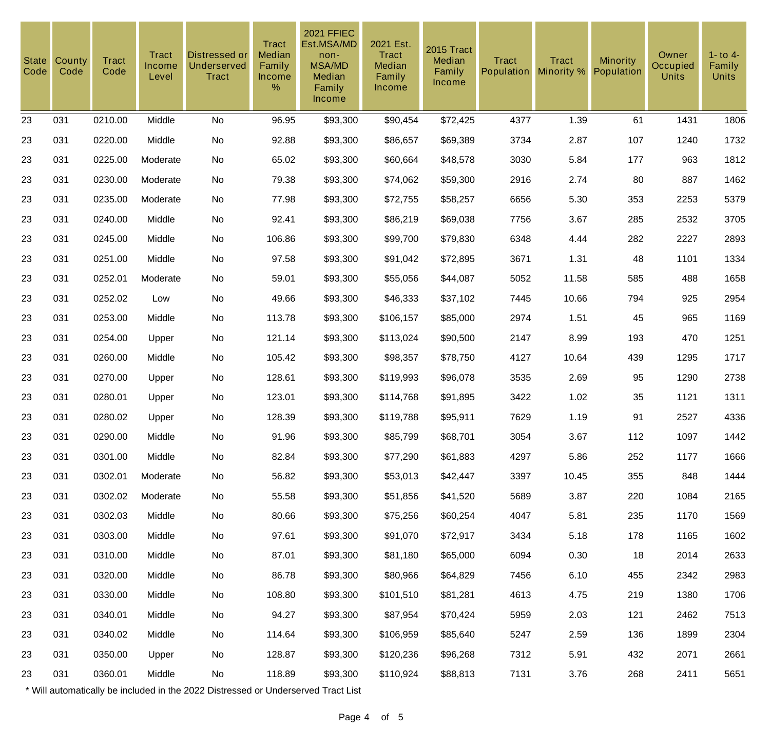| <b>State</b><br>Code | County<br>Code | <b>Tract</b><br>Code | Tract<br><b>Income</b><br>Level | Distressed or<br><b>Underserved</b><br><b>Tract</b> | <b>Tract</b><br>Median<br>Family<br>Income<br>% | <b>2021 FFIEC</b><br>Est.MSA/MD<br>non-<br><b>MSA/MD</b><br>Median<br>Family<br>Income | 2021 Est.<br>Tract<br>Median<br>Family<br><b>Income</b> | 2015 Tract<br>Median<br>Family<br><b>Income</b> | <b>Tract</b><br><b>Population</b> | <b>Tract</b><br>Minority % | Minority<br>Population | Owner<br>Occupied<br><b>Units</b> | $1 -$ to $4 -$<br>Family<br><b>Units</b> |
|----------------------|----------------|----------------------|---------------------------------|-----------------------------------------------------|-------------------------------------------------|----------------------------------------------------------------------------------------|---------------------------------------------------------|-------------------------------------------------|-----------------------------------|----------------------------|------------------------|-----------------------------------|------------------------------------------|
| 23                   | 031            | 0210.00              | Middle                          | <b>No</b>                                           | 96.95                                           | \$93,300                                                                               | \$90,454                                                | \$72,425                                        | 4377                              | 1.39                       | 61                     | 1431                              | 1806                                     |
| 23                   | 031            | 0220.00              | Middle                          | No                                                  | 92.88                                           | \$93,300                                                                               | \$86,657                                                | \$69,389                                        | 3734                              | 2.87                       | 107                    | 1240                              | 1732                                     |
| 23                   | 031            | 0225.00              | Moderate                        | <b>No</b>                                           | 65.02                                           | \$93,300                                                                               | \$60,664                                                | \$48,578                                        | 3030                              | 5.84                       | 177                    | 963                               | 1812                                     |
| 23                   | 031            | 0230.00              | Moderate                        | No                                                  | 79.38                                           | \$93,300                                                                               | \$74,062                                                | \$59,300                                        | 2916                              | 2.74                       | 80                     | 887                               | 1462                                     |
| 23                   | 031            | 0235.00              | Moderate                        | <b>No</b>                                           | 77.98                                           | \$93,300                                                                               | \$72,755                                                | \$58,257                                        | 6656                              | 5.30                       | 353                    | 2253                              | 5379                                     |
| 23                   | 031            | 0240.00              | Middle                          | No                                                  | 92.41                                           | \$93,300                                                                               | \$86,219                                                | \$69,038                                        | 7756                              | 3.67                       | 285                    | 2532                              | 3705                                     |
| 23                   | 031            | 0245.00              | Middle                          | No                                                  | 106.86                                          | \$93,300                                                                               | \$99,700                                                | \$79,830                                        | 6348                              | 4.44                       | 282                    | 2227                              | 2893                                     |
| 23                   | 031            | 0251.00              | Middle                          | No                                                  | 97.58                                           | \$93,300                                                                               | \$91,042                                                | \$72,895                                        | 3671                              | 1.31                       | 48                     | 1101                              | 1334                                     |
| 23                   | 031            | 0252.01              | Moderate                        | No                                                  | 59.01                                           | \$93,300                                                                               | \$55,056                                                | \$44,087                                        | 5052                              | 11.58                      | 585                    | 488                               | 1658                                     |
| 23                   | 031            | 0252.02              | Low                             | No                                                  | 49.66                                           | \$93,300                                                                               | \$46,333                                                | \$37,102                                        | 7445                              | 10.66                      | 794                    | 925                               | 2954                                     |
| 23                   | 031            | 0253.00              | Middle                          | No                                                  | 113.78                                          | \$93,300                                                                               | \$106,157                                               | \$85,000                                        | 2974                              | 1.51                       | 45                     | 965                               | 1169                                     |
| 23                   | 031            | 0254.00              | Upper                           | No                                                  | 121.14                                          | \$93,300                                                                               | \$113,024                                               | \$90,500                                        | 2147                              | 8.99                       | 193                    | 470                               | 1251                                     |
| 23                   | 031            | 0260.00              | Middle                          | No                                                  | 105.42                                          | \$93,300                                                                               | \$98,357                                                | \$78,750                                        | 4127                              | 10.64                      | 439                    | 1295                              | 1717                                     |
| 23                   | 031            | 0270.00              | Upper                           | No                                                  | 128.61                                          | \$93,300                                                                               | \$119,993                                               | \$96,078                                        | 3535                              | 2.69                       | 95                     | 1290                              | 2738                                     |
| 23                   | 031            | 0280.01              | Upper                           | No                                                  | 123.01                                          | \$93,300                                                                               | \$114,768                                               | \$91,895                                        | 3422                              | 1.02                       | 35                     | 1121                              | 1311                                     |
| 23                   | 031            | 0280.02              | Upper                           | No                                                  | 128.39                                          | \$93,300                                                                               | \$119,788                                               | \$95,911                                        | 7629                              | 1.19                       | 91                     | 2527                              | 4336                                     |
| 23                   | 031            | 0290.00              | Middle                          | No                                                  | 91.96                                           | \$93,300                                                                               | \$85,799                                                | \$68,701                                        | 3054                              | 3.67                       | 112                    | 1097                              | 1442                                     |
| 23                   | 031            | 0301.00              | Middle                          | No                                                  | 82.84                                           | \$93,300                                                                               | \$77,290                                                | \$61,883                                        | 4297                              | 5.86                       | 252                    | 1177                              | 1666                                     |
| 23                   | 031            | 0302.01              | Moderate                        | No                                                  | 56.82                                           | \$93,300                                                                               | \$53,013                                                | \$42,447                                        | 3397                              | 10.45                      | 355                    | 848                               | 1444                                     |
| 23                   | 031            | 0302.02              | Moderate                        | No                                                  | 55.58                                           | \$93,300                                                                               | \$51,856                                                | \$41,520                                        | 5689                              | 3.87                       | 220                    | 1084                              | 2165                                     |
| 23                   | 031            | 0302.03              | Middle                          | No                                                  | 80.66                                           | \$93,300                                                                               | \$75,256                                                | \$60,254                                        | 4047                              | 5.81                       | 235                    | 1170                              | 1569                                     |
| 23                   | 031            | 0303.00              | Middle                          | No                                                  | 97.61                                           | \$93,300                                                                               | \$91,070                                                | \$72,917                                        | 3434                              | 5.18                       | 178                    | 1165                              | 1602                                     |
| 23                   | 031            | 0310.00              | Middle                          | No                                                  | 87.01                                           | \$93,300                                                                               | \$81,180                                                | \$65,000                                        | 6094                              | 0.30                       | 18                     | 2014                              | 2633                                     |
| 23                   | 031            | 0320.00              | Middle                          | No                                                  | 86.78                                           | \$93,300                                                                               | \$80,966                                                | \$64,829                                        | 7456                              | 6.10                       | 455                    | 2342                              | 2983                                     |
| 23                   | 031            | 0330.00              | Middle                          | No                                                  | 108.80                                          | \$93,300                                                                               | \$101,510                                               | \$81,281                                        | 4613                              | 4.75                       | 219                    | 1380                              | 1706                                     |
| 23                   | 031            | 0340.01              | Middle                          | No                                                  | 94.27                                           | \$93,300                                                                               | \$87,954                                                | \$70,424                                        | 5959                              | 2.03                       | 121                    | 2462                              | 7513                                     |
| 23                   | 031            | 0340.02              | Middle                          | No                                                  | 114.64                                          | \$93,300                                                                               | \$106,959                                               | \$85,640                                        | 5247                              | 2.59                       | 136                    | 1899                              | 2304                                     |
| 23                   | 031            | 0350.00              | Upper                           | No                                                  | 128.87                                          | \$93,300                                                                               | \$120,236                                               | \$96,268                                        | 7312                              | 5.91                       | 432                    | 2071                              | 2661                                     |
| 23                   | 031            | 0360.01              | Middle                          | No                                                  | 118.89                                          | \$93,300                                                                               | \$110,924                                               | \$88,813                                        | 7131                              | 3.76                       | 268                    | 2411                              | 5651                                     |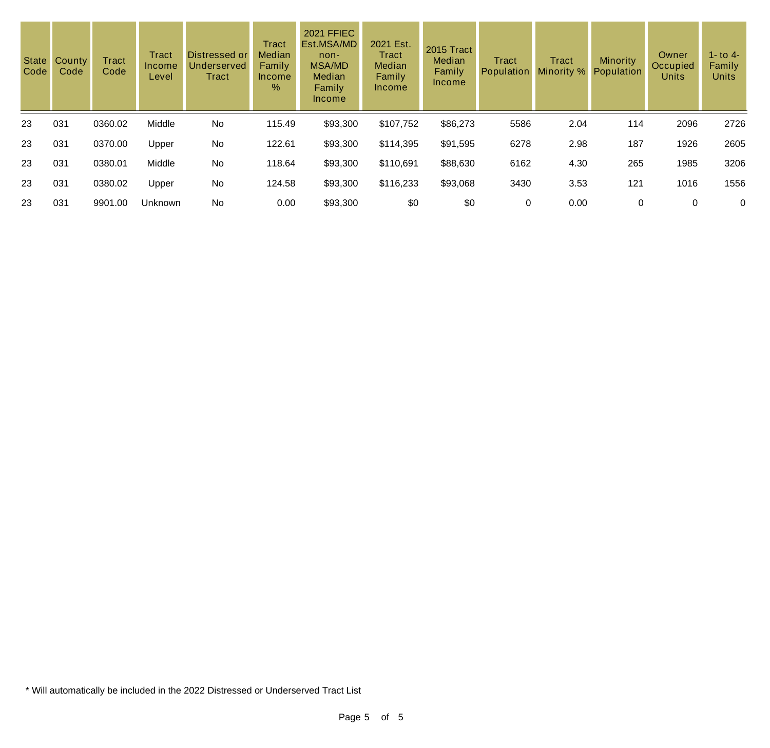| State<br>Code | County<br>Code | <b>Tract</b><br>Code | Tract<br>Income<br>Level | Distressed or<br>Underserved<br>Tract | Tract<br><b>Median</b><br>Family<br>Income<br>$\%$ | <b>2021 FFIEC</b><br>Est.MSA/MD<br>non-<br><b>MSA/MD</b><br>Median<br>Family<br><b>Income</b> | 2021 Est.<br><b>Tract</b><br>Median<br>Family<br>Income | 2015 Tract<br>Median<br>Family<br>Income | <b>Tract</b><br>Population | <b>Tract</b><br>Minority % | <b>Minority</b><br>Population | Owner<br>Occupied<br><b>Units</b> | 1 - to 4 -<br>Family<br><b>Units</b> |
|---------------|----------------|----------------------|--------------------------|---------------------------------------|----------------------------------------------------|-----------------------------------------------------------------------------------------------|---------------------------------------------------------|------------------------------------------|----------------------------|----------------------------|-------------------------------|-----------------------------------|--------------------------------------|
| 23            | 031            | 0360.02              | Middle                   | No                                    | 115.49                                             | \$93,300                                                                                      | \$107,752                                               | \$86,273                                 | 5586                       | 2.04                       | 114                           | 2096                              | 2726                                 |
| 23            | 031            | 0370.00              | Upper                    | No                                    | 122.61                                             | \$93,300                                                                                      | \$114,395                                               | \$91,595                                 | 6278                       | 2.98                       | 187                           | 1926                              | 2605                                 |
| 23            | 031            | 0380.01              | Middle                   | <b>No</b>                             | 118.64                                             | \$93,300                                                                                      | \$110,691                                               | \$88,630                                 | 6162                       | 4.30                       | 265                           | 1985                              | 3206                                 |
| 23            | 031            | 0380.02              | Upper                    | No                                    | 124.58                                             | \$93,300                                                                                      | \$116,233                                               | \$93,068                                 | 3430                       | 3.53                       | 121                           | 1016                              | 1556                                 |
| 23            | 031            | 9901.00              | Unknown                  | No                                    | 0.00                                               | \$93,300                                                                                      | \$0                                                     | \$0                                      | 0                          | 0.00                       | 0                             | 0                                 | 0                                    |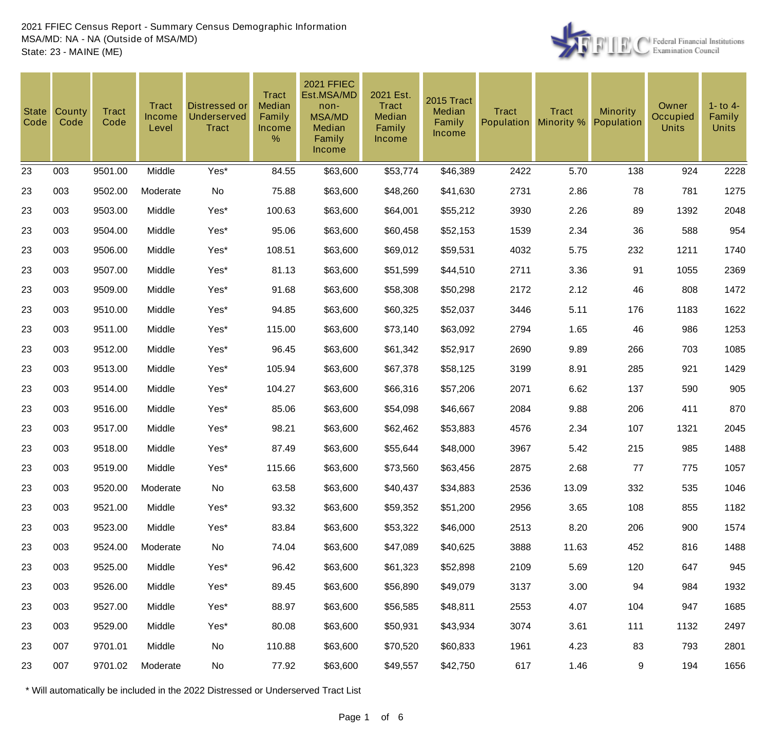

| State<br>Code | County<br>Code | <b>Tract</b><br>Code | Tract<br>Income<br>Level | <b>Distressed or</b><br>Underserved<br><b>Tract</b> | <b>Tract</b><br>Median<br>Family<br><b>Income</b><br>% | <b>2021 FFIEC</b><br>Est.MSA/MD<br>non-<br><b>MSA/MD</b><br>Median<br>Family<br><b>Income</b> | 2021 Est.<br>Tract<br>Median<br>Family<br>Income | 2015 Tract<br>Median<br>Family<br>Income | <b>Tract</b><br>Population | <b>Tract</b><br>Minority % | <b>Minority</b><br>Population | Owner<br>Occupied<br><b>Units</b> | $1 -$ to $4 -$<br>Family<br><b>Units</b> |
|---------------|----------------|----------------------|--------------------------|-----------------------------------------------------|--------------------------------------------------------|-----------------------------------------------------------------------------------------------|--------------------------------------------------|------------------------------------------|----------------------------|----------------------------|-------------------------------|-----------------------------------|------------------------------------------|
| 23            | 003            | 9501.00              | Middle                   | Yes*                                                | 84.55                                                  | \$63,600                                                                                      | \$53,774                                         | \$46,389                                 | 2422                       | 5.70                       | 138                           | 924                               | 2228                                     |
| 23            | 003            | 9502.00              | Moderate                 | No                                                  | 75.88                                                  | \$63,600                                                                                      | \$48,260                                         | \$41,630                                 | 2731                       | 2.86                       | 78                            | 781                               | 1275                                     |
| 23            | 003            | 9503.00              | Middle                   | Yes*                                                | 100.63                                                 | \$63,600                                                                                      | \$64,001                                         | \$55,212                                 | 3930                       | 2.26                       | 89                            | 1392                              | 2048                                     |
| 23            | 003            | 9504.00              | Middle                   | Yes*                                                | 95.06                                                  | \$63,600                                                                                      | \$60,458                                         | \$52,153                                 | 1539                       | 2.34                       | 36                            | 588                               | 954                                      |
| 23            | 003            | 9506.00              | Middle                   | Yes*                                                | 108.51                                                 | \$63,600                                                                                      | \$69,012                                         | \$59,531                                 | 4032                       | 5.75                       | 232                           | 1211                              | 1740                                     |
| 23            | 003            | 9507.00              | Middle                   | Yes*                                                | 81.13                                                  | \$63,600                                                                                      | \$51,599                                         | \$44,510                                 | 2711                       | 3.36                       | 91                            | 1055                              | 2369                                     |
| 23            | 003            | 9509.00              | Middle                   | Yes*                                                | 91.68                                                  | \$63,600                                                                                      | \$58,308                                         | \$50,298                                 | 2172                       | 2.12                       | 46                            | 808                               | 1472                                     |
| 23            | 003            | 9510.00              | Middle                   | Yes*                                                | 94.85                                                  | \$63,600                                                                                      | \$60,325                                         | \$52,037                                 | 3446                       | 5.11                       | 176                           | 1183                              | 1622                                     |
| 23            | 003            | 9511.00              | Middle                   | Yes*                                                | 115.00                                                 | \$63,600                                                                                      | \$73,140                                         | \$63,092                                 | 2794                       | 1.65                       | 46                            | 986                               | 1253                                     |
| 23            | 003            | 9512.00              | Middle                   | Yes*                                                | 96.45                                                  | \$63,600                                                                                      | \$61,342                                         | \$52,917                                 | 2690                       | 9.89                       | 266                           | 703                               | 1085                                     |
| 23            | 003            | 9513.00              | Middle                   | Yes*                                                | 105.94                                                 | \$63,600                                                                                      | \$67,378                                         | \$58,125                                 | 3199                       | 8.91                       | 285                           | 921                               | 1429                                     |
| 23            | 003            | 9514.00              | Middle                   | Yes*                                                | 104.27                                                 | \$63,600                                                                                      | \$66,316                                         | \$57,206                                 | 2071                       | 6.62                       | 137                           | 590                               | 905                                      |
| 23            | 003            | 9516.00              | Middle                   | Yes*                                                | 85.06                                                  | \$63,600                                                                                      | \$54,098                                         | \$46,667                                 | 2084                       | 9.88                       | 206                           | 411                               | 870                                      |
| 23            | 003            | 9517.00              | Middle                   | Yes*                                                | 98.21                                                  | \$63,600                                                                                      | \$62,462                                         | \$53,883                                 | 4576                       | 2.34                       | 107                           | 1321                              | 2045                                     |
| 23            | 003            | 9518.00              | Middle                   | Yes*                                                | 87.49                                                  | \$63,600                                                                                      | \$55,644                                         | \$48,000                                 | 3967                       | 5.42                       | 215                           | 985                               | 1488                                     |
| 23            | 003            | 9519.00              | Middle                   | Yes*                                                | 115.66                                                 | \$63,600                                                                                      | \$73,560                                         | \$63,456                                 | 2875                       | 2.68                       | 77                            | 775                               | 1057                                     |
| 23            | 003            | 9520.00              | Moderate                 | No                                                  | 63.58                                                  | \$63,600                                                                                      | \$40,437                                         | \$34,883                                 | 2536                       | 13.09                      | 332                           | 535                               | 1046                                     |
| 23            | 003            | 9521.00              | Middle                   | Yes*                                                | 93.32                                                  | \$63,600                                                                                      | \$59,352                                         | \$51,200                                 | 2956                       | 3.65                       | 108                           | 855                               | 1182                                     |
| 23            | 003            | 9523.00              | Middle                   | Yes*                                                | 83.84                                                  | \$63,600                                                                                      | \$53,322                                         | \$46,000                                 | 2513                       | 8.20                       | 206                           | 900                               | 1574                                     |
| 23            | 003            | 9524.00              | Moderate                 | No                                                  | 74.04                                                  | \$63,600                                                                                      | \$47,089                                         | \$40,625                                 | 3888                       | 11.63                      | 452                           | 816                               | 1488                                     |
| 23            | 003            | 9525.00              | Middle                   | Yes*                                                | 96.42                                                  | \$63,600                                                                                      | \$61,323                                         | \$52,898                                 | 2109                       | 5.69                       | 120                           | 647                               | 945                                      |
| 23            | 003            | 9526.00              | Middle                   | Yes*                                                | 89.45                                                  | \$63,600                                                                                      | \$56,890                                         | \$49,079                                 | 3137                       | 3.00                       | 94                            | 984                               | 1932                                     |
| 23            | 003            | 9527.00              | Middle                   | Yes*                                                | 88.97                                                  | \$63,600                                                                                      | \$56,585                                         | \$48,811                                 | 2553                       | 4.07                       | 104                           | 947                               | 1685                                     |
| 23            | 003            | 9529.00              | Middle                   | Yes*                                                | 80.08                                                  | \$63,600                                                                                      | \$50,931                                         | \$43,934                                 | 3074                       | 3.61                       | 111                           | 1132                              | 2497                                     |
| 23            | 007            | 9701.01              | Middle                   | No                                                  | 110.88                                                 | \$63,600                                                                                      | \$70,520                                         | \$60,833                                 | 1961                       | 4.23                       | 83                            | 793                               | 2801                                     |
| 23            | 007            | 9701.02              | Moderate                 | No                                                  | 77.92                                                  | \$63,600                                                                                      | \$49,557                                         | \$42,750                                 | 617                        | 1.46                       | 9                             | 194                               | 1656                                     |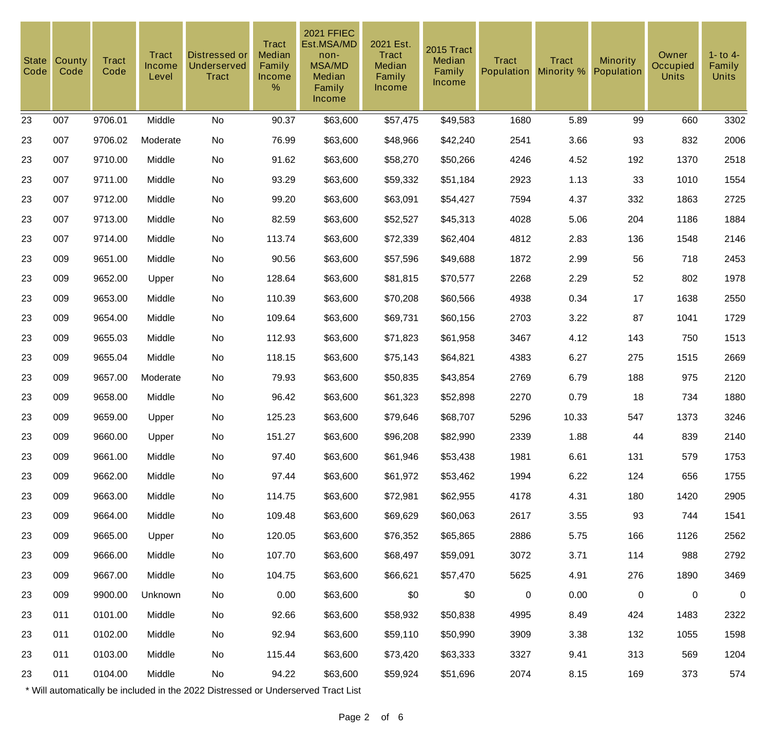| <b>State</b><br>Code | County<br>Code | <b>Tract</b><br>Code | <b>Tract</b><br>Income<br>Level | <b>Distressed or</b><br>Underserved<br><b>Tract</b> | <b>Tract</b><br>Median<br>Family<br>Income<br>% | <b>2021 FFIEC</b><br>Est.MSA/MD<br>non-<br><b>MSA/MD</b><br>Median<br>Family<br>Income | 2021 Est.<br>Tract<br>Median<br>Family<br><b>Income</b> | 2015 Tract<br>Median<br>Family<br>Income | <b>Tract</b><br>Population | <b>Tract</b><br>Minority % | <b>Minority</b><br>Population | Owner<br><b>Occupied</b><br><b>Units</b> | $1 -$ to $4 -$<br>Family<br><b>Units</b> |
|----------------------|----------------|----------------------|---------------------------------|-----------------------------------------------------|-------------------------------------------------|----------------------------------------------------------------------------------------|---------------------------------------------------------|------------------------------------------|----------------------------|----------------------------|-------------------------------|------------------------------------------|------------------------------------------|
| 23                   | 007            | 9706.01              | Middle                          | No                                                  | 90.37                                           | \$63,600                                                                               | \$57,475                                                | \$49,583                                 | 1680                       | 5.89                       | 99                            | 660                                      | 3302                                     |
| 23                   | 007            | 9706.02              | Moderate                        | No                                                  | 76.99                                           | \$63,600                                                                               | \$48,966                                                | \$42,240                                 | 2541                       | 3.66                       | 93                            | 832                                      | 2006                                     |
| 23                   | 007            | 9710.00              | Middle                          | No                                                  | 91.62                                           | \$63,600                                                                               | \$58,270                                                | \$50,266                                 | 4246                       | 4.52                       | 192                           | 1370                                     | 2518                                     |
| 23                   | 007            | 9711.00              | Middle                          | No                                                  | 93.29                                           | \$63,600                                                                               | \$59,332                                                | \$51,184                                 | 2923                       | 1.13                       | 33                            | 1010                                     | 1554                                     |
| 23                   | 007            | 9712.00              | Middle                          | No                                                  | 99.20                                           | \$63,600                                                                               | \$63,091                                                | \$54,427                                 | 7594                       | 4.37                       | 332                           | 1863                                     | 2725                                     |
| 23                   | 007            | 9713.00              | Middle                          | No                                                  | 82.59                                           | \$63,600                                                                               | \$52,527                                                | \$45,313                                 | 4028                       | 5.06                       | 204                           | 1186                                     | 1884                                     |
| 23                   | 007            | 9714.00              | Middle                          | No                                                  | 113.74                                          | \$63,600                                                                               | \$72,339                                                | \$62,404                                 | 4812                       | 2.83                       | 136                           | 1548                                     | 2146                                     |
| 23                   | 009            | 9651.00              | Middle                          | No                                                  | 90.56                                           | \$63,600                                                                               | \$57,596                                                | \$49,688                                 | 1872                       | 2.99                       | 56                            | 718                                      | 2453                                     |
| 23                   | 009            | 9652.00              | Upper                           | No                                                  | 128.64                                          | \$63,600                                                                               | \$81,815                                                | \$70,577                                 | 2268                       | 2.29                       | 52                            | 802                                      | 1978                                     |
| 23                   | 009            | 9653.00              | Middle                          | No                                                  | 110.39                                          | \$63,600                                                                               | \$70,208                                                | \$60,566                                 | 4938                       | 0.34                       | 17                            | 1638                                     | 2550                                     |
| 23                   | 009            | 9654.00              | Middle                          | No                                                  | 109.64                                          | \$63,600                                                                               | \$69,731                                                | \$60,156                                 | 2703                       | 3.22                       | 87                            | 1041                                     | 1729                                     |
| 23                   | 009            | 9655.03              | Middle                          | No                                                  | 112.93                                          | \$63,600                                                                               | \$71,823                                                | \$61,958                                 | 3467                       | 4.12                       | 143                           | 750                                      | 1513                                     |
| 23                   | 009            | 9655.04              | Middle                          | No                                                  | 118.15                                          | \$63,600                                                                               | \$75,143                                                | \$64,821                                 | 4383                       | 6.27                       | 275                           | 1515                                     | 2669                                     |
| 23                   | 009            | 9657.00              | Moderate                        | No                                                  | 79.93                                           | \$63,600                                                                               | \$50,835                                                | \$43,854                                 | 2769                       | 6.79                       | 188                           | 975                                      | 2120                                     |
| 23                   | 009            | 9658.00              | Middle                          | No                                                  | 96.42                                           | \$63,600                                                                               | \$61,323                                                | \$52,898                                 | 2270                       | 0.79                       | 18                            | 734                                      | 1880                                     |
| 23                   | 009            | 9659.00              | Upper                           | No                                                  | 125.23                                          | \$63,600                                                                               | \$79,646                                                | \$68,707                                 | 5296                       | 10.33                      | 547                           | 1373                                     | 3246                                     |
| 23                   | 009            | 9660.00              | Upper                           | No                                                  | 151.27                                          | \$63,600                                                                               | \$96,208                                                | \$82,990                                 | 2339                       | 1.88                       | 44                            | 839                                      | 2140                                     |
| 23                   | 009            | 9661.00              | Middle                          | No                                                  | 97.40                                           | \$63,600                                                                               | \$61,946                                                | \$53,438                                 | 1981                       | 6.61                       | 131                           | 579                                      | 1753                                     |
| 23                   | 009            | 9662.00              | Middle                          | No                                                  | 97.44                                           | \$63,600                                                                               | \$61,972                                                | \$53,462                                 | 1994                       | 6.22                       | 124                           | 656                                      | 1755                                     |
| 23                   | 009            | 9663.00              | Middle                          | No                                                  | 114.75                                          | \$63,600                                                                               | \$72,981                                                | \$62,955                                 | 4178                       | 4.31                       | 180                           | 1420                                     | 2905                                     |
| 23                   | 009            | 9664.00              | Middle                          | No                                                  | 109.48                                          | \$63,600                                                                               | \$69,629                                                | \$60,063                                 | 2617                       | 3.55                       | 93                            | 744                                      | 1541                                     |
| 23                   | 009            | 9665.00              | Upper                           | No                                                  | 120.05                                          | \$63,600                                                                               | \$76,352                                                | \$65,865                                 | 2886                       | 5.75                       | 166                           | 1126                                     | 2562                                     |
| 23                   | 009            | 9666.00              | Middle                          | No                                                  | 107.70                                          | \$63,600                                                                               | \$68,497                                                | \$59,091                                 | 3072                       | 3.71                       | 114                           | 988                                      | 2792                                     |
| 23                   | 009            | 9667.00              | Middle                          | No                                                  | 104.75                                          | \$63,600                                                                               | \$66,621                                                | \$57,470                                 | 5625                       | 4.91                       | 276                           | 1890                                     | 3469                                     |
| 23                   | 009            | 9900.00              | Unknown                         | No                                                  | 0.00                                            | \$63,600                                                                               | \$0                                                     | \$0                                      | $\mathbf 0$                | 0.00                       | $\mathbf 0$                   | 0                                        | $\mathbf 0$                              |
| 23                   | 011            | 0101.00              | Middle                          | No                                                  | 92.66                                           | \$63,600                                                                               | \$58,932                                                | \$50,838                                 | 4995                       | 8.49                       | 424                           | 1483                                     | 2322                                     |
| 23                   | 011            | 0102.00              | Middle                          | No                                                  | 92.94                                           | \$63,600                                                                               | \$59,110                                                | \$50,990                                 | 3909                       | 3.38                       | 132                           | 1055                                     | 1598                                     |
| 23                   | 011            | 0103.00              | Middle                          | No                                                  | 115.44                                          | \$63,600                                                                               | \$73,420                                                | \$63,333                                 | 3327                       | 9.41                       | 313                           | 569                                      | 1204                                     |
| 23                   | 011            | 0104.00              | Middle                          | No                                                  | 94.22                                           | \$63,600                                                                               | \$59,924                                                | \$51,696                                 | 2074                       | 8.15                       | 169                           | 373                                      | 574                                      |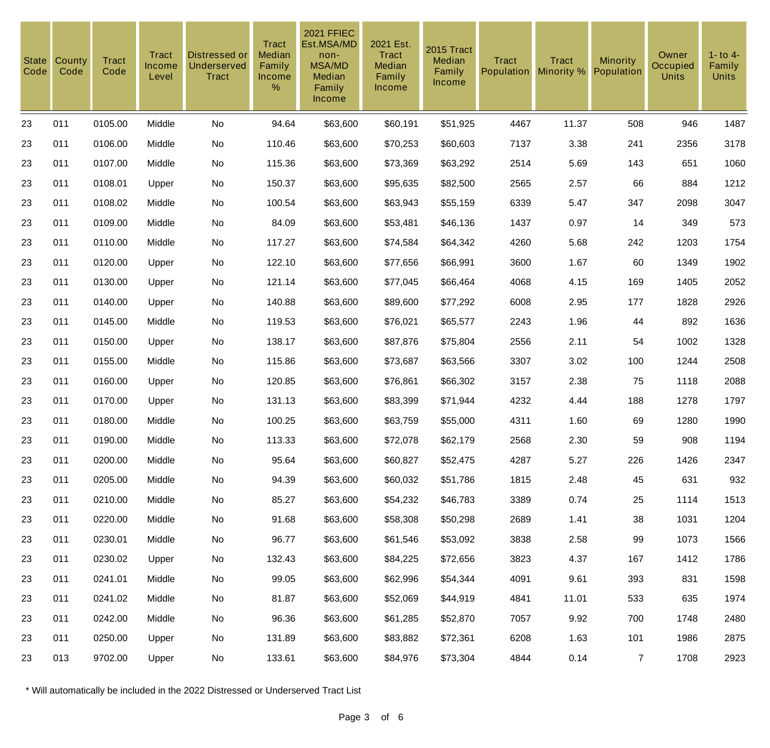| <b>State</b><br>Code | County<br>Code | <b>Tract</b><br>Code | <b>Tract</b><br>Income<br>Level | Distressed or<br><b>Underserved</b><br><b>Tract</b> | <b>Tract</b><br>Median<br>Family<br>Income<br>$\%$ | <b>2021 FFIEC</b><br>Est.MSA/MD<br>non-<br><b>MSA/MD</b><br>Median<br>Family<br>Income | 2021 Est.<br><b>Tract</b><br>Median<br>Family<br>Income | 2015 Tract<br>Median<br>Family<br>Income | <b>Tract</b><br>Population | <b>Tract</b><br>Minority % | <b>Minority</b><br>Population | Owner<br>Occupied<br><b>Units</b> | $1 -$ to $4 -$<br>Family<br><b>Units</b> |
|----------------------|----------------|----------------------|---------------------------------|-----------------------------------------------------|----------------------------------------------------|----------------------------------------------------------------------------------------|---------------------------------------------------------|------------------------------------------|----------------------------|----------------------------|-------------------------------|-----------------------------------|------------------------------------------|
| 23                   | 011            | 0105.00              | Middle                          | No                                                  | 94.64                                              | \$63,600                                                                               | \$60,191                                                | \$51,925                                 | 4467                       | 11.37                      | 508                           | 946                               | 1487                                     |
| 23                   | 011            | 0106.00              | Middle                          | No                                                  | 110.46                                             | \$63,600                                                                               | \$70,253                                                | \$60,603                                 | 7137                       | 3.38                       | 241                           | 2356                              | 3178                                     |
| 23                   | 011            | 0107.00              | Middle                          | No                                                  | 115.36                                             | \$63,600                                                                               | \$73,369                                                | \$63,292                                 | 2514                       | 5.69                       | 143                           | 651                               | 1060                                     |
| 23                   | 011            | 0108.01              | Upper                           | No                                                  | 150.37                                             | \$63,600                                                                               | \$95,635                                                | \$82,500                                 | 2565                       | 2.57                       | 66                            | 884                               | 1212                                     |
| 23                   | 011            | 0108.02              | Middle                          | No                                                  | 100.54                                             | \$63,600                                                                               | \$63,943                                                | \$55,159                                 | 6339                       | 5.47                       | 347                           | 2098                              | 3047                                     |
| 23                   | 011            | 0109.00              | Middle                          | No                                                  | 84.09                                              | \$63,600                                                                               | \$53,481                                                | \$46,136                                 | 1437                       | 0.97                       | 14                            | 349                               | 573                                      |
| 23                   | 011            | 0110.00              | Middle                          | No                                                  | 117.27                                             | \$63,600                                                                               | \$74,584                                                | \$64,342                                 | 4260                       | 5.68                       | 242                           | 1203                              | 1754                                     |
| 23                   | 011            | 0120.00              | Upper                           | No                                                  | 122.10                                             | \$63,600                                                                               | \$77,656                                                | \$66,991                                 | 3600                       | 1.67                       | 60                            | 1349                              | 1902                                     |
| 23                   | 011            | 0130.00              | Upper                           | No                                                  | 121.14                                             | \$63,600                                                                               | \$77,045                                                | \$66,464                                 | 4068                       | 4.15                       | 169                           | 1405                              | 2052                                     |
| 23                   | 011            | 0140.00              | Upper                           | No                                                  | 140.88                                             | \$63,600                                                                               | \$89,600                                                | \$77,292                                 | 6008                       | 2.95                       | 177                           | 1828                              | 2926                                     |
| 23                   | 011            | 0145.00              | Middle                          | No                                                  | 119.53                                             | \$63,600                                                                               | \$76,021                                                | \$65,577                                 | 2243                       | 1.96                       | 44                            | 892                               | 1636                                     |
| 23                   | 011            | 0150.00              | Upper                           | No                                                  | 138.17                                             | \$63,600                                                                               | \$87,876                                                | \$75,804                                 | 2556                       | 2.11                       | 54                            | 1002                              | 1328                                     |
| 23                   | 011            | 0155.00              | Middle                          | No                                                  | 115.86                                             | \$63,600                                                                               | \$73,687                                                | \$63,566                                 | 3307                       | 3.02                       | 100                           | 1244                              | 2508                                     |
| 23                   | 011            | 0160.00              | Upper                           | No                                                  | 120.85                                             | \$63,600                                                                               | \$76,861                                                | \$66,302                                 | 3157                       | 2.38                       | 75                            | 1118                              | 2088                                     |
| 23                   | 011            | 0170.00              | Upper                           | No                                                  | 131.13                                             | \$63,600                                                                               | \$83,399                                                | \$71,944                                 | 4232                       | 4.44                       | 188                           | 1278                              | 1797                                     |
| 23                   | 011            | 0180.00              | Middle                          | No                                                  | 100.25                                             | \$63,600                                                                               | \$63,759                                                | \$55,000                                 | 4311                       | 1.60                       | 69                            | 1280                              | 1990                                     |
| 23                   | 011            | 0190.00              | Middle                          | No                                                  | 113.33                                             | \$63,600                                                                               | \$72,078                                                | \$62,179                                 | 2568                       | 2.30                       | 59                            | 908                               | 1194                                     |
| 23                   | 011            | 0200.00              | Middle                          | No                                                  | 95.64                                              | \$63,600                                                                               | \$60,827                                                | \$52,475                                 | 4287                       | 5.27                       | 226                           | 1426                              | 2347                                     |
| 23                   | 011            | 0205.00              | Middle                          | No                                                  | 94.39                                              | \$63,600                                                                               | \$60,032                                                | \$51,786                                 | 1815                       | 2.48                       | 45                            | 631                               | 932                                      |
| 23                   | 011            | 0210.00              | Middle                          | No                                                  | 85.27                                              | \$63,600                                                                               | \$54,232                                                | \$46,783                                 | 3389                       | 0.74                       | 25                            | 1114                              | 1513                                     |
| 23                   | 011            | 0220.00              | Middle                          | No                                                  | 91.68                                              | \$63,600                                                                               | \$58,308                                                | \$50,298                                 | 2689                       | 1.41                       | 38                            | 1031                              | 1204                                     |
| 23                   | 011            | 0230.01              | Middle                          | No                                                  | 96.77                                              | \$63,600                                                                               | \$61,546                                                | \$53,092                                 | 3838                       | 2.58                       | 99                            | 1073                              | 1566                                     |
| 23                   | 011            | 0230.02              | Upper                           | No                                                  | 132.43                                             | \$63,600                                                                               | \$84,225                                                | \$72,656                                 | 3823                       | 4.37                       | 167                           | 1412                              | 1786                                     |
| 23                   | 011            | 0241.01              | Middle                          | No                                                  | 99.05                                              | \$63,600                                                                               | \$62,996                                                | \$54,344                                 | 4091                       | 9.61                       | 393                           | 831                               | 1598                                     |
| 23                   | 011            | 0241.02              | Middle                          | No                                                  | 81.87                                              | \$63,600                                                                               | \$52,069                                                | \$44,919                                 | 4841                       | 11.01                      | 533                           | 635                               | 1974                                     |
| 23                   | 011            | 0242.00              | Middle                          | No                                                  | 96.36                                              | \$63,600                                                                               | \$61,285                                                | \$52,870                                 | 7057                       | 9.92                       | 700                           | 1748                              | 2480                                     |
| 23                   | 011            | 0250.00              | Upper                           | No                                                  | 131.89                                             | \$63,600                                                                               | \$83,882                                                | \$72,361                                 | 6208                       | 1.63                       | 101                           | 1986                              | 2875                                     |
| 23                   | 013            | 9702.00              | Upper                           | No                                                  | 133.61                                             | \$63,600                                                                               | \$84,976                                                | \$73,304                                 | 4844                       | 0.14                       | $\overline{7}$                | 1708                              | 2923                                     |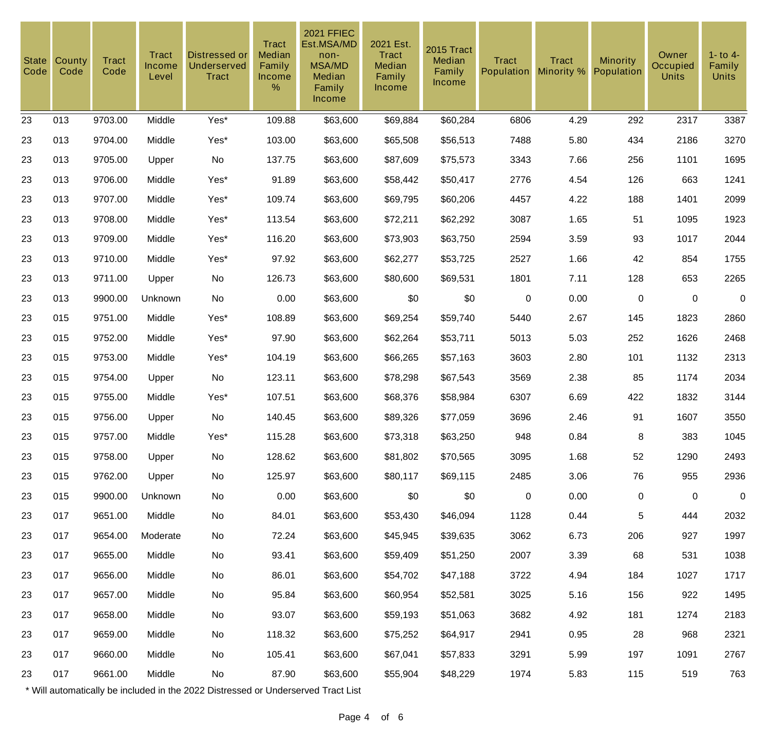| <b>State</b><br>Code | County<br>Code | <b>Tract</b><br>Code | Tract<br>Income<br>Level | Distressed or<br><b>Underserved</b><br><b>Tract</b> | <b>Tract</b><br>Median<br>Family<br>Income<br>% | <b>2021 FFIEC</b><br>Est.MSA/MD<br>non-<br><b>MSA/MD</b><br>Median<br>Family<br>Income | 2021 Est.<br>Tract<br>Median<br>Family<br><b>Income</b> | 2015 Tract<br>Median<br>Family<br>Income | <b>Tract</b><br>Population | <b>Tract</b><br>Minority % | <b>Minority</b><br>Population | Owner<br><b>Occupied</b><br><b>Units</b> | $1 -$ to $4 -$<br>Family<br><b>Units</b> |
|----------------------|----------------|----------------------|--------------------------|-----------------------------------------------------|-------------------------------------------------|----------------------------------------------------------------------------------------|---------------------------------------------------------|------------------------------------------|----------------------------|----------------------------|-------------------------------|------------------------------------------|------------------------------------------|
| 23                   | 013            | 9703.00              | Middle                   | Yes*                                                | 109.88                                          | \$63,600                                                                               | \$69,884                                                | \$60,284                                 | 6806                       | 4.29                       | 292                           | 2317                                     | 3387                                     |
| 23                   | 013            | 9704.00              | Middle                   | Yes*                                                | 103.00                                          | \$63,600                                                                               | \$65,508                                                | \$56,513                                 | 7488                       | 5.80                       | 434                           | 2186                                     | 3270                                     |
| 23                   | 013            | 9705.00              | Upper                    | No                                                  | 137.75                                          | \$63,600                                                                               | \$87,609                                                | \$75,573                                 | 3343                       | 7.66                       | 256                           | 1101                                     | 1695                                     |
| 23                   | 013            | 9706.00              | Middle                   | Yes*                                                | 91.89                                           | \$63,600                                                                               | \$58,442                                                | \$50,417                                 | 2776                       | 4.54                       | 126                           | 663                                      | 1241                                     |
| 23                   | 013            | 9707.00              | Middle                   | Yes*                                                | 109.74                                          | \$63,600                                                                               | \$69,795                                                | \$60,206                                 | 4457                       | 4.22                       | 188                           | 1401                                     | 2099                                     |
| 23                   | 013            | 9708.00              | Middle                   | Yes*                                                | 113.54                                          | \$63,600                                                                               | \$72,211                                                | \$62,292                                 | 3087                       | 1.65                       | 51                            | 1095                                     | 1923                                     |
| 23                   | 013            | 9709.00              | Middle                   | Yes*                                                | 116.20                                          | \$63,600                                                                               | \$73,903                                                | \$63,750                                 | 2594                       | 3.59                       | 93                            | 1017                                     | 2044                                     |
| 23                   | 013            | 9710.00              | Middle                   | Yes*                                                | 97.92                                           | \$63,600                                                                               | \$62,277                                                | \$53,725                                 | 2527                       | 1.66                       | 42                            | 854                                      | 1755                                     |
| 23                   | 013            | 9711.00              | Upper                    | No                                                  | 126.73                                          | \$63,600                                                                               | \$80,600                                                | \$69,531                                 | 1801                       | 7.11                       | 128                           | 653                                      | 2265                                     |
| 23                   | 013            | 9900.00              | Unknown                  | No                                                  | 0.00                                            | \$63,600                                                                               | \$0                                                     | \$0                                      | $\pmb{0}$                  | 0.00                       | $\mathbf 0$                   | $\mathbf 0$                              | $\mathbf 0$                              |
| 23                   | 015            | 9751.00              | Middle                   | Yes*                                                | 108.89                                          | \$63,600                                                                               | \$69,254                                                | \$59,740                                 | 5440                       | 2.67                       | 145                           | 1823                                     | 2860                                     |
| 23                   | 015            | 9752.00              | Middle                   | Yes*                                                | 97.90                                           | \$63,600                                                                               | \$62,264                                                | \$53,711                                 | 5013                       | 5.03                       | 252                           | 1626                                     | 2468                                     |
| 23                   | 015            | 9753.00              | Middle                   | Yes*                                                | 104.19                                          | \$63,600                                                                               | \$66,265                                                | \$57,163                                 | 3603                       | 2.80                       | 101                           | 1132                                     | 2313                                     |
| 23                   | 015            | 9754.00              | Upper                    | No                                                  | 123.11                                          | \$63,600                                                                               | \$78,298                                                | \$67,543                                 | 3569                       | 2.38                       | 85                            | 1174                                     | 2034                                     |
| 23                   | 015            | 9755.00              | Middle                   | Yes*                                                | 107.51                                          | \$63,600                                                                               | \$68,376                                                | \$58,984                                 | 6307                       | 6.69                       | 422                           | 1832                                     | 3144                                     |
| 23                   | 015            | 9756.00              | Upper                    | No                                                  | 140.45                                          | \$63,600                                                                               | \$89,326                                                | \$77,059                                 | 3696                       | 2.46                       | 91                            | 1607                                     | 3550                                     |
| 23                   | 015            | 9757.00              | Middle                   | Yes*                                                | 115.28                                          | \$63,600                                                                               | \$73,318                                                | \$63,250                                 | 948                        | 0.84                       | 8                             | 383                                      | 1045                                     |
| 23                   | 015            | 9758.00              | Upper                    | No                                                  | 128.62                                          | \$63,600                                                                               | \$81,802                                                | \$70,565                                 | 3095                       | 1.68                       | 52                            | 1290                                     | 2493                                     |
| 23                   | 015            | 9762.00              | Upper                    | No                                                  | 125.97                                          | \$63,600                                                                               | \$80,117                                                | \$69,115                                 | 2485                       | 3.06                       | 76                            | 955                                      | 2936                                     |
| 23                   | 015            | 9900.00              | Unknown                  | No                                                  | 0.00                                            | \$63,600                                                                               | \$0                                                     | \$0                                      | $\mathbf 0$                | 0.00                       | $\mathbf 0$                   | $\mathbf 0$                              | $\pmb{0}$                                |
| 23                   | 017            | 9651.00              | Middle                   | No                                                  | 84.01                                           | \$63,600                                                                               | \$53,430                                                | \$46,094                                 | 1128                       | 0.44                       | 5                             | 444                                      | 2032                                     |
| 23                   | 017            | 9654.00              | Moderate                 | No                                                  | 72.24                                           | \$63,600                                                                               | \$45,945                                                | \$39,635                                 | 3062                       | 6.73                       | 206                           | 927                                      | 1997                                     |
| 23                   | 017            | 9655.00              | Middle                   | No                                                  | 93.41                                           | \$63,600                                                                               | \$59,409                                                | \$51,250                                 | 2007                       | 3.39                       | 68                            | 531                                      | 1038                                     |
| 23                   | 017            | 9656.00              | Middle                   | No                                                  | 86.01                                           | \$63,600                                                                               | \$54,702                                                | \$47,188                                 | 3722                       | 4.94                       | 184                           | 1027                                     | 1717                                     |
| 23                   | 017            | 9657.00              | Middle                   | No                                                  | 95.84                                           | \$63,600                                                                               | \$60,954                                                | \$52,581                                 | 3025                       | 5.16                       | 156                           | 922                                      | 1495                                     |
| 23                   | 017            | 9658.00              | Middle                   | No                                                  | 93.07                                           | \$63,600                                                                               | \$59,193                                                | \$51,063                                 | 3682                       | 4.92                       | 181                           | 1274                                     | 2183                                     |
| 23                   | 017            | 9659.00              | Middle                   | No                                                  | 118.32                                          | \$63,600                                                                               | \$75,252                                                | \$64,917                                 | 2941                       | 0.95                       | 28                            | 968                                      | 2321                                     |
| 23                   | 017            | 9660.00              | Middle                   | No                                                  | 105.41                                          | \$63,600                                                                               | \$67,041                                                | \$57,833                                 | 3291                       | 5.99                       | 197                           | 1091                                     | 2767                                     |
| 23                   | 017            | 9661.00              | Middle                   | No                                                  | 87.90                                           | \$63,600                                                                               | \$55,904                                                | \$48,229                                 | 1974                       | 5.83                       | 115                           | 519                                      | 763                                      |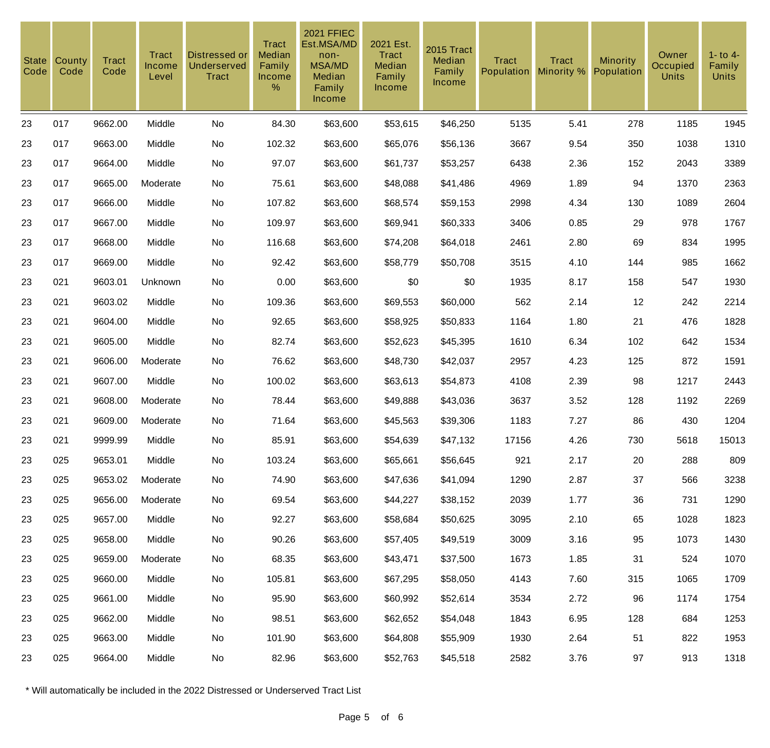| <b>State</b><br>Code | County<br>Code | <b>Tract</b><br>Code | <b>Tract</b><br>Income<br>Level | Distressed or<br><b>Underserved</b><br><b>Tract</b> | <b>Tract</b><br>Median<br>Family<br>Income<br>$\%$ | <b>2021 FFIEC</b><br>Est.MSA/MD<br>non-<br><b>MSA/MD</b><br>Median<br>Family<br>Income | 2021 Est.<br><b>Tract</b><br>Median<br>Family<br>Income | 2015 Tract<br>Median<br>Family<br>Income | <b>Tract</b><br>Population | <b>Tract</b><br>Minority % | <b>Minority</b><br>Population | Owner<br>Occupied<br><b>Units</b> | $1 -$ to $4 -$<br>Family<br><b>Units</b> |
|----------------------|----------------|----------------------|---------------------------------|-----------------------------------------------------|----------------------------------------------------|----------------------------------------------------------------------------------------|---------------------------------------------------------|------------------------------------------|----------------------------|----------------------------|-------------------------------|-----------------------------------|------------------------------------------|
| 23                   | 017            | 9662.00              | Middle                          | No                                                  | 84.30                                              | \$63,600                                                                               | \$53,615                                                | \$46,250                                 | 5135                       | 5.41                       | 278                           | 1185                              | 1945                                     |
| 23                   | 017            | 9663.00              | Middle                          | No                                                  | 102.32                                             | \$63,600                                                                               | \$65,076                                                | \$56,136                                 | 3667                       | 9.54                       | 350                           | 1038                              | 1310                                     |
| 23                   | 017            | 9664.00              | Middle                          | No                                                  | 97.07                                              | \$63,600                                                                               | \$61,737                                                | \$53,257                                 | 6438                       | 2.36                       | 152                           | 2043                              | 3389                                     |
| 23                   | 017            | 9665.00              | Moderate                        | No                                                  | 75.61                                              | \$63,600                                                                               | \$48,088                                                | \$41,486                                 | 4969                       | 1.89                       | 94                            | 1370                              | 2363                                     |
| 23                   | 017            | 9666.00              | Middle                          | No                                                  | 107.82                                             | \$63,600                                                                               | \$68,574                                                | \$59,153                                 | 2998                       | 4.34                       | 130                           | 1089                              | 2604                                     |
| 23                   | 017            | 9667.00              | Middle                          | No                                                  | 109.97                                             | \$63,600                                                                               | \$69,941                                                | \$60,333                                 | 3406                       | 0.85                       | 29                            | 978                               | 1767                                     |
| 23                   | 017            | 9668.00              | Middle                          | No                                                  | 116.68                                             | \$63,600                                                                               | \$74,208                                                | \$64,018                                 | 2461                       | 2.80                       | 69                            | 834                               | 1995                                     |
| 23                   | 017            | 9669.00              | Middle                          | No                                                  | 92.42                                              | \$63,600                                                                               | \$58,779                                                | \$50,708                                 | 3515                       | 4.10                       | 144                           | 985                               | 1662                                     |
| 23                   | 021            | 9603.01              | Unknown                         | No                                                  | 0.00                                               | \$63,600                                                                               | \$0                                                     | \$0                                      | 1935                       | 8.17                       | 158                           | 547                               | 1930                                     |
| 23                   | 021            | 9603.02              | Middle                          | No                                                  | 109.36                                             | \$63,600                                                                               | \$69,553                                                | \$60,000                                 | 562                        | 2.14                       | 12                            | 242                               | 2214                                     |
| 23                   | 021            | 9604.00              | Middle                          | No                                                  | 92.65                                              | \$63,600                                                                               | \$58,925                                                | \$50,833                                 | 1164                       | 1.80                       | 21                            | 476                               | 1828                                     |
| 23                   | 021            | 9605.00              | Middle                          | No                                                  | 82.74                                              | \$63,600                                                                               | \$52,623                                                | \$45,395                                 | 1610                       | 6.34                       | 102                           | 642                               | 1534                                     |
| 23                   | 021            | 9606.00              | Moderate                        | No                                                  | 76.62                                              | \$63,600                                                                               | \$48,730                                                | \$42,037                                 | 2957                       | 4.23                       | 125                           | 872                               | 1591                                     |
| 23                   | 021            | 9607.00              | Middle                          | No                                                  | 100.02                                             | \$63,600                                                                               | \$63,613                                                | \$54,873                                 | 4108                       | 2.39                       | 98                            | 1217                              | 2443                                     |
| 23                   | 021            | 9608.00              | Moderate                        | No                                                  | 78.44                                              | \$63,600                                                                               | \$49,888                                                | \$43,036                                 | 3637                       | 3.52                       | 128                           | 1192                              | 2269                                     |
| 23                   | 021            | 9609.00              | Moderate                        | No                                                  | 71.64                                              | \$63,600                                                                               | \$45,563                                                | \$39,306                                 | 1183                       | 7.27                       | 86                            | 430                               | 1204                                     |
| 23                   | 021            | 9999.99              | Middle                          | No                                                  | 85.91                                              | \$63,600                                                                               | \$54,639                                                | \$47,132                                 | 17156                      | 4.26                       | 730                           | 5618                              | 15013                                    |
| 23                   | 025            | 9653.01              | Middle                          | No                                                  | 103.24                                             | \$63,600                                                                               | \$65,661                                                | \$56,645                                 | 921                        | 2.17                       | 20                            | 288                               | 809                                      |
| 23                   | 025            | 9653.02              | Moderate                        | No                                                  | 74.90                                              | \$63,600                                                                               | \$47,636                                                | \$41,094                                 | 1290                       | 2.87                       | 37                            | 566                               | 3238                                     |
| 23                   | 025            | 9656.00              | Moderate                        | No                                                  | 69.54                                              | \$63,600                                                                               | \$44,227                                                | \$38,152                                 | 2039                       | 1.77                       | 36                            | 731                               | 1290                                     |
| 23                   | 025            | 9657.00              | Middle                          | No                                                  | 92.27                                              | \$63,600                                                                               | \$58,684                                                | \$50,625                                 | 3095                       | 2.10                       | 65                            | 1028                              | 1823                                     |
| 23                   | 025            | 9658.00              | Middle                          | No                                                  | 90.26                                              | \$63,600                                                                               | \$57,405                                                | \$49,519                                 | 3009                       | 3.16                       | 95                            | 1073                              | 1430                                     |
| 23                   | 025            | 9659.00              | Moderate                        | No                                                  | 68.35                                              | \$63,600                                                                               | \$43,471                                                | \$37,500                                 | 1673                       | 1.85                       | 31                            | 524                               | 1070                                     |
| 23                   | 025            | 9660.00              | Middle                          | No                                                  | 105.81                                             | \$63,600                                                                               | \$67,295                                                | \$58,050                                 | 4143                       | 7.60                       | 315                           | 1065                              | 1709                                     |
| 23                   | 025            | 9661.00              | Middle                          | No                                                  | 95.90                                              | \$63,600                                                                               | \$60,992                                                | \$52,614                                 | 3534                       | 2.72                       | 96                            | 1174                              | 1754                                     |
| 23                   | 025            | 9662.00              | Middle                          | No                                                  | 98.51                                              | \$63,600                                                                               | \$62,652                                                | \$54,048                                 | 1843                       | 6.95                       | 128                           | 684                               | 1253                                     |
| 23                   | 025            | 9663.00              | Middle                          | No                                                  | 101.90                                             | \$63,600                                                                               | \$64,808                                                | \$55,909                                 | 1930                       | 2.64                       | 51                            | 822                               | 1953                                     |
| 23                   | 025            | 9664.00              | Middle                          | No                                                  | 82.96                                              | \$63,600                                                                               | \$52,763                                                | \$45,518                                 | 2582                       | 3.76                       | 97                            | 913                               | 1318                                     |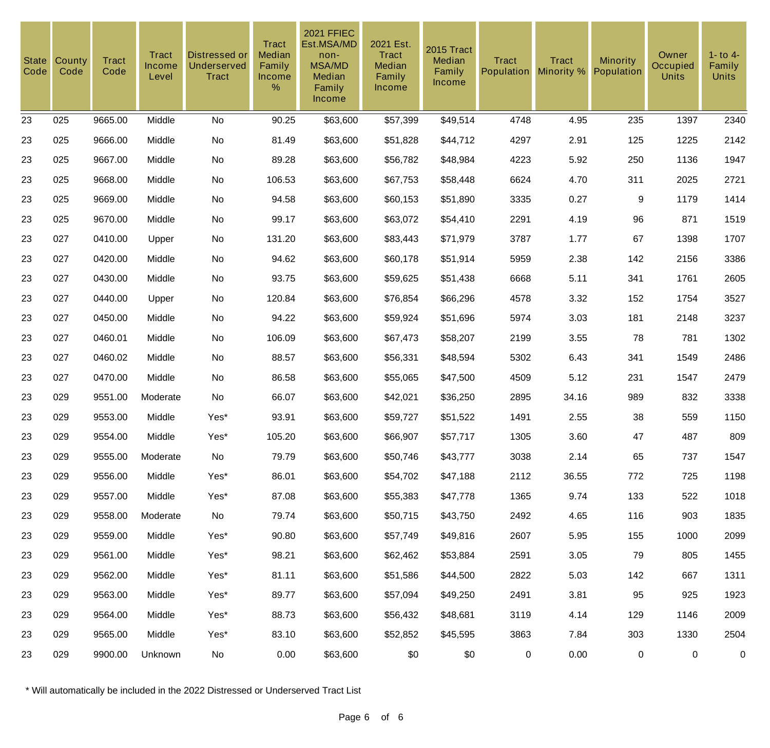| <b>State</b><br>Code | County<br>Code | <b>Tract</b><br>Code | <b>Tract</b><br>Income<br>Level | Distressed or<br><b>Underserved</b><br><b>Tract</b> | <b>Tract</b><br><b>Median</b><br>Family<br>Income<br>$\%$ | <b>2021 FFIEC</b><br>Est.MSA/MD<br>non-<br><b>MSA/MD</b><br>Median<br>Family<br>Income | 2021 Est.<br><b>Tract</b><br>Median<br>Family<br><b>Income</b> | 2015 Tract<br>Median<br>Family<br>Income | <b>Tract</b><br>Population | <b>Tract</b><br>Minority % | Minority<br>Population | Owner<br>Occupied<br><b>Units</b> | $1 -$ to $4 -$<br>Family<br><b>Units</b> |
|----------------------|----------------|----------------------|---------------------------------|-----------------------------------------------------|-----------------------------------------------------------|----------------------------------------------------------------------------------------|----------------------------------------------------------------|------------------------------------------|----------------------------|----------------------------|------------------------|-----------------------------------|------------------------------------------|
| 23                   | 025            | 9665.00              | Middle                          | No                                                  | 90.25                                                     | \$63,600                                                                               | \$57,399                                                       | \$49,514                                 | 4748                       | 4.95                       | 235                    | 1397                              | 2340                                     |
| 23                   | 025            | 9666.00              | Middle                          | No                                                  | 81.49                                                     | \$63,600                                                                               | \$51,828                                                       | \$44,712                                 | 4297                       | 2.91                       | 125                    | 1225                              | 2142                                     |
| 23                   | 025            | 9667.00              | Middle                          | No                                                  | 89.28                                                     | \$63,600                                                                               | \$56,782                                                       | \$48,984                                 | 4223                       | 5.92                       | 250                    | 1136                              | 1947                                     |
| 23                   | 025            | 9668.00              | Middle                          | No                                                  | 106.53                                                    | \$63,600                                                                               | \$67,753                                                       | \$58,448                                 | 6624                       | 4.70                       | 311                    | 2025                              | 2721                                     |
| 23                   | 025            | 9669.00              | Middle                          | No                                                  | 94.58                                                     | \$63,600                                                                               | \$60,153                                                       | \$51,890                                 | 3335                       | 0.27                       | 9                      | 1179                              | 1414                                     |
| 23                   | 025            | 9670.00              | Middle                          | No                                                  | 99.17                                                     | \$63,600                                                                               | \$63,072                                                       | \$54,410                                 | 2291                       | 4.19                       | 96                     | 871                               | 1519                                     |
| 23                   | 027            | 0410.00              | Upper                           | No                                                  | 131.20                                                    | \$63,600                                                                               | \$83,443                                                       | \$71,979                                 | 3787                       | 1.77                       | 67                     | 1398                              | 1707                                     |
| 23                   | 027            | 0420.00              | Middle                          | No                                                  | 94.62                                                     | \$63,600                                                                               | \$60,178                                                       | \$51,914                                 | 5959                       | 2.38                       | 142                    | 2156                              | 3386                                     |
| 23                   | 027            | 0430.00              | Middle                          | No                                                  | 93.75                                                     | \$63,600                                                                               | \$59,625                                                       | \$51,438                                 | 6668                       | 5.11                       | 341                    | 1761                              | 2605                                     |
| 23                   | 027            | 0440.00              | Upper                           | No                                                  | 120.84                                                    | \$63,600                                                                               | \$76,854                                                       | \$66,296                                 | 4578                       | 3.32                       | 152                    | 1754                              | 3527                                     |
| 23                   | 027            | 0450.00              | Middle                          | No                                                  | 94.22                                                     | \$63,600                                                                               | \$59,924                                                       | \$51,696                                 | 5974                       | 3.03                       | 181                    | 2148                              | 3237                                     |
| 23                   | 027            | 0460.01              | Middle                          | No                                                  | 106.09                                                    | \$63,600                                                                               | \$67,473                                                       | \$58,207                                 | 2199                       | 3.55                       | 78                     | 781                               | 1302                                     |
| 23                   | 027            | 0460.02              | Middle                          | No                                                  | 88.57                                                     | \$63,600                                                                               | \$56,331                                                       | \$48,594                                 | 5302                       | 6.43                       | 341                    | 1549                              | 2486                                     |
| 23                   | 027            | 0470.00              | Middle                          | No                                                  | 86.58                                                     | \$63,600                                                                               | \$55,065                                                       | \$47,500                                 | 4509                       | 5.12                       | 231                    | 1547                              | 2479                                     |
| 23                   | 029            | 9551.00              | Moderate                        | No                                                  | 66.07                                                     | \$63,600                                                                               | \$42,021                                                       | \$36,250                                 | 2895                       | 34.16                      | 989                    | 832                               | 3338                                     |
| 23                   | 029            | 9553.00              | Middle                          | Yes*                                                | 93.91                                                     | \$63,600                                                                               | \$59,727                                                       | \$51,522                                 | 1491                       | 2.55                       | 38                     | 559                               | 1150                                     |
| 23                   | 029            | 9554.00              | Middle                          | Yes*                                                | 105.20                                                    | \$63,600                                                                               | \$66,907                                                       | \$57,717                                 | 1305                       | 3.60                       | 47                     | 487                               | 809                                      |
| 23                   | 029            | 9555.00              | Moderate                        | No                                                  | 79.79                                                     | \$63,600                                                                               | \$50,746                                                       | \$43,777                                 | 3038                       | 2.14                       | 65                     | 737                               | 1547                                     |
| 23                   | 029            | 9556.00              | Middle                          | Yes*                                                | 86.01                                                     | \$63,600                                                                               | \$54,702                                                       | \$47,188                                 | 2112                       | 36.55                      | 772                    | 725                               | 1198                                     |
| 23                   | 029            | 9557.00              | Middle                          | Yes*                                                | 87.08                                                     | \$63,600                                                                               | \$55,383                                                       | \$47,778                                 | 1365                       | 9.74                       | 133                    | 522                               | 1018                                     |
| 23                   | 029            | 9558.00              | Moderate                        | No                                                  | 79.74                                                     | \$63,600                                                                               | \$50,715                                                       | \$43,750                                 | 2492                       | 4.65                       | 116                    | 903                               | 1835                                     |
| 23                   | 029            | 9559.00              | Middle                          | Yes*                                                | 90.80                                                     | \$63,600                                                                               | \$57,749                                                       | \$49,816                                 | 2607                       | 5.95                       | 155                    | 1000                              | 2099                                     |
| 23                   | 029            | 9561.00              | Middle                          | Yes*                                                | 98.21                                                     | \$63,600                                                                               | \$62,462                                                       | \$53,884                                 | 2591                       | 3.05                       | 79                     | 805                               | 1455                                     |
| 23                   | 029            | 9562.00              | Middle                          | Yes*                                                | 81.11                                                     | \$63,600                                                                               | \$51,586                                                       | \$44,500                                 | 2822                       | 5.03                       | 142                    | 667                               | 1311                                     |
| 23                   | 029            | 9563.00              | Middle                          | Yes*                                                | 89.77                                                     | \$63,600                                                                               | \$57,094                                                       | \$49,250                                 | 2491                       | 3.81                       | 95                     | 925                               | 1923                                     |
| 23                   | 029            | 9564.00              | Middle                          | Yes*                                                | 88.73                                                     | \$63,600                                                                               | \$56,432                                                       | \$48,681                                 | 3119                       | 4.14                       | 129                    | 1146                              | 2009                                     |
| 23                   | 029            | 9565.00              | Middle                          | Yes*                                                | 83.10                                                     | \$63,600                                                                               | \$52,852                                                       | \$45,595                                 | 3863                       | 7.84                       | 303                    | 1330                              | 2504                                     |
| 23                   | 029            | 9900.00              | Unknown                         | No                                                  | 0.00                                                      | \$63,600                                                                               | \$0                                                            | \$0                                      | $\mathbf 0$                | 0.00                       | $\mathbf 0$            | $\mathbf 0$                       | $\mathbf 0$                              |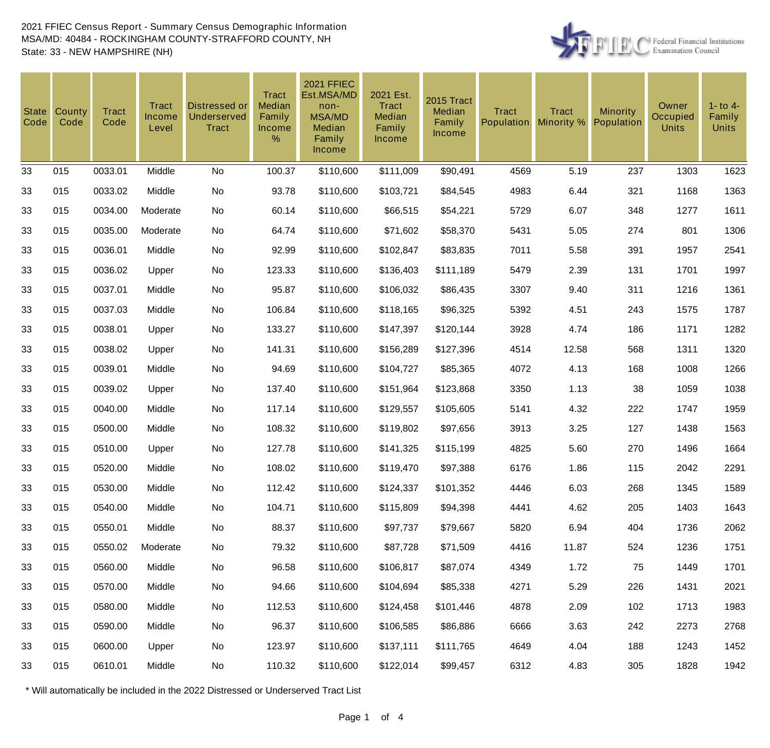

| <b>State</b><br>Code | County<br>Code | <b>Tract</b><br>Code | Tract<br><b>Income</b><br>Level | Distressed or<br>Underserved<br><b>Tract</b> | <b>Tract</b><br>Median<br>Family<br>Income<br>% | <b>2021 FFIEC</b><br>Est.MSA/MD<br>non-<br><b>MSA/MD</b><br>Median<br>Family<br><b>Income</b> | 2021 Est.<br>Tract<br>Median<br>Family<br>Income | 2015 Tract<br>Median<br>Family<br>Income | <b>Tract</b><br>Population | <b>Tract</b><br>Minority % | <b>Minority</b><br>Population | Owner<br>Occupied<br><b>Units</b> | $1 -$ to $4 -$<br>Family<br><b>Units</b> |
|----------------------|----------------|----------------------|---------------------------------|----------------------------------------------|-------------------------------------------------|-----------------------------------------------------------------------------------------------|--------------------------------------------------|------------------------------------------|----------------------------|----------------------------|-------------------------------|-----------------------------------|------------------------------------------|
| 33                   | 015            | 0033.01              | Middle                          | No                                           | 100.37                                          | \$110,600                                                                                     | \$111,009                                        | \$90,491                                 | 4569                       | 5.19                       | 237                           | 1303                              | 1623                                     |
| 33                   | 015            | 0033.02              | Middle                          | No                                           | 93.78                                           | \$110,600                                                                                     | \$103,721                                        | \$84,545                                 | 4983                       | 6.44                       | 321                           | 1168                              | 1363                                     |
| 33                   | 015            | 0034.00              | Moderate                        | No                                           | 60.14                                           | \$110,600                                                                                     | \$66,515                                         | \$54,221                                 | 5729                       | 6.07                       | 348                           | 1277                              | 1611                                     |
| 33                   | 015            | 0035.00              | Moderate                        | No                                           | 64.74                                           | \$110,600                                                                                     | \$71,602                                         | \$58,370                                 | 5431                       | 5.05                       | 274                           | 801                               | 1306                                     |
| 33                   | 015            | 0036.01              | Middle                          | No                                           | 92.99                                           | \$110,600                                                                                     | \$102,847                                        | \$83,835                                 | 7011                       | 5.58                       | 391                           | 1957                              | 2541                                     |
| 33                   | 015            | 0036.02              | Upper                           | No                                           | 123.33                                          | \$110,600                                                                                     | \$136,403                                        | \$111,189                                | 5479                       | 2.39                       | 131                           | 1701                              | 1997                                     |
| 33                   | 015            | 0037.01              | Middle                          | No                                           | 95.87                                           | \$110,600                                                                                     | \$106,032                                        | \$86,435                                 | 3307                       | 9.40                       | 311                           | 1216                              | 1361                                     |
| 33                   | 015            | 0037.03              | Middle                          | No                                           | 106.84                                          | \$110,600                                                                                     | \$118,165                                        | \$96,325                                 | 5392                       | 4.51                       | 243                           | 1575                              | 1787                                     |
| 33                   | 015            | 0038.01              | Upper                           | No                                           | 133.27                                          | \$110,600                                                                                     | \$147,397                                        | \$120,144                                | 3928                       | 4.74                       | 186                           | 1171                              | 1282                                     |
| 33                   | 015            | 0038.02              | Upper                           | No                                           | 141.31                                          | \$110,600                                                                                     | \$156,289                                        | \$127,396                                | 4514                       | 12.58                      | 568                           | 1311                              | 1320                                     |
| 33                   | 015            | 0039.01              | Middle                          | No                                           | 94.69                                           | \$110,600                                                                                     | \$104,727                                        | \$85,365                                 | 4072                       | 4.13                       | 168                           | 1008                              | 1266                                     |
| 33                   | 015            | 0039.02              | Upper                           | No                                           | 137.40                                          | \$110,600                                                                                     | \$151,964                                        | \$123,868                                | 3350                       | 1.13                       | 38                            | 1059                              | 1038                                     |
| 33                   | 015            | 0040.00              | Middle                          | No                                           | 117.14                                          | \$110,600                                                                                     | \$129,557                                        | \$105,605                                | 5141                       | 4.32                       | 222                           | 1747                              | 1959                                     |
| 33                   | 015            | 0500.00              | Middle                          | No                                           | 108.32                                          | \$110,600                                                                                     | \$119,802                                        | \$97,656                                 | 3913                       | 3.25                       | 127                           | 1438                              | 1563                                     |
| 33                   | 015            | 0510.00              | Upper                           | No                                           | 127.78                                          | \$110,600                                                                                     | \$141,325                                        | \$115,199                                | 4825                       | 5.60                       | 270                           | 1496                              | 1664                                     |
| 33                   | 015            | 0520.00              | Middle                          | No                                           | 108.02                                          | \$110,600                                                                                     | \$119,470                                        | \$97,388                                 | 6176                       | 1.86                       | 115                           | 2042                              | 2291                                     |
| 33                   | 015            | 0530.00              | Middle                          | No                                           | 112.42                                          | \$110,600                                                                                     | \$124,337                                        | \$101,352                                | 4446                       | 6.03                       | 268                           | 1345                              | 1589                                     |
| 33                   | 015            | 0540.00              | Middle                          | No                                           | 104.71                                          | \$110,600                                                                                     | \$115,809                                        | \$94,398                                 | 4441                       | 4.62                       | 205                           | 1403                              | 1643                                     |
| 33                   | 015            | 0550.01              | Middle                          | No                                           | 88.37                                           | \$110,600                                                                                     | \$97,737                                         | \$79,667                                 | 5820                       | 6.94                       | 404                           | 1736                              | 2062                                     |
| 33                   | 015            | 0550.02              | Moderate                        | No                                           | 79.32                                           | \$110,600                                                                                     | \$87,728                                         | \$71,509                                 | 4416                       | 11.87                      | 524                           | 1236                              | 1751                                     |
| 33                   | 015            | 0560.00              | Middle                          | No                                           | 96.58                                           | \$110,600                                                                                     | \$106,817                                        | \$87,074                                 | 4349                       | 1.72                       | 75                            | 1449                              | 1701                                     |
| 33                   | 015            | 0570.00              | Middle                          | No                                           | 94.66                                           | \$110,600                                                                                     | \$104,694                                        | \$85,338                                 | 4271                       | 5.29                       | 226                           | 1431                              | 2021                                     |
| 33                   | 015            | 0580.00              | Middle                          | No                                           | 112.53                                          | \$110,600                                                                                     | \$124,458                                        | \$101,446                                | 4878                       | 2.09                       | 102                           | 1713                              | 1983                                     |
| 33                   | 015            | 0590.00              | Middle                          | No                                           | 96.37                                           | \$110,600                                                                                     | \$106,585                                        | \$86,886                                 | 6666                       | 3.63                       | 242                           | 2273                              | 2768                                     |
| 33                   | 015            | 0600.00              | Upper                           | No                                           | 123.97                                          | \$110,600                                                                                     | \$137,111                                        | \$111,765                                | 4649                       | 4.04                       | 188                           | 1243                              | 1452                                     |
| 33                   | 015            | 0610.01              | Middle                          | No                                           | 110.32                                          | \$110,600                                                                                     | \$122,014                                        | \$99,457                                 | 6312                       | 4.83                       | 305                           | 1828                              | 1942                                     |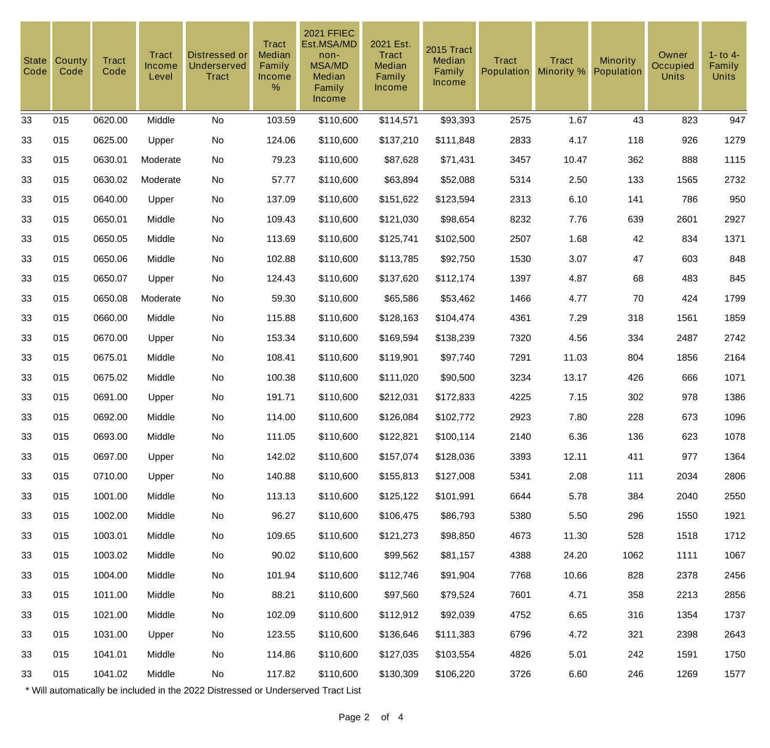| <b>State</b><br>Code | County<br>Code | <b>Tract</b><br>Code | Tract<br>Income<br>Level | Distressed or<br><b>Underserved</b><br><b>Tract</b> | <b>Tract</b><br>Median<br>Family<br>Income<br>% | <b>2021 FFIEC</b><br>Est.MSA/MD<br>non-<br><b>MSA/MD</b><br>Median<br>Family<br>Income | 2021 Est.<br>Tract<br>Median<br>Family<br><b>Income</b> | 2015 Tract<br>Median<br>Family<br>Income | <b>Tract</b><br>Population | <b>Tract</b><br>Minority % | <b>Minority</b><br>Population | Owner<br>Occupied<br><b>Units</b> | $1 -$ to $4 -$<br>Family<br><b>Units</b> |
|----------------------|----------------|----------------------|--------------------------|-----------------------------------------------------|-------------------------------------------------|----------------------------------------------------------------------------------------|---------------------------------------------------------|------------------------------------------|----------------------------|----------------------------|-------------------------------|-----------------------------------|------------------------------------------|
| 33                   | 015            | 0620.00              | Middle                   | No                                                  | 103.59                                          | \$110,600                                                                              | \$114,571                                               | \$93,393                                 | 2575                       | 1.67                       | 43                            | 823                               | 947                                      |
| 33                   | 015            | 0625.00              | Upper                    | No                                                  | 124.06                                          | \$110,600                                                                              | \$137,210                                               | \$111,848                                | 2833                       | 4.17                       | 118                           | 926                               | 1279                                     |
| 33                   | 015            | 0630.01              | Moderate                 | No                                                  | 79.23                                           | \$110,600                                                                              | \$87,628                                                | \$71,431                                 | 3457                       | 10.47                      | 362                           | 888                               | 1115                                     |
| 33                   | 015            | 0630.02              | Moderate                 | No                                                  | 57.77                                           | \$110,600                                                                              | \$63,894                                                | \$52,088                                 | 5314                       | 2.50                       | 133                           | 1565                              | 2732                                     |
| 33                   | 015            | 0640.00              | Upper                    | No                                                  | 137.09                                          | \$110,600                                                                              | \$151,622                                               | \$123,594                                | 2313                       | 6.10                       | 141                           | 786                               | 950                                      |
| 33                   | 015            | 0650.01              | Middle                   | No                                                  | 109.43                                          | \$110,600                                                                              | \$121,030                                               | \$98,654                                 | 8232                       | 7.76                       | 639                           | 2601                              | 2927                                     |
| 33                   | 015            | 0650.05              | Middle                   | No                                                  | 113.69                                          | \$110,600                                                                              | \$125,741                                               | \$102,500                                | 2507                       | 1.68                       | 42                            | 834                               | 1371                                     |
| 33                   | 015            | 0650.06              | Middle                   | No                                                  | 102.88                                          | \$110,600                                                                              | \$113,785                                               | \$92,750                                 | 1530                       | 3.07                       | 47                            | 603                               | 848                                      |
| 33                   | 015            | 0650.07              | Upper                    | No                                                  | 124.43                                          | \$110,600                                                                              | \$137,620                                               | \$112,174                                | 1397                       | 4.87                       | 68                            | 483                               | 845                                      |
| 33                   | 015            | 0650.08              | Moderate                 | No                                                  | 59.30                                           | \$110,600                                                                              | \$65,586                                                | \$53,462                                 | 1466                       | 4.77                       | 70                            | 424                               | 1799                                     |
| 33                   | 015            | 0660.00              | Middle                   | No                                                  | 115.88                                          | \$110,600                                                                              | \$128,163                                               | \$104,474                                | 4361                       | 7.29                       | 318                           | 1561                              | 1859                                     |
| 33                   | 015            | 0670.00              | Upper                    | No                                                  | 153.34                                          | \$110,600                                                                              | \$169,594                                               | \$138,239                                | 7320                       | 4.56                       | 334                           | 2487                              | 2742                                     |
| 33                   | 015            | 0675.01              | Middle                   | No                                                  | 108.41                                          | \$110,600                                                                              | \$119,901                                               | \$97,740                                 | 7291                       | 11.03                      | 804                           | 1856                              | 2164                                     |
| 33                   | 015            | 0675.02              | Middle                   | No                                                  | 100.38                                          | \$110,600                                                                              | \$111,020                                               | \$90,500                                 | 3234                       | 13.17                      | 426                           | 666                               | 1071                                     |
| 33                   | 015            | 0691.00              | Upper                    | No                                                  | 191.71                                          | \$110,600                                                                              | \$212,031                                               | \$172,833                                | 4225                       | 7.15                       | 302                           | 978                               | 1386                                     |
| 33                   | 015            | 0692.00              | Middle                   | No                                                  | 114.00                                          | \$110,600                                                                              | \$126,084                                               | \$102,772                                | 2923                       | 7.80                       | 228                           | 673                               | 1096                                     |
| 33                   | 015            | 0693.00              | Middle                   | No                                                  | 111.05                                          | \$110,600                                                                              | \$122,821                                               | \$100,114                                | 2140                       | 6.36                       | 136                           | 623                               | 1078                                     |
| 33                   | 015            | 0697.00              | Upper                    | No                                                  | 142.02                                          | \$110,600                                                                              | \$157,074                                               | \$128,036                                | 3393                       | 12.11                      | 411                           | 977                               | 1364                                     |
| 33                   | 015            | 0710.00              | Upper                    | No                                                  | 140.88                                          | \$110,600                                                                              | \$155,813                                               | \$127,008                                | 5341                       | 2.08                       | 111                           | 2034                              | 2806                                     |
| 33                   | 015            | 1001.00              | Middle                   | No                                                  | 113.13                                          | \$110,600                                                                              | \$125,122                                               | \$101,991                                | 6644                       | 5.78                       | 384                           | 2040                              | 2550                                     |
| 33                   | 015            | 1002.00              | Middle                   | No                                                  | 96.27                                           | \$110,600                                                                              | \$106,475                                               | \$86,793                                 | 5380                       | 5.50                       | 296                           | 1550                              | 1921                                     |
| 33                   | 015            | 1003.01              | Middle                   | No                                                  | 109.65                                          | \$110,600                                                                              | \$121,273                                               | \$98,850                                 | 4673                       | 11.30                      | 528                           | 1518                              | 1712                                     |
| 33                   | 015            | 1003.02              | Middle                   | No                                                  | 90.02                                           | \$110,600                                                                              | \$99,562                                                | \$81,157                                 | 4388                       | 24.20                      | 1062                          | 1111                              | 1067                                     |
| 33                   | 015            | 1004.00              | Middle                   | No                                                  | 101.94                                          | \$110,600                                                                              | \$112,746                                               | \$91,904                                 | 7768                       | 10.66                      | 828                           | 2378                              | 2456                                     |
| 33                   | 015            | 1011.00              | Middle                   | No                                                  | 88.21                                           | \$110,600                                                                              | \$97,560                                                | \$79,524                                 | 7601                       | 4.71                       | 358                           | 2213                              | 2856                                     |
| 33                   | 015            | 1021.00              | Middle                   | No                                                  | 102.09                                          | \$110,600                                                                              | \$112,912                                               | \$92,039                                 | 4752                       | 6.65                       | 316                           | 1354                              | 1737                                     |
| 33                   | 015            | 1031.00              | Upper                    | No                                                  | 123.55                                          | \$110,600                                                                              | \$136,646                                               | \$111,383                                | 6796                       | 4.72                       | 321                           | 2398                              | 2643                                     |
| 33                   | 015            | 1041.01              | Middle                   | No                                                  | 114.86                                          | \$110,600                                                                              | \$127,035                                               | \$103,554                                | 4826                       | 5.01                       | 242                           | 1591                              | 1750                                     |
| 33                   | 015            | 1041.02              | Middle                   | No                                                  | 117.82                                          | \$110,600                                                                              | \$130,309                                               | \$106,220                                | 3726                       | 6.60                       | 246                           | 1269                              | 1577                                     |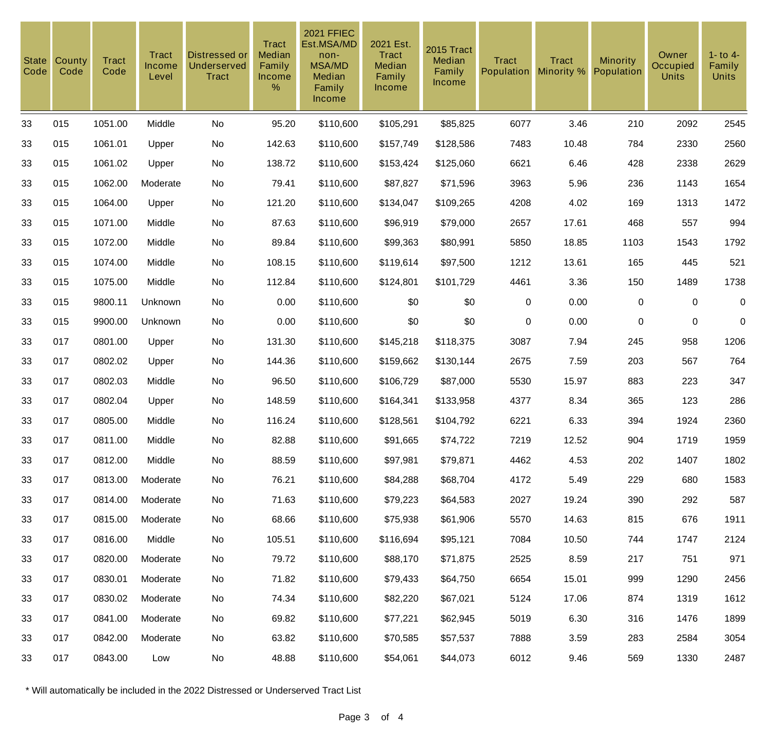| <b>State</b><br>Code | County<br>Code | <b>Tract</b><br>Code | Tract<br>Income<br>Level | <b>Distressed or</b><br><b>Underserved</b><br><b>Tract</b> | <b>Tract</b><br>Median<br>Family<br>Income<br>% | <b>2021 FFIEC</b><br>Est.MSA/MD<br>non-<br><b>MSA/MD</b><br>Median<br>Family<br>Income | 2021 Est.<br><b>Tract</b><br>Median<br>Family<br><b>Income</b> | 2015 Tract<br>Median<br>Family<br>Income | <b>Tract</b><br>Population | <b>Tract</b><br>Minority % | <b>Minority</b><br>Population | Owner<br>Occupied<br><b>Units</b> | $1 -$ to $4 -$<br>Family<br><b>Units</b> |
|----------------------|----------------|----------------------|--------------------------|------------------------------------------------------------|-------------------------------------------------|----------------------------------------------------------------------------------------|----------------------------------------------------------------|------------------------------------------|----------------------------|----------------------------|-------------------------------|-----------------------------------|------------------------------------------|
| 33                   | 015            | 1051.00              | Middle                   | No                                                         | 95.20                                           | \$110,600                                                                              | \$105,291                                                      | \$85,825                                 | 6077                       | 3.46                       | 210                           | 2092                              | 2545                                     |
| 33                   | 015            | 1061.01              | Upper                    | No                                                         | 142.63                                          | \$110,600                                                                              | \$157,749                                                      | \$128,586                                | 7483                       | 10.48                      | 784                           | 2330                              | 2560                                     |
| 33                   | 015            | 1061.02              | Upper                    | No                                                         | 138.72                                          | \$110,600                                                                              | \$153,424                                                      | \$125,060                                | 6621                       | 6.46                       | 428                           | 2338                              | 2629                                     |
| 33                   | 015            | 1062.00              | Moderate                 | No                                                         | 79.41                                           | \$110,600                                                                              | \$87,827                                                       | \$71,596                                 | 3963                       | 5.96                       | 236                           | 1143                              | 1654                                     |
| 33                   | 015            | 1064.00              | Upper                    | No                                                         | 121.20                                          | \$110,600                                                                              | \$134,047                                                      | \$109,265                                | 4208                       | 4.02                       | 169                           | 1313                              | 1472                                     |
| 33                   | 015            | 1071.00              | Middle                   | No                                                         | 87.63                                           | \$110,600                                                                              | \$96,919                                                       | \$79,000                                 | 2657                       | 17.61                      | 468                           | 557                               | 994                                      |
| 33                   | 015            | 1072.00              | Middle                   | No                                                         | 89.84                                           | \$110,600                                                                              | \$99,363                                                       | \$80,991                                 | 5850                       | 18.85                      | 1103                          | 1543                              | 1792                                     |
| 33                   | 015            | 1074.00              | Middle                   | No                                                         | 108.15                                          | \$110,600                                                                              | \$119,614                                                      | \$97,500                                 | 1212                       | 13.61                      | 165                           | 445                               | 521                                      |
| 33                   | 015            | 1075.00              | Middle                   | No                                                         | 112.84                                          | \$110,600                                                                              | \$124,801                                                      | \$101,729                                | 4461                       | 3.36                       | 150                           | 1489                              | 1738                                     |
| 33                   | 015            | 9800.11              | Unknown                  | No                                                         | 0.00                                            | \$110,600                                                                              | \$0                                                            | \$0                                      | $\mathbf 0$                | 0.00                       | $\mathbf 0$                   | $\mathbf 0$                       | $\boldsymbol{0}$                         |
| 33                   | 015            | 9900.00              | Unknown                  | No                                                         | 0.00                                            | \$110,600                                                                              | \$0                                                            | \$0                                      | $\mathbf 0$                | 0.00                       | 0                             | $\mathbf 0$                       | $\mathbf 0$                              |
| 33                   | 017            | 0801.00              | Upper                    | No                                                         | 131.30                                          | \$110,600                                                                              | \$145,218                                                      | \$118,375                                | 3087                       | 7.94                       | 245                           | 958                               | 1206                                     |
| 33                   | 017            | 0802.02              | Upper                    | No                                                         | 144.36                                          | \$110,600                                                                              | \$159,662                                                      | \$130,144                                | 2675                       | 7.59                       | 203                           | 567                               | 764                                      |
| 33                   | 017            | 0802.03              | Middle                   | No                                                         | 96.50                                           | \$110,600                                                                              | \$106,729                                                      | \$87,000                                 | 5530                       | 15.97                      | 883                           | 223                               | 347                                      |
| 33                   | 017            | 0802.04              | Upper                    | No                                                         | 148.59                                          | \$110,600                                                                              | \$164,341                                                      | \$133,958                                | 4377                       | 8.34                       | 365                           | 123                               | 286                                      |
| 33                   | 017            | 0805.00              | Middle                   | No                                                         | 116.24                                          | \$110,600                                                                              | \$128,561                                                      | \$104,792                                | 6221                       | 6.33                       | 394                           | 1924                              | 2360                                     |
| 33                   | 017            | 0811.00              | Middle                   | No                                                         | 82.88                                           | \$110,600                                                                              | \$91,665                                                       | \$74,722                                 | 7219                       | 12.52                      | 904                           | 1719                              | 1959                                     |
| 33                   | 017            | 0812.00              | Middle                   | No                                                         | 88.59                                           | \$110,600                                                                              | \$97,981                                                       | \$79,871                                 | 4462                       | 4.53                       | 202                           | 1407                              | 1802                                     |
| 33                   | 017            | 0813.00              | Moderate                 | No                                                         | 76.21                                           | \$110,600                                                                              | \$84,288                                                       | \$68,704                                 | 4172                       | 5.49                       | 229                           | 680                               | 1583                                     |
| 33                   | 017            | 0814.00              | Moderate                 | No                                                         | 71.63                                           | \$110,600                                                                              | \$79,223                                                       | \$64,583                                 | 2027                       | 19.24                      | 390                           | 292                               | 587                                      |
| 33                   | 017            | 0815.00              | Moderate                 | No                                                         | 68.66                                           | \$110,600                                                                              | \$75,938                                                       | \$61,906                                 | 5570                       | 14.63                      | 815                           | 676                               | 1911                                     |
| 33                   | 017            | 0816.00              | Middle                   | No                                                         | 105.51                                          | \$110,600                                                                              | \$116,694                                                      | \$95,121                                 | 7084                       | 10.50                      | 744                           | 1747                              | 2124                                     |
| 33                   | 017            | 0820.00              | Moderate                 | No                                                         | 79.72                                           | \$110,600                                                                              | \$88,170                                                       | \$71,875                                 | 2525                       | 8.59                       | 217                           | 751                               | 971                                      |
| 33                   | 017            | 0830.01              | Moderate                 | No                                                         | 71.82                                           | \$110,600                                                                              | \$79,433                                                       | \$64,750                                 | 6654                       | 15.01                      | 999                           | 1290                              | 2456                                     |
| 33                   | 017            | 0830.02              | Moderate                 | No                                                         | 74.34                                           | \$110,600                                                                              | \$82,220                                                       | \$67,021                                 | 5124                       | 17.06                      | 874                           | 1319                              | 1612                                     |
| 33                   | 017            | 0841.00              | Moderate                 | No                                                         | 69.82                                           | \$110,600                                                                              | \$77,221                                                       | \$62,945                                 | 5019                       | 6.30                       | 316                           | 1476                              | 1899                                     |
| 33                   | 017            | 0842.00              | Moderate                 | No                                                         | 63.82                                           | \$110,600                                                                              | \$70,585                                                       | \$57,537                                 | 7888                       | 3.59                       | 283                           | 2584                              | 3054                                     |
| 33                   | 017            | 0843.00              | Low                      | No                                                         | 48.88                                           | \$110,600                                                                              | \$54,061                                                       | \$44,073                                 | 6012                       | 9.46                       | 569                           | 1330                              | 2487                                     |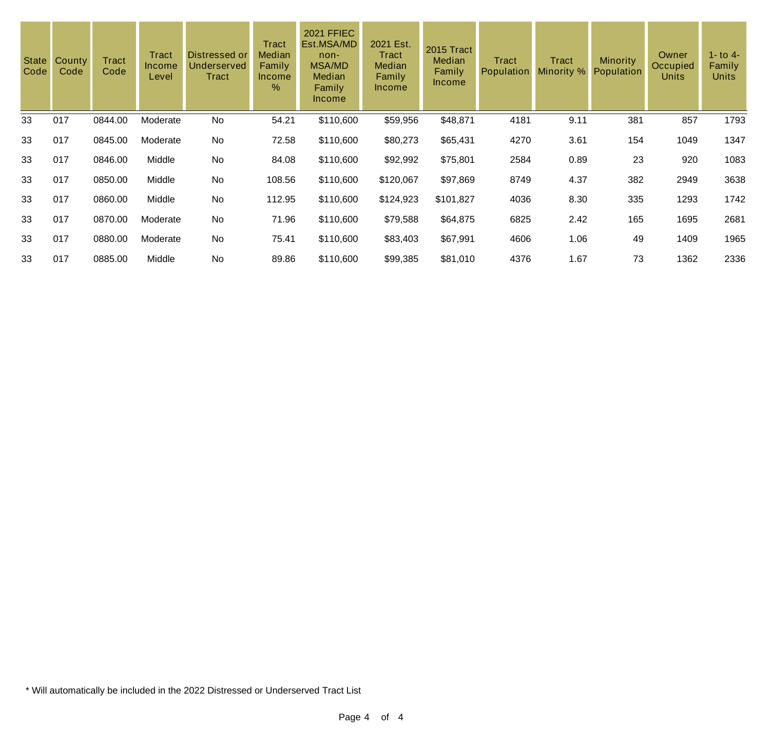| <b>State</b><br>Code | County<br>Code | Tract<br>Code | <b>Tract</b><br><b>Income</b><br>Level | Distressed or<br>Underserved<br>Tract | Tract<br>Median<br>Family<br><b>Income</b><br>$\%$ | <b>2021 FFIEC</b><br>Est.MSA/MD<br>$non-$<br><b>MSA/MD</b><br>Median<br>Family<br><b>Income</b> | 2021 Est.<br>Tract<br><b>Median</b><br>Family<br><b>Income</b> | 2015 Tract<br>Median<br>Family<br><b>Income</b> | <b>Tract</b><br>Population | Tract<br>Minority % | <b>Minority</b><br>Population | Owner<br>Occupied<br><b>Units</b> | 1 - to 4 -<br>Family<br><b>Units</b> |
|----------------------|----------------|---------------|----------------------------------------|---------------------------------------|----------------------------------------------------|-------------------------------------------------------------------------------------------------|----------------------------------------------------------------|-------------------------------------------------|----------------------------|---------------------|-------------------------------|-----------------------------------|--------------------------------------|
| 33                   | 017            | 0844.00       | Moderate                               | No                                    | 54.21                                              | \$110,600                                                                                       | \$59,956                                                       | \$48,871                                        | 4181                       | 9.11                | 381                           | 857                               | 1793                                 |
| 33                   | 017            | 0845.00       | Moderate                               | No                                    | 72.58                                              | \$110,600                                                                                       | \$80,273                                                       | \$65,431                                        | 4270                       | 3.61                | 154                           | 1049                              | 1347                                 |
| 33                   | 017            | 0846.00       | Middle                                 | No                                    | 84.08                                              | \$110,600                                                                                       | \$92,992                                                       | \$75,801                                        | 2584                       | 0.89                | 23                            | 920                               | 1083                                 |
| 33                   | 017            | 0850.00       | Middle                                 | No                                    | 108.56                                             | \$110,600                                                                                       | \$120,067                                                      | \$97,869                                        | 8749                       | 4.37                | 382                           | 2949                              | 3638                                 |
| 33                   | 017            | 0860.00       | Middle                                 | No                                    | 112.95                                             | \$110,600                                                                                       | \$124,923                                                      | \$101,827                                       | 4036                       | 8.30                | 335                           | 1293                              | 1742                                 |
| 33                   | 017            | 0870.00       | Moderate                               | No                                    | 71.96                                              | \$110,600                                                                                       | \$79,588                                                       | \$64,875                                        | 6825                       | 2.42                | 165                           | 1695                              | 2681                                 |
| 33                   | 017            | 0880.00       | Moderate                               | No                                    | 75.41                                              | \$110,600                                                                                       | \$83,403                                                       | \$67,991                                        | 4606                       | 1.06                | 49                            | 1409                              | 1965                                 |
| 33                   | 017            | 0885.00       | Middle                                 | No                                    | 89.86                                              | \$110,600                                                                                       | \$99,385                                                       | \$81,010                                        | 4376                       | 1.67                | 73                            | 1362                              | 2336                                 |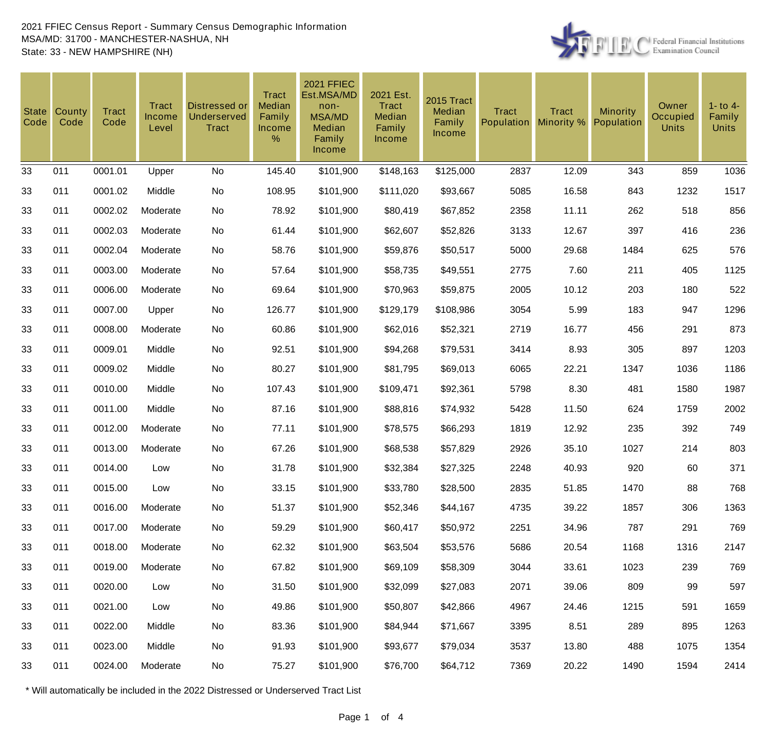

| <b>State</b><br>Code | County<br>Code | <b>Tract</b><br>Code | Tract<br><b>Income</b><br>Level | Distressed or<br><b>Underserved</b><br><b>Tract</b> | <b>Tract</b><br>Median<br>Family<br><b>Income</b><br>% | <b>2021 FFIEC</b><br>Est.MSA/MD<br>non-<br><b>MSA/MD</b><br>Median<br>Family<br>Income | 2021 Est.<br>Tract<br>Median<br>Family<br><b>Income</b> | 2015 Tract<br>Median<br>Family<br><b>Income</b> | <b>Tract</b><br>Population | <b>Tract</b><br>Minority % | <b>Minority</b><br>Population | Owner<br>Occupied<br><b>Units</b> | $1 -$ to $4 -$<br>Family<br><b>Units</b> |
|----------------------|----------------|----------------------|---------------------------------|-----------------------------------------------------|--------------------------------------------------------|----------------------------------------------------------------------------------------|---------------------------------------------------------|-------------------------------------------------|----------------------------|----------------------------|-------------------------------|-----------------------------------|------------------------------------------|
| 33                   | 011            | 0001.01              | Upper                           | No                                                  | 145.40                                                 | \$101,900                                                                              | \$148,163                                               | \$125,000                                       | 2837                       | 12.09                      | 343                           | 859                               | 1036                                     |
| 33                   | 011            | 0001.02              | Middle                          | No                                                  | 108.95                                                 | \$101,900                                                                              | \$111,020                                               | \$93,667                                        | 5085                       | 16.58                      | 843                           | 1232                              | 1517                                     |
| 33                   | 011            | 0002.02              | Moderate                        | No                                                  | 78.92                                                  | \$101,900                                                                              | \$80,419                                                | \$67,852                                        | 2358                       | 11.11                      | 262                           | 518                               | 856                                      |
| 33                   | 011            | 0002.03              | Moderate                        | No                                                  | 61.44                                                  | \$101,900                                                                              | \$62,607                                                | \$52,826                                        | 3133                       | 12.67                      | 397                           | 416                               | 236                                      |
| 33                   | 011            | 0002.04              | Moderate                        | No                                                  | 58.76                                                  | \$101,900                                                                              | \$59,876                                                | \$50,517                                        | 5000                       | 29.68                      | 1484                          | 625                               | 576                                      |
| 33                   | 011            | 0003.00              | Moderate                        | No                                                  | 57.64                                                  | \$101,900                                                                              | \$58,735                                                | \$49,551                                        | 2775                       | 7.60                       | 211                           | 405                               | 1125                                     |
| 33                   | 011            | 0006.00              | Moderate                        | No                                                  | 69.64                                                  | \$101,900                                                                              | \$70,963                                                | \$59,875                                        | 2005                       | 10.12                      | 203                           | 180                               | 522                                      |
| 33                   | 011            | 0007.00              | Upper                           | No                                                  | 126.77                                                 | \$101,900                                                                              | \$129,179                                               | \$108,986                                       | 3054                       | 5.99                       | 183                           | 947                               | 1296                                     |
| 33                   | 011            | 0008.00              | Moderate                        | No                                                  | 60.86                                                  | \$101,900                                                                              | \$62,016                                                | \$52,321                                        | 2719                       | 16.77                      | 456                           | 291                               | 873                                      |
| 33                   | 011            | 0009.01              | Middle                          | No                                                  | 92.51                                                  | \$101,900                                                                              | \$94,268                                                | \$79,531                                        | 3414                       | 8.93                       | 305                           | 897                               | 1203                                     |
| 33                   | 011            | 0009.02              | Middle                          | No                                                  | 80.27                                                  | \$101,900                                                                              | \$81,795                                                | \$69,013                                        | 6065                       | 22.21                      | 1347                          | 1036                              | 1186                                     |
| 33                   | 011            | 0010.00              | Middle                          | No                                                  | 107.43                                                 | \$101,900                                                                              | \$109,471                                               | \$92,361                                        | 5798                       | 8.30                       | 481                           | 1580                              | 1987                                     |
| 33                   | 011            | 0011.00              | Middle                          | No                                                  | 87.16                                                  | \$101,900                                                                              | \$88,816                                                | \$74,932                                        | 5428                       | 11.50                      | 624                           | 1759                              | 2002                                     |
| 33                   | 011            | 0012.00              | Moderate                        | No                                                  | 77.11                                                  | \$101,900                                                                              | \$78,575                                                | \$66,293                                        | 1819                       | 12.92                      | 235                           | 392                               | 749                                      |
| 33                   | 011            | 0013.00              | Moderate                        | No                                                  | 67.26                                                  | \$101,900                                                                              | \$68,538                                                | \$57,829                                        | 2926                       | 35.10                      | 1027                          | 214                               | 803                                      |
| 33                   | 011            | 0014.00              | Low                             | No                                                  | 31.78                                                  | \$101,900                                                                              | \$32,384                                                | \$27,325                                        | 2248                       | 40.93                      | 920                           | 60                                | 371                                      |
| 33                   | 011            | 0015.00              | Low                             | No                                                  | 33.15                                                  | \$101,900                                                                              | \$33,780                                                | \$28,500                                        | 2835                       | 51.85                      | 1470                          | 88                                | 768                                      |
| 33                   | 011            | 0016.00              | Moderate                        | No                                                  | 51.37                                                  | \$101,900                                                                              | \$52,346                                                | \$44,167                                        | 4735                       | 39.22                      | 1857                          | 306                               | 1363                                     |
| 33                   | 011            | 0017.00              | Moderate                        | No                                                  | 59.29                                                  | \$101,900                                                                              | \$60,417                                                | \$50,972                                        | 2251                       | 34.96                      | 787                           | 291                               | 769                                      |
| 33                   | 011            | 0018.00              | Moderate                        | No                                                  | 62.32                                                  | \$101,900                                                                              | \$63,504                                                | \$53,576                                        | 5686                       | 20.54                      | 1168                          | 1316                              | 2147                                     |
| 33                   | 011            | 0019.00              | Moderate                        | No                                                  | 67.82                                                  | \$101,900                                                                              | \$69,109                                                | \$58,309                                        | 3044                       | 33.61                      | 1023                          | 239                               | 769                                      |
| 33                   | 011            | 0020.00              | Low                             | No                                                  | 31.50                                                  | \$101,900                                                                              | \$32,099                                                | \$27,083                                        | 2071                       | 39.06                      | 809                           | 99                                | 597                                      |
| 33                   | 011            | 0021.00              | Low                             | No                                                  | 49.86                                                  | \$101,900                                                                              | \$50,807                                                | \$42,866                                        | 4967                       | 24.46                      | 1215                          | 591                               | 1659                                     |
| 33                   | 011            | 0022.00              | Middle                          | No                                                  | 83.36                                                  | \$101,900                                                                              | \$84,944                                                | \$71,667                                        | 3395                       | 8.51                       | 289                           | 895                               | 1263                                     |
| 33                   | 011            | 0023.00              | Middle                          | No                                                  | 91.93                                                  | \$101,900                                                                              | \$93,677                                                | \$79,034                                        | 3537                       | 13.80                      | 488                           | 1075                              | 1354                                     |
| 33                   | 011            | 0024.00              | Moderate                        | No                                                  | 75.27                                                  | \$101,900                                                                              | \$76,700                                                | \$64,712                                        | 7369                       | 20.22                      | 1490                          | 1594                              | 2414                                     |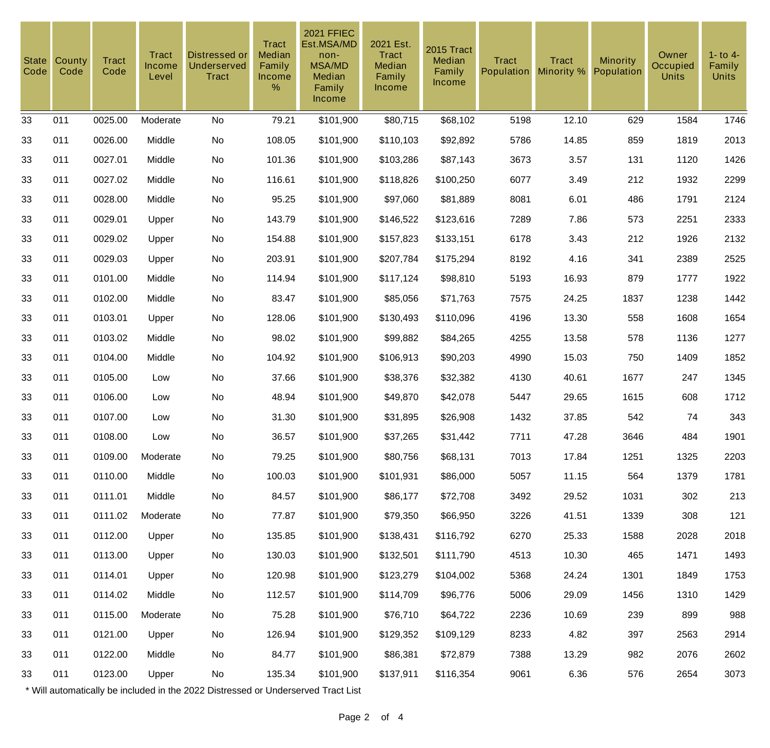| <b>State</b><br>Code | County<br>Code | <b>Tract</b><br>Code | Tract<br>Income<br>Level | <b>Distressed or</b><br>Underserved<br><b>Tract</b> | <b>Tract</b><br>Median<br>Family<br>Income<br>$\%$ | <b>2021 FFIEC</b><br>Est.MSA/MD<br>non-<br><b>MSA/MD</b><br>Median<br>Family<br>Income | 2021 Est.<br><b>Tract</b><br>Median<br>Family<br><b>Income</b> | 2015 Tract<br>Median<br>Family<br>Income | <b>Tract</b><br><b>Population</b> | <b>Tract</b><br>Minority % | <b>Minority</b><br>Population | Owner<br><b>Occupied</b><br><b>Units</b> | $1 -$ to $4 -$<br>Family<br><b>Units</b> |
|----------------------|----------------|----------------------|--------------------------|-----------------------------------------------------|----------------------------------------------------|----------------------------------------------------------------------------------------|----------------------------------------------------------------|------------------------------------------|-----------------------------------|----------------------------|-------------------------------|------------------------------------------|------------------------------------------|
| 33                   | 011            | 0025.00              | Moderate                 | No                                                  | 79.21                                              | \$101,900                                                                              | \$80,715                                                       | \$68,102                                 | 5198                              | 12.10                      | 629                           | 1584                                     | 1746                                     |
| 33                   | 011            | 0026.00              | Middle                   | No                                                  | 108.05                                             | \$101,900                                                                              | \$110,103                                                      | \$92,892                                 | 5786                              | 14.85                      | 859                           | 1819                                     | 2013                                     |
| 33                   | 011            | 0027.01              | Middle                   | No                                                  | 101.36                                             | \$101,900                                                                              | \$103,286                                                      | \$87,143                                 | 3673                              | 3.57                       | 131                           | 1120                                     | 1426                                     |
| 33                   | 011            | 0027.02              | Middle                   | No                                                  | 116.61                                             | \$101,900                                                                              | \$118,826                                                      | \$100,250                                | 6077                              | 3.49                       | 212                           | 1932                                     | 2299                                     |
| 33                   | 011            | 0028.00              | Middle                   | No                                                  | 95.25                                              | \$101,900                                                                              | \$97,060                                                       | \$81,889                                 | 8081                              | 6.01                       | 486                           | 1791                                     | 2124                                     |
| 33                   | 011            | 0029.01              | Upper                    | No                                                  | 143.79                                             | \$101,900                                                                              | \$146,522                                                      | \$123,616                                | 7289                              | 7.86                       | 573                           | 2251                                     | 2333                                     |
| 33                   | 011            | 0029.02              | Upper                    | No                                                  | 154.88                                             | \$101,900                                                                              | \$157,823                                                      | \$133,151                                | 6178                              | 3.43                       | 212                           | 1926                                     | 2132                                     |
| 33                   | 011            | 0029.03              | Upper                    | No                                                  | 203.91                                             | \$101,900                                                                              | \$207,784                                                      | \$175,294                                | 8192                              | 4.16                       | 341                           | 2389                                     | 2525                                     |
| 33                   | 011            | 0101.00              | Middle                   | No                                                  | 114.94                                             | \$101,900                                                                              | \$117,124                                                      | \$98,810                                 | 5193                              | 16.93                      | 879                           | 1777                                     | 1922                                     |
| 33                   | 011            | 0102.00              | Middle                   | No                                                  | 83.47                                              | \$101,900                                                                              | \$85,056                                                       | \$71,763                                 | 7575                              | 24.25                      | 1837                          | 1238                                     | 1442                                     |
| 33                   | 011            | 0103.01              | Upper                    | No                                                  | 128.06                                             | \$101,900                                                                              | \$130,493                                                      | \$110,096                                | 4196                              | 13.30                      | 558                           | 1608                                     | 1654                                     |
| 33                   | 011            | 0103.02              | Middle                   | No                                                  | 98.02                                              | \$101,900                                                                              | \$99,882                                                       | \$84,265                                 | 4255                              | 13.58                      | 578                           | 1136                                     | 1277                                     |
| 33                   | 011            | 0104.00              | Middle                   | No                                                  | 104.92                                             | \$101,900                                                                              | \$106,913                                                      | \$90,203                                 | 4990                              | 15.03                      | 750                           | 1409                                     | 1852                                     |
| 33                   | 011            | 0105.00              | Low                      | No                                                  | 37.66                                              | \$101,900                                                                              | \$38,376                                                       | \$32,382                                 | 4130                              | 40.61                      | 1677                          | 247                                      | 1345                                     |
| 33                   | 011            | 0106.00              | Low                      | No                                                  | 48.94                                              | \$101,900                                                                              | \$49,870                                                       | \$42,078                                 | 5447                              | 29.65                      | 1615                          | 608                                      | 1712                                     |
| 33                   | 011            | 0107.00              | Low                      | No                                                  | 31.30                                              | \$101,900                                                                              | \$31,895                                                       | \$26,908                                 | 1432                              | 37.85                      | 542                           | 74                                       | 343                                      |
| 33                   | 011            | 0108.00              | Low                      | No                                                  | 36.57                                              | \$101,900                                                                              | \$37,265                                                       | \$31,442                                 | 7711                              | 47.28                      | 3646                          | 484                                      | 1901                                     |
| 33                   | 011            | 0109.00              | Moderate                 | No                                                  | 79.25                                              | \$101,900                                                                              | \$80,756                                                       | \$68,131                                 | 7013                              | 17.84                      | 1251                          | 1325                                     | 2203                                     |
| 33                   | 011            | 0110.00              | Middle                   | No                                                  | 100.03                                             | \$101,900                                                                              | \$101,931                                                      | \$86,000                                 | 5057                              | 11.15                      | 564                           | 1379                                     | 1781                                     |
| 33                   | 011            | 0111.01              | Middle                   | No                                                  | 84.57                                              | \$101,900                                                                              | \$86,177                                                       | \$72,708                                 | 3492                              | 29.52                      | 1031                          | 302                                      | 213                                      |
| 33                   | 011            | 0111.02              | Moderate                 | No                                                  | 77.87                                              | \$101,900                                                                              | \$79,350                                                       | \$66,950                                 | 3226                              | 41.51                      | 1339                          | 308                                      | 121                                      |
| 33                   | 011            | 0112.00              | Upper                    | No                                                  | 135.85                                             | \$101,900                                                                              | \$138,431                                                      | \$116,792                                | 6270                              | 25.33                      | 1588                          | 2028                                     | 2018                                     |
| 33                   | 011            | 0113.00              | Upper                    | No                                                  | 130.03                                             | \$101,900                                                                              | \$132,501                                                      | \$111,790                                | 4513                              | 10.30                      | 465                           | 1471                                     | 1493                                     |
| 33                   | 011            | 0114.01              | Upper                    | No                                                  | 120.98                                             | \$101,900                                                                              | \$123,279                                                      | \$104,002                                | 5368                              | 24.24                      | 1301                          | 1849                                     | 1753                                     |
| 33                   | 011            | 0114.02              | Middle                   | No                                                  | 112.57                                             | \$101,900                                                                              | \$114,709                                                      | \$96,776                                 | 5006                              | 29.09                      | 1456                          | 1310                                     | 1429                                     |
| 33                   | 011            | 0115.00              | Moderate                 | No                                                  | 75.28                                              | \$101,900                                                                              | \$76,710                                                       | \$64,722                                 | 2236                              | 10.69                      | 239                           | 899                                      | 988                                      |
| 33                   | 011            | 0121.00              | Upper                    | No                                                  | 126.94                                             | \$101,900                                                                              | \$129,352                                                      | \$109,129                                | 8233                              | 4.82                       | 397                           | 2563                                     | 2914                                     |
| 33                   | 011            | 0122.00              | Middle                   | No                                                  | 84.77                                              | \$101,900                                                                              | \$86,381                                                       | \$72,879                                 | 7388                              | 13.29                      | 982                           | 2076                                     | 2602                                     |
| 33                   | 011            | 0123.00              | Upper                    | No                                                  | 135.34                                             | \$101,900                                                                              | \$137,911                                                      | \$116,354                                | 9061                              | 6.36                       | 576                           | 2654                                     | 3073                                     |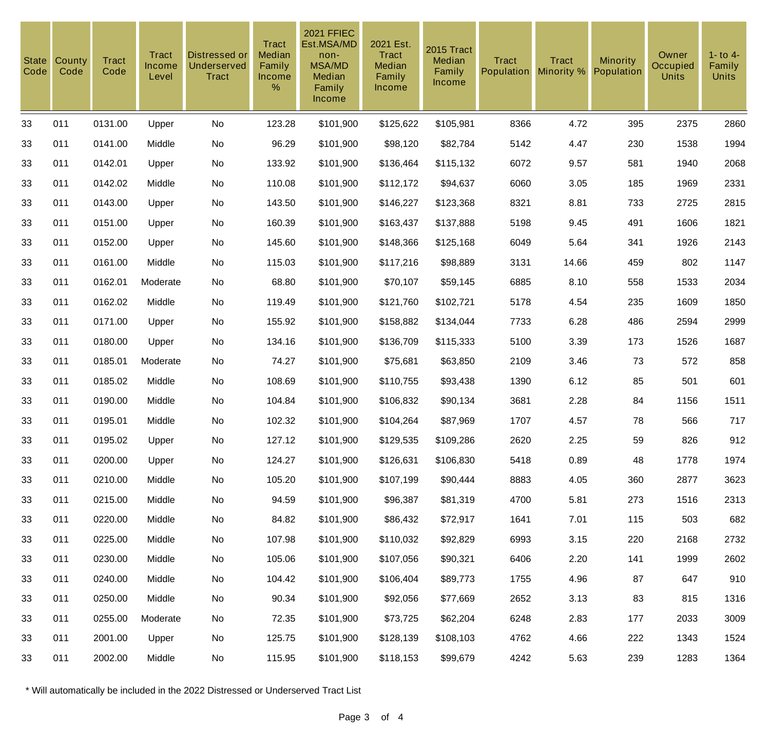| <b>State</b><br>Code | County<br>Code | <b>Tract</b><br>Code | <b>Tract</b><br>Income<br>Level | Distressed or<br><b>Underserved</b><br><b>Tract</b> | <b>Tract</b><br><b>Median</b><br>Family<br>Income<br>$\%$ | <b>2021 FFIEC</b><br>Est.MSA/MD<br>non-<br><b>MSA/MD</b><br>Median<br>Family<br>Income | 2021 Est.<br><b>Tract</b><br>Median<br>Family<br>Income | 2015 Tract<br>Median<br>Family<br>Income | <b>Tract</b><br><b>Population</b> | <b>Tract</b><br>Minority % | <b>Minority</b><br>Population | Owner<br>Occupied<br><b>Units</b> | $1 -$ to $4 -$<br>Family<br><b>Units</b> |
|----------------------|----------------|----------------------|---------------------------------|-----------------------------------------------------|-----------------------------------------------------------|----------------------------------------------------------------------------------------|---------------------------------------------------------|------------------------------------------|-----------------------------------|----------------------------|-------------------------------|-----------------------------------|------------------------------------------|
| 33                   | 011            | 0131.00              | Upper                           | No                                                  | 123.28                                                    | \$101,900                                                                              | \$125,622                                               | \$105,981                                | 8366                              | 4.72                       | 395                           | 2375                              | 2860                                     |
| 33                   | 011            | 0141.00              | Middle                          | No                                                  | 96.29                                                     | \$101,900                                                                              | \$98,120                                                | \$82,784                                 | 5142                              | 4.47                       | 230                           | 1538                              | 1994                                     |
| 33                   | 011            | 0142.01              | Upper                           | No                                                  | 133.92                                                    | \$101,900                                                                              | \$136,464                                               | \$115,132                                | 6072                              | 9.57                       | 581                           | 1940                              | 2068                                     |
| 33                   | 011            | 0142.02              | Middle                          | No                                                  | 110.08                                                    | \$101,900                                                                              | \$112,172                                               | \$94,637                                 | 6060                              | 3.05                       | 185                           | 1969                              | 2331                                     |
| 33                   | 011            | 0143.00              | Upper                           | No                                                  | 143.50                                                    | \$101,900                                                                              | \$146,227                                               | \$123,368                                | 8321                              | 8.81                       | 733                           | 2725                              | 2815                                     |
| 33                   | 011            | 0151.00              | Upper                           | No                                                  | 160.39                                                    | \$101,900                                                                              | \$163,437                                               | \$137,888                                | 5198                              | 9.45                       | 491                           | 1606                              | 1821                                     |
| 33                   | 011            | 0152.00              | Upper                           | No                                                  | 145.60                                                    | \$101,900                                                                              | \$148,366                                               | \$125,168                                | 6049                              | 5.64                       | 341                           | 1926                              | 2143                                     |
| 33                   | 011            | 0161.00              | Middle                          | No                                                  | 115.03                                                    | \$101,900                                                                              | \$117,216                                               | \$98,889                                 | 3131                              | 14.66                      | 459                           | 802                               | 1147                                     |
| 33                   | 011            | 0162.01              | Moderate                        | No                                                  | 68.80                                                     | \$101,900                                                                              | \$70,107                                                | \$59,145                                 | 6885                              | 8.10                       | 558                           | 1533                              | 2034                                     |
| 33                   | 011            | 0162.02              | Middle                          | No                                                  | 119.49                                                    | \$101,900                                                                              | \$121,760                                               | \$102,721                                | 5178                              | 4.54                       | 235                           | 1609                              | 1850                                     |
| 33                   | 011            | 0171.00              | Upper                           | No                                                  | 155.92                                                    | \$101,900                                                                              | \$158,882                                               | \$134,044                                | 7733                              | 6.28                       | 486                           | 2594                              | 2999                                     |
| 33                   | 011            | 0180.00              | Upper                           | No                                                  | 134.16                                                    | \$101,900                                                                              | \$136,709                                               | \$115,333                                | 5100                              | 3.39                       | 173                           | 1526                              | 1687                                     |
| 33                   | 011            | 0185.01              | Moderate                        | No                                                  | 74.27                                                     | \$101,900                                                                              | \$75,681                                                | \$63,850                                 | 2109                              | 3.46                       | 73                            | 572                               | 858                                      |
| 33                   | 011            | 0185.02              | Middle                          | No                                                  | 108.69                                                    | \$101,900                                                                              | \$110,755                                               | \$93,438                                 | 1390                              | 6.12                       | 85                            | 501                               | 601                                      |
| 33                   | 011            | 0190.00              | Middle                          | No                                                  | 104.84                                                    | \$101,900                                                                              | \$106,832                                               | \$90,134                                 | 3681                              | 2.28                       | 84                            | 1156                              | 1511                                     |
| 33                   | 011            | 0195.01              | Middle                          | No                                                  | 102.32                                                    | \$101,900                                                                              | \$104,264                                               | \$87,969                                 | 1707                              | 4.57                       | 78                            | 566                               | 717                                      |
| 33                   | 011            | 0195.02              | Upper                           | No                                                  | 127.12                                                    | \$101,900                                                                              | \$129,535                                               | \$109,286                                | 2620                              | 2.25                       | 59                            | 826                               | 912                                      |
| 33                   | 011            | 0200.00              | Upper                           | No                                                  | 124.27                                                    | \$101,900                                                                              | \$126,631                                               | \$106,830                                | 5418                              | 0.89                       | 48                            | 1778                              | 1974                                     |
| 33                   | 011            | 0210.00              | Middle                          | No                                                  | 105.20                                                    | \$101,900                                                                              | \$107,199                                               | \$90,444                                 | 8883                              | 4.05                       | 360                           | 2877                              | 3623                                     |
| 33                   | 011            | 0215.00              | Middle                          | No                                                  | 94.59                                                     | \$101,900                                                                              | \$96,387                                                | \$81,319                                 | 4700                              | 5.81                       | 273                           | 1516                              | 2313                                     |
| 33                   | 011            | 0220.00              | Middle                          | No                                                  | 84.82                                                     | \$101,900                                                                              | \$86,432                                                | \$72,917                                 | 1641                              | 7.01                       | 115                           | 503                               | 682                                      |
| 33                   | 011            | 0225.00              | Middle                          | No                                                  | 107.98                                                    | \$101,900                                                                              | \$110,032                                               | \$92,829                                 | 6993                              | 3.15                       | 220                           | 2168                              | 2732                                     |
| 33                   | 011            | 0230.00              | Middle                          | No                                                  | 105.06                                                    | \$101,900                                                                              | \$107,056                                               | \$90,321                                 | 6406                              | 2.20                       | 141                           | 1999                              | 2602                                     |
| 33                   | 011            | 0240.00              | Middle                          | No                                                  | 104.42                                                    | \$101,900                                                                              | \$106,404                                               | \$89,773                                 | 1755                              | 4.96                       | 87                            | 647                               | 910                                      |
| 33                   | 011            | 0250.00              | Middle                          | No                                                  | 90.34                                                     | \$101,900                                                                              | \$92,056                                                | \$77,669                                 | 2652                              | 3.13                       | 83                            | 815                               | 1316                                     |
| 33                   | 011            | 0255.00              | Moderate                        | No                                                  | 72.35                                                     | \$101,900                                                                              | \$73,725                                                | \$62,204                                 | 6248                              | 2.83                       | 177                           | 2033                              | 3009                                     |
| 33                   | 011            | 2001.00              | Upper                           | No                                                  | 125.75                                                    | \$101,900                                                                              | \$128,139                                               | \$108,103                                | 4762                              | 4.66                       | 222                           | 1343                              | 1524                                     |
| 33                   | 011            | 2002.00              | Middle                          | No                                                  | 115.95                                                    | \$101,900                                                                              | \$118,153                                               | \$99,679                                 | 4242                              | 5.63                       | 239                           | 1283                              | 1364                                     |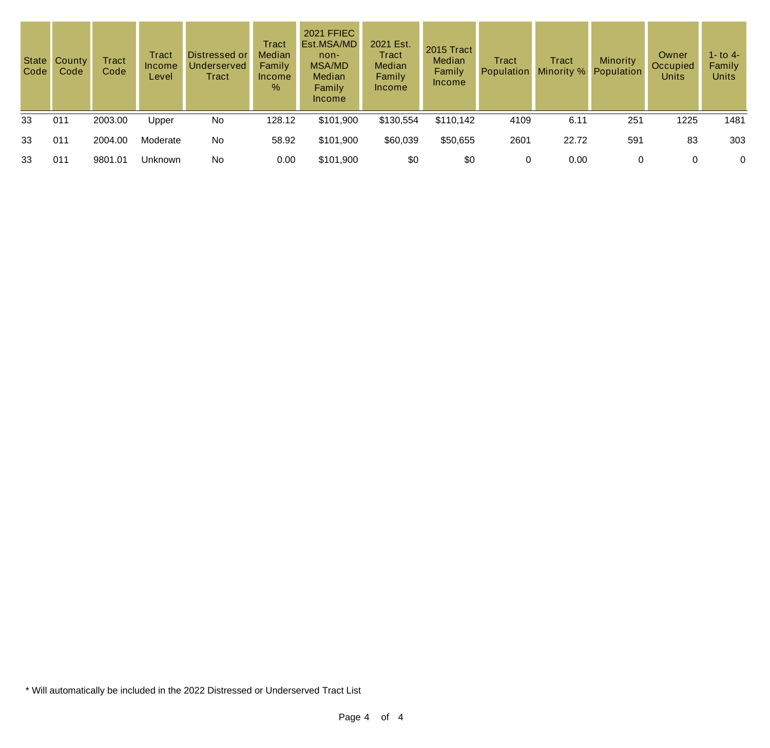| Code | State County<br>Code | Tract<br>Code | Tract<br>Income<br>Level | Distressed or<br>Underserved<br>Tract | <b>Tract</b><br><b>Median</b><br>Family<br><b>Income</b><br>% | <b>2021 FFIEC</b><br>Est.MSA/MD<br>non-<br><b>MSA/MD</b><br><b>Median</b><br>Family<br>Income | 2021 Est.<br>Tract<br>Median<br>Family<br>Income | 2015 Tract<br>Median<br>Family<br>Income | Tract<br>Population | <b>Tract</b><br>Minority % Population | Minority | Owner<br>Occupied<br><b>Units</b> | 1 - to 4 -<br>Family<br><b>Units</b> |
|------|----------------------|---------------|--------------------------|---------------------------------------|---------------------------------------------------------------|-----------------------------------------------------------------------------------------------|--------------------------------------------------|------------------------------------------|---------------------|---------------------------------------|----------|-----------------------------------|--------------------------------------|
| 33   | 011                  | 2003.00       | Upper                    | No                                    | 128.12                                                        | \$101,900                                                                                     | \$130,554                                        | \$110,142                                | 4109                | 6.11                                  | 251      | 1225                              | 1481                                 |
| 33   | 011                  | 2004.00       | Moderate                 | No                                    | 58.92                                                         | \$101,900                                                                                     | \$60,039                                         | \$50,655                                 | 2601                | 22.72                                 | 591      | 83                                | 303                                  |
| 33   | 011                  | 9801.01       | <b>Unknown</b>           | No                                    | 0.00                                                          | \$101,900                                                                                     | \$0                                              | \$0                                      | 0                   | 0.00                                  | 0        |                                   | 0                                    |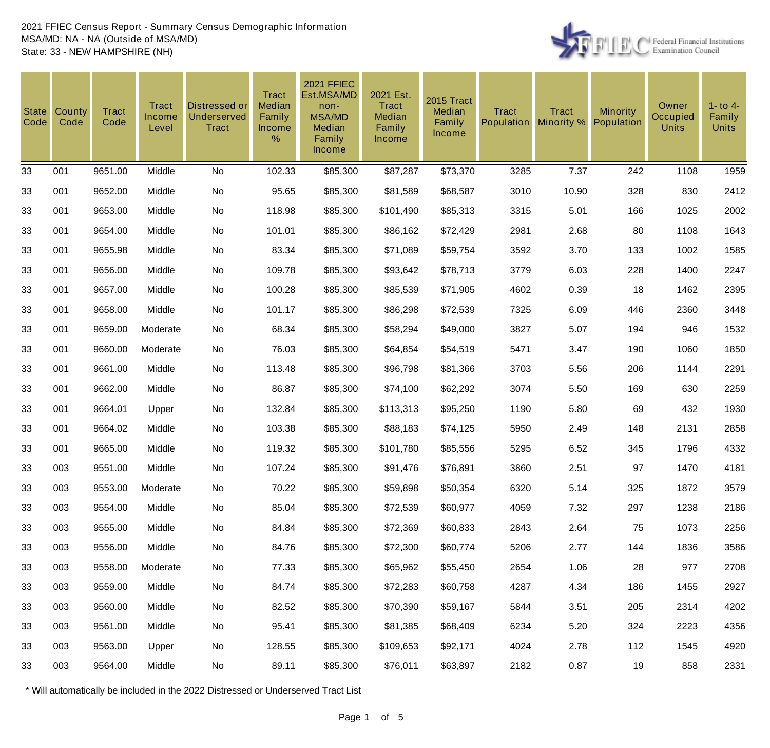

| <b>State</b><br>Code | County<br>Code | <b>Tract</b><br>Code | Tract<br>Income<br>Level | Distressed or<br>Underserved<br><b>Tract</b> | <b>Tract</b><br>Median<br>Family<br><b>Income</b><br>% | <b>2021 FFIEC</b><br>Est.MSA/MD<br>non-<br><b>MSA/MD</b><br>Median<br>Family<br><b>Income</b> | 2021 Est.<br>Tract<br>Median<br>Family<br>Income | 2015 Tract<br>Median<br>Family<br><b>Income</b> | <b>Tract</b><br>Population | <b>Tract</b><br>Minority % | <b>Minority</b><br>Population | Owner<br>Occupied<br><b>Units</b> | $1 -$ to $4 -$<br>Family<br><b>Units</b> |
|----------------------|----------------|----------------------|--------------------------|----------------------------------------------|--------------------------------------------------------|-----------------------------------------------------------------------------------------------|--------------------------------------------------|-------------------------------------------------|----------------------------|----------------------------|-------------------------------|-----------------------------------|------------------------------------------|
| 33                   | 001            | 9651.00              | Middle                   | No                                           | 102.33                                                 | \$85,300                                                                                      | \$87,287                                         | \$73,370                                        | 3285                       | 7.37                       | 242                           | 1108                              | 1959                                     |
| 33                   | 001            | 9652.00              | Middle                   | No                                           | 95.65                                                  | \$85,300                                                                                      | \$81,589                                         | \$68,587                                        | 3010                       | 10.90                      | 328                           | 830                               | 2412                                     |
| 33                   | 001            | 9653.00              | Middle                   | No                                           | 118.98                                                 | \$85,300                                                                                      | \$101,490                                        | \$85,313                                        | 3315                       | 5.01                       | 166                           | 1025                              | 2002                                     |
| 33                   | 001            | 9654.00              | Middle                   | No                                           | 101.01                                                 | \$85,300                                                                                      | \$86,162                                         | \$72,429                                        | 2981                       | 2.68                       | 80                            | 1108                              | 1643                                     |
| 33                   | 001            | 9655.98              | Middle                   | No                                           | 83.34                                                  | \$85,300                                                                                      | \$71,089                                         | \$59,754                                        | 3592                       | 3.70                       | 133                           | 1002                              | 1585                                     |
| 33                   | 001            | 9656.00              | Middle                   | No                                           | 109.78                                                 | \$85,300                                                                                      | \$93,642                                         | \$78,713                                        | 3779                       | 6.03                       | 228                           | 1400                              | 2247                                     |
| 33                   | 001            | 9657.00              | Middle                   | No                                           | 100.28                                                 | \$85,300                                                                                      | \$85,539                                         | \$71,905                                        | 4602                       | 0.39                       | 18                            | 1462                              | 2395                                     |
| 33                   | 001            | 9658.00              | Middle                   | No                                           | 101.17                                                 | \$85,300                                                                                      | \$86,298                                         | \$72,539                                        | 7325                       | 6.09                       | 446                           | 2360                              | 3448                                     |
| 33                   | 001            | 9659.00              | Moderate                 | No                                           | 68.34                                                  | \$85,300                                                                                      | \$58,294                                         | \$49,000                                        | 3827                       | 5.07                       | 194                           | 946                               | 1532                                     |
| 33                   | 001            | 9660.00              | Moderate                 | No                                           | 76.03                                                  | \$85,300                                                                                      | \$64,854                                         | \$54,519                                        | 5471                       | 3.47                       | 190                           | 1060                              | 1850                                     |
| 33                   | 001            | 9661.00              | Middle                   | No                                           | 113.48                                                 | \$85,300                                                                                      | \$96,798                                         | \$81,366                                        | 3703                       | 5.56                       | 206                           | 1144                              | 2291                                     |
| 33                   | 001            | 9662.00              | Middle                   | No                                           | 86.87                                                  | \$85,300                                                                                      | \$74,100                                         | \$62,292                                        | 3074                       | 5.50                       | 169                           | 630                               | 2259                                     |
| 33                   | 001            | 9664.01              | Upper                    | No                                           | 132.84                                                 | \$85,300                                                                                      | \$113,313                                        | \$95,250                                        | 1190                       | 5.80                       | 69                            | 432                               | 1930                                     |
| 33                   | 001            | 9664.02              | Middle                   | No                                           | 103.38                                                 | \$85,300                                                                                      | \$88,183                                         | \$74,125                                        | 5950                       | 2.49                       | 148                           | 2131                              | 2858                                     |
| 33                   | 001            | 9665.00              | Middle                   | No                                           | 119.32                                                 | \$85,300                                                                                      | \$101,780                                        | \$85,556                                        | 5295                       | 6.52                       | 345                           | 1796                              | 4332                                     |
| 33                   | 003            | 9551.00              | Middle                   | No                                           | 107.24                                                 | \$85,300                                                                                      | \$91,476                                         | \$76,891                                        | 3860                       | 2.51                       | 97                            | 1470                              | 4181                                     |
| 33                   | 003            | 9553.00              | Moderate                 | No                                           | 70.22                                                  | \$85,300                                                                                      | \$59,898                                         | \$50,354                                        | 6320                       | 5.14                       | 325                           | 1872                              | 3579                                     |
| 33                   | 003            | 9554.00              | Middle                   | No                                           | 85.04                                                  | \$85,300                                                                                      | \$72,539                                         | \$60,977                                        | 4059                       | 7.32                       | 297                           | 1238                              | 2186                                     |
| 33                   | 003            | 9555.00              | Middle                   | No                                           | 84.84                                                  | \$85,300                                                                                      | \$72,369                                         | \$60,833                                        | 2843                       | 2.64                       | 75                            | 1073                              | 2256                                     |
| 33                   | 003            | 9556.00              | Middle                   | No                                           | 84.76                                                  | \$85,300                                                                                      | \$72,300                                         | \$60,774                                        | 5206                       | 2.77                       | 144                           | 1836                              | 3586                                     |
| 33                   | 003            | 9558.00              | Moderate                 | No                                           | 77.33                                                  | \$85,300                                                                                      | \$65,962                                         | \$55,450                                        | 2654                       | 1.06                       | 28                            | 977                               | 2708                                     |
| 33                   | 003            | 9559.00              | Middle                   | No                                           | 84.74                                                  | \$85,300                                                                                      | \$72,283                                         | \$60,758                                        | 4287                       | 4.34                       | 186                           | 1455                              | 2927                                     |
| 33                   | 003            | 9560.00              | Middle                   | No                                           | 82.52                                                  | \$85,300                                                                                      | \$70,390                                         | \$59,167                                        | 5844                       | 3.51                       | 205                           | 2314                              | 4202                                     |
| 33                   | 003            | 9561.00              | Middle                   | No                                           | 95.41                                                  | \$85,300                                                                                      | \$81,385                                         | \$68,409                                        | 6234                       | 5.20                       | 324                           | 2223                              | 4356                                     |
| 33                   | 003            | 9563.00              | Upper                    | No                                           | 128.55                                                 | \$85,300                                                                                      | \$109,653                                        | \$92,171                                        | 4024                       | 2.78                       | 112                           | 1545                              | 4920                                     |
| 33                   | 003            | 9564.00              | Middle                   | No                                           | 89.11                                                  | \$85,300                                                                                      | \$76,011                                         | \$63,897                                        | 2182                       | 0.87                       | 19                            | 858                               | 2331                                     |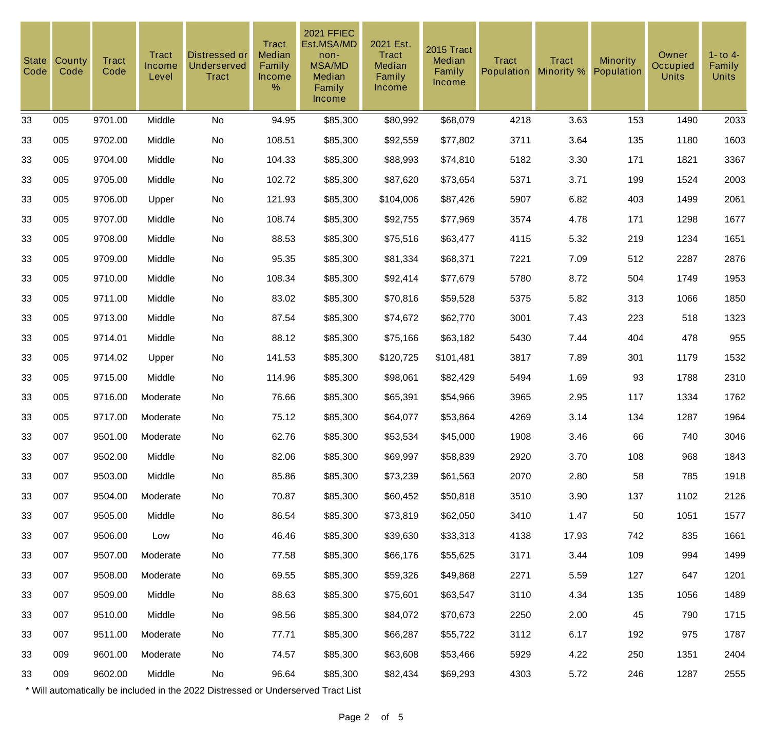| <b>State</b><br>Code | County<br>Code | <b>Tract</b><br>Code | <b>Tract</b><br>Income<br>Level | Distressed or<br>Underserved<br>Tract | <b>Tract</b><br>Median<br>Family<br><b>Income</b><br>% | <b>2021 FFIEC</b><br>Est.MSA/MD<br>non-<br><b>MSA/MD</b><br>Median<br>Family<br>Income | 2021 Est.<br><b>Tract</b><br>Median<br>Family<br><b>Income</b> | 2015 Tract<br>Median<br>Family<br><b>Income</b> | <b>Tract</b><br>Population | <b>Tract</b><br>Minority % | <b>Minority</b><br>Population | Owner<br>Occupied<br><b>Units</b> | $1 -$ to $4 -$<br>Family<br><b>Units</b> |
|----------------------|----------------|----------------------|---------------------------------|---------------------------------------|--------------------------------------------------------|----------------------------------------------------------------------------------------|----------------------------------------------------------------|-------------------------------------------------|----------------------------|----------------------------|-------------------------------|-----------------------------------|------------------------------------------|
| 33                   | 005            | 9701.00              | Middle                          | No                                    | 94.95                                                  | \$85,300                                                                               | \$80,992                                                       | \$68,079                                        | 4218                       | 3.63                       | 153                           | 1490                              | 2033                                     |
| 33                   | 005            | 9702.00              | Middle                          | No                                    | 108.51                                                 | \$85,300                                                                               | \$92,559                                                       | \$77,802                                        | 3711                       | 3.64                       | 135                           | 1180                              | 1603                                     |
| 33                   | 005            | 9704.00              | Middle                          | No                                    | 104.33                                                 | \$85,300                                                                               | \$88,993                                                       | \$74,810                                        | 5182                       | 3.30                       | 171                           | 1821                              | 3367                                     |
| 33                   | 005            | 9705.00              | Middle                          | No                                    | 102.72                                                 | \$85,300                                                                               | \$87,620                                                       | \$73,654                                        | 5371                       | 3.71                       | 199                           | 1524                              | 2003                                     |
| 33                   | 005            | 9706.00              | Upper                           | No                                    | 121.93                                                 | \$85,300                                                                               | \$104,006                                                      | \$87,426                                        | 5907                       | 6.82                       | 403                           | 1499                              | 2061                                     |
| 33                   | 005            | 9707.00              | Middle                          | No                                    | 108.74                                                 | \$85,300                                                                               | \$92,755                                                       | \$77,969                                        | 3574                       | 4.78                       | 171                           | 1298                              | 1677                                     |
| 33                   | 005            | 9708.00              | Middle                          | No                                    | 88.53                                                  | \$85,300                                                                               | \$75,516                                                       | \$63,477                                        | 4115                       | 5.32                       | 219                           | 1234                              | 1651                                     |
| 33                   | 005            | 9709.00              | Middle                          | No                                    | 95.35                                                  | \$85,300                                                                               | \$81,334                                                       | \$68,371                                        | 7221                       | 7.09                       | 512                           | 2287                              | 2876                                     |
| 33                   | 005            | 9710.00              | Middle                          | No                                    | 108.34                                                 | \$85,300                                                                               | \$92,414                                                       | \$77,679                                        | 5780                       | 8.72                       | 504                           | 1749                              | 1953                                     |
| 33                   | 005            | 9711.00              | Middle                          | No                                    | 83.02                                                  | \$85,300                                                                               | \$70,816                                                       | \$59,528                                        | 5375                       | 5.82                       | 313                           | 1066                              | 1850                                     |
| 33                   | 005            | 9713.00              | Middle                          | No                                    | 87.54                                                  | \$85,300                                                                               | \$74,672                                                       | \$62,770                                        | 3001                       | 7.43                       | 223                           | 518                               | 1323                                     |
| 33                   | 005            | 9714.01              | Middle                          | No                                    | 88.12                                                  | \$85,300                                                                               | \$75,166                                                       | \$63,182                                        | 5430                       | 7.44                       | 404                           | 478                               | 955                                      |
| 33                   | 005            | 9714.02              | Upper                           | No                                    | 141.53                                                 | \$85,300                                                                               | \$120,725                                                      | \$101,481                                       | 3817                       | 7.89                       | 301                           | 1179                              | 1532                                     |
| 33                   | 005            | 9715.00              | Middle                          | No                                    | 114.96                                                 | \$85,300                                                                               | \$98,061                                                       | \$82,429                                        | 5494                       | 1.69                       | 93                            | 1788                              | 2310                                     |
| 33                   | 005            | 9716.00              | Moderate                        | No                                    | 76.66                                                  | \$85,300                                                                               | \$65,391                                                       | \$54,966                                        | 3965                       | 2.95                       | 117                           | 1334                              | 1762                                     |
| 33                   | 005            | 9717.00              | Moderate                        | No                                    | 75.12                                                  | \$85,300                                                                               | \$64,077                                                       | \$53,864                                        | 4269                       | 3.14                       | 134                           | 1287                              | 1964                                     |
| 33                   | 007            | 9501.00              | Moderate                        | No                                    | 62.76                                                  | \$85,300                                                                               | \$53,534                                                       | \$45,000                                        | 1908                       | 3.46                       | 66                            | 740                               | 3046                                     |
| 33                   | 007            | 9502.00              | Middle                          | No                                    | 82.06                                                  | \$85,300                                                                               | \$69,997                                                       | \$58,839                                        | 2920                       | 3.70                       | 108                           | 968                               | 1843                                     |
| 33                   | 007            | 9503.00              | Middle                          | No                                    | 85.86                                                  | \$85,300                                                                               | \$73,239                                                       | \$61,563                                        | 2070                       | 2.80                       | 58                            | 785                               | 1918                                     |
| 33                   | 007            | 9504.00              | Moderate                        | No                                    | 70.87                                                  | \$85,300                                                                               | \$60,452                                                       | \$50,818                                        | 3510                       | 3.90                       | 137                           | 1102                              | 2126                                     |
| 33                   | 007            | 9505.00              | Middle                          | No                                    | 86.54                                                  | \$85,300                                                                               | \$73,819                                                       | \$62,050                                        | 3410                       | 1.47                       | 50                            | 1051                              | 1577                                     |
| 33                   | 007            | 9506.00              | Low                             | No                                    | 46.46                                                  | \$85,300                                                                               | \$39,630                                                       | \$33,313                                        | 4138                       | 17.93                      | 742                           | 835                               | 1661                                     |
| 33                   | 007            | 9507.00              | Moderate                        | No                                    | 77.58                                                  | \$85,300                                                                               | \$66,176                                                       | \$55,625                                        | 3171                       | 3.44                       | 109                           | 994                               | 1499                                     |
| 33                   | 007            | 9508.00              | Moderate                        | No                                    | 69.55                                                  | \$85,300                                                                               | \$59,326                                                       | \$49,868                                        | 2271                       | 5.59                       | 127                           | 647                               | 1201                                     |
| 33                   | 007            | 9509.00              | Middle                          | No                                    | 88.63                                                  | \$85,300                                                                               | \$75,601                                                       | \$63,547                                        | 3110                       | 4.34                       | 135                           | 1056                              | 1489                                     |
| 33                   | 007            | 9510.00              | Middle                          | No                                    | 98.56                                                  | \$85,300                                                                               | \$84,072                                                       | \$70,673                                        | 2250                       | 2.00                       | 45                            | 790                               | 1715                                     |
| 33                   | 007            | 9511.00              | Moderate                        | No                                    | 77.71                                                  | \$85,300                                                                               | \$66,287                                                       | \$55,722                                        | 3112                       | 6.17                       | 192                           | 975                               | 1787                                     |
| 33                   | 009            | 9601.00              | Moderate                        | No                                    | 74.57                                                  | \$85,300                                                                               | \$63,608                                                       | \$53,466                                        | 5929                       | 4.22                       | 250                           | 1351                              | 2404                                     |
| 33                   | 009            | 9602.00              | Middle                          | No                                    | 96.64                                                  | \$85,300                                                                               | \$82,434                                                       | \$69,293                                        | 4303                       | 5.72                       | 246                           | 1287                              | 2555                                     |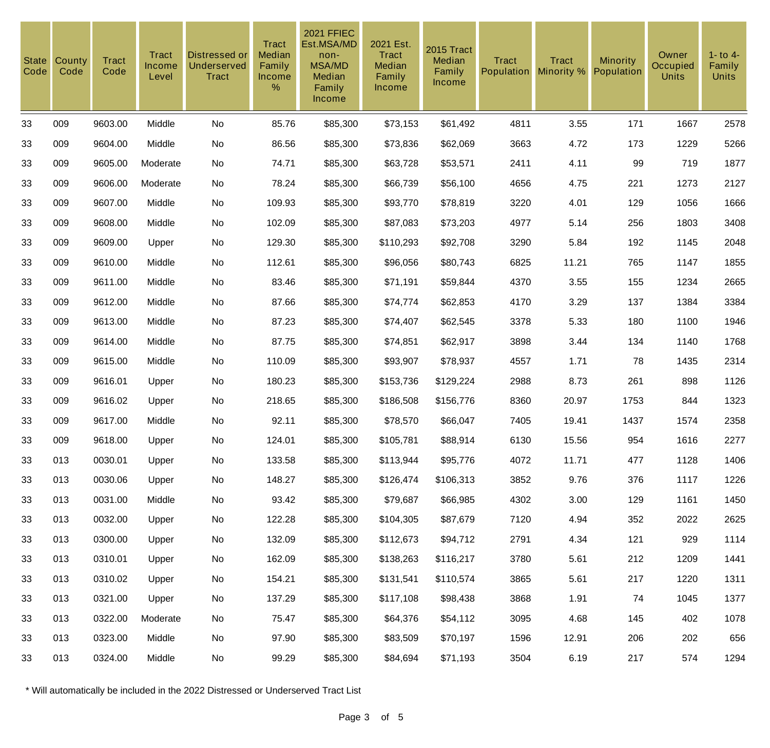| <b>State</b><br>Code | County<br>Code | <b>Tract</b><br>Code | Tract<br>Income<br>Level | Distressed or<br><b>Underserved</b><br><b>Tract</b> | <b>Tract</b><br>Median<br>Family<br>Income<br>% | <b>2021 FFIEC</b><br>Est.MSA/MD<br>non-<br><b>MSA/MD</b><br>Median<br>Family<br>Income | 2021 Est.<br><b>Tract</b><br>Median<br>Family<br><b>Income</b> | 2015 Tract<br>Median<br>Family<br>Income | <b>Tract</b><br><b>Population</b> | <b>Tract</b><br>Minority % | Minority<br>Population | Owner<br>Occupied<br><b>Units</b> | $1 -$ to $4 -$<br>Family<br><b>Units</b> |
|----------------------|----------------|----------------------|--------------------------|-----------------------------------------------------|-------------------------------------------------|----------------------------------------------------------------------------------------|----------------------------------------------------------------|------------------------------------------|-----------------------------------|----------------------------|------------------------|-----------------------------------|------------------------------------------|
| 33                   | 009            | 9603.00              | Middle                   | No                                                  | 85.76                                           | \$85,300                                                                               | \$73,153                                                       | \$61,492                                 | 4811                              | 3.55                       | 171                    | 1667                              | 2578                                     |
| 33                   | 009            | 9604.00              | Middle                   | No                                                  | 86.56                                           | \$85,300                                                                               | \$73,836                                                       | \$62,069                                 | 3663                              | 4.72                       | 173                    | 1229                              | 5266                                     |
| 33                   | 009            | 9605.00              | Moderate                 | No                                                  | 74.71                                           | \$85,300                                                                               | \$63,728                                                       | \$53,571                                 | 2411                              | 4.11                       | 99                     | 719                               | 1877                                     |
| 33                   | 009            | 9606.00              | Moderate                 | No                                                  | 78.24                                           | \$85,300                                                                               | \$66,739                                                       | \$56,100                                 | 4656                              | 4.75                       | 221                    | 1273                              | 2127                                     |
| 33                   | 009            | 9607.00              | Middle                   | No                                                  | 109.93                                          | \$85,300                                                                               | \$93,770                                                       | \$78,819                                 | 3220                              | 4.01                       | 129                    | 1056                              | 1666                                     |
| 33                   | 009            | 9608.00              | Middle                   | No                                                  | 102.09                                          | \$85,300                                                                               | \$87,083                                                       | \$73,203                                 | 4977                              | 5.14                       | 256                    | 1803                              | 3408                                     |
| 33                   | 009            | 9609.00              | Upper                    | No                                                  | 129.30                                          | \$85,300                                                                               | \$110,293                                                      | \$92,708                                 | 3290                              | 5.84                       | 192                    | 1145                              | 2048                                     |
| 33                   | 009            | 9610.00              | Middle                   | No                                                  | 112.61                                          | \$85,300                                                                               | \$96,056                                                       | \$80,743                                 | 6825                              | 11.21                      | 765                    | 1147                              | 1855                                     |
| 33                   | 009            | 9611.00              | Middle                   | No                                                  | 83.46                                           | \$85,300                                                                               | \$71,191                                                       | \$59,844                                 | 4370                              | 3.55                       | 155                    | 1234                              | 2665                                     |
| 33                   | 009            | 9612.00              | Middle                   | No                                                  | 87.66                                           | \$85,300                                                                               | \$74,774                                                       | \$62,853                                 | 4170                              | 3.29                       | 137                    | 1384                              | 3384                                     |
| 33                   | 009            | 9613.00              | Middle                   | No                                                  | 87.23                                           | \$85,300                                                                               | \$74,407                                                       | \$62,545                                 | 3378                              | 5.33                       | 180                    | 1100                              | 1946                                     |
| 33                   | 009            | 9614.00              | Middle                   | No                                                  | 87.75                                           | \$85,300                                                                               | \$74,851                                                       | \$62,917                                 | 3898                              | 3.44                       | 134                    | 1140                              | 1768                                     |
| 33                   | 009            | 9615.00              | Middle                   | No                                                  | 110.09                                          | \$85,300                                                                               | \$93,907                                                       | \$78,937                                 | 4557                              | 1.71                       | 78                     | 1435                              | 2314                                     |
| 33                   | 009            | 9616.01              | Upper                    | No                                                  | 180.23                                          | \$85,300                                                                               | \$153,736                                                      | \$129,224                                | 2988                              | 8.73                       | 261                    | 898                               | 1126                                     |
| 33                   | 009            | 9616.02              | Upper                    | No                                                  | 218.65                                          | \$85,300                                                                               | \$186,508                                                      | \$156,776                                | 8360                              | 20.97                      | 1753                   | 844                               | 1323                                     |
| 33                   | 009            | 9617.00              | Middle                   | No                                                  | 92.11                                           | \$85,300                                                                               | \$78,570                                                       | \$66,047                                 | 7405                              | 19.41                      | 1437                   | 1574                              | 2358                                     |
| 33                   | 009            | 9618.00              | Upper                    | No                                                  | 124.01                                          | \$85,300                                                                               | \$105,781                                                      | \$88,914                                 | 6130                              | 15.56                      | 954                    | 1616                              | 2277                                     |
| 33                   | 013            | 0030.01              | Upper                    | No                                                  | 133.58                                          | \$85,300                                                                               | \$113,944                                                      | \$95,776                                 | 4072                              | 11.71                      | 477                    | 1128                              | 1406                                     |
| 33                   | 013            | 0030.06              | Upper                    | No                                                  | 148.27                                          | \$85,300                                                                               | \$126,474                                                      | \$106,313                                | 3852                              | 9.76                       | 376                    | 1117                              | 1226                                     |
| 33                   | 013            | 0031.00              | Middle                   | No                                                  | 93.42                                           | \$85,300                                                                               | \$79,687                                                       | \$66,985                                 | 4302                              | 3.00                       | 129                    | 1161                              | 1450                                     |
| 33                   | 013            | 0032.00              | Upper                    | No                                                  | 122.28                                          | \$85,300                                                                               | \$104,305                                                      | \$87,679                                 | 7120                              | 4.94                       | 352                    | 2022                              | 2625                                     |
| 33                   | 013            | 0300.00              | Upper                    | No                                                  | 132.09                                          | \$85,300                                                                               | \$112,673                                                      | \$94,712                                 | 2791                              | 4.34                       | 121                    | 929                               | 1114                                     |
| 33                   | 013            | 0310.01              | Upper                    | No                                                  | 162.09                                          | \$85,300                                                                               | \$138,263                                                      | \$116,217                                | 3780                              | 5.61                       | 212                    | 1209                              | 1441                                     |
| 33                   | 013            | 0310.02              | Upper                    | No                                                  | 154.21                                          | \$85,300                                                                               | \$131,541                                                      | \$110,574                                | 3865                              | 5.61                       | 217                    | 1220                              | 1311                                     |
| 33                   | 013            | 0321.00              | Upper                    | No                                                  | 137.29                                          | \$85,300                                                                               | \$117,108                                                      | \$98,438                                 | 3868                              | 1.91                       | 74                     | 1045                              | 1377                                     |
| 33                   | 013            | 0322.00              | Moderate                 | No                                                  | 75.47                                           | \$85,300                                                                               | \$64,376                                                       | \$54,112                                 | 3095                              | 4.68                       | 145                    | 402                               | 1078                                     |
| 33                   | 013            | 0323.00              | Middle                   | No                                                  | 97.90                                           | \$85,300                                                                               | \$83,509                                                       | \$70,197                                 | 1596                              | 12.91                      | 206                    | 202                               | 656                                      |
| 33                   | 013            | 0324.00              | Middle                   | No                                                  | 99.29                                           | \$85,300                                                                               | \$84,694                                                       | \$71,193                                 | 3504                              | 6.19                       | 217                    | 574                               | 1294                                     |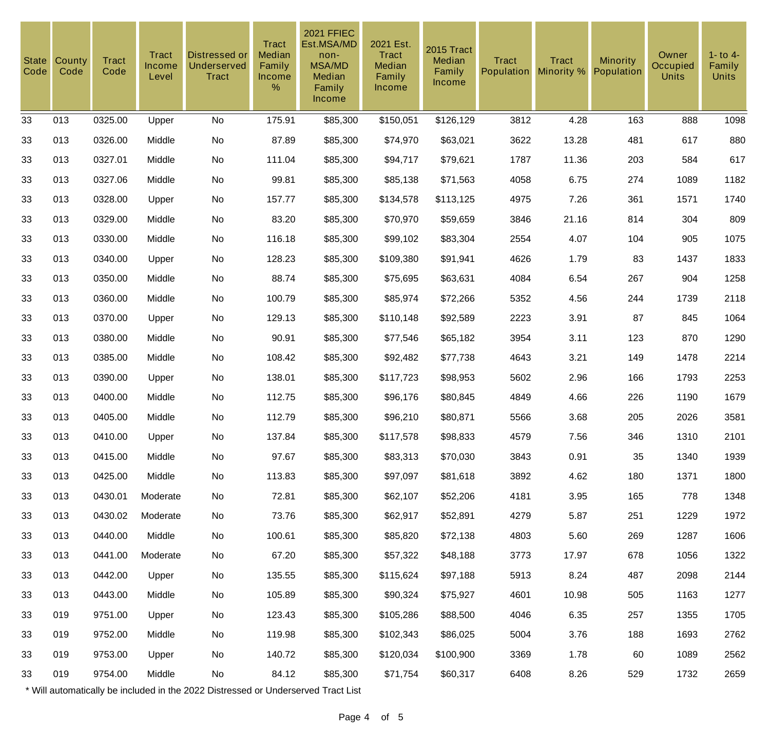| <b>State</b><br>Code | County<br>Code | <b>Tract</b><br>Code | Tract<br>Income<br>Level | <b>Distressed or</b><br><b>Underserved</b><br><b>Tract</b> | <b>Tract</b><br>Median<br>Family<br>Income<br>% | <b>2021 FFIEC</b><br>Est.MSA/MD<br>non-<br><b>MSA/MD</b><br>Median<br>Family<br>Income | 2021 Est.<br><b>Tract</b><br>Median<br>Family<br>Income | 2015 Tract<br>Median<br>Family<br><b>Income</b> | <b>Tract</b><br><b>Population</b> | <b>Tract</b><br>Minority % | <b>Minority</b><br>Population | Owner<br><b>Occupied</b><br><b>Units</b> | $1 -$ to $4 -$<br>Family<br><b>Units</b> |
|----------------------|----------------|----------------------|--------------------------|------------------------------------------------------------|-------------------------------------------------|----------------------------------------------------------------------------------------|---------------------------------------------------------|-------------------------------------------------|-----------------------------------|----------------------------|-------------------------------|------------------------------------------|------------------------------------------|
| 33                   | 013            | 0325.00              | Upper                    | No                                                         | 175.91                                          | \$85,300                                                                               | \$150,051                                               | \$126,129                                       | 3812                              | 4.28                       | 163                           | 888                                      | 1098                                     |
| 33                   | 013            | 0326.00              | Middle                   | No                                                         | 87.89                                           | \$85,300                                                                               | \$74,970                                                | \$63,021                                        | 3622                              | 13.28                      | 481                           | 617                                      | 880                                      |
| 33                   | 013            | 0327.01              | Middle                   | No                                                         | 111.04                                          | \$85,300                                                                               | \$94,717                                                | \$79,621                                        | 1787                              | 11.36                      | 203                           | 584                                      | 617                                      |
| 33                   | 013            | 0327.06              | Middle                   | No                                                         | 99.81                                           | \$85,300                                                                               | \$85,138                                                | \$71,563                                        | 4058                              | 6.75                       | 274                           | 1089                                     | 1182                                     |
| 33                   | 013            | 0328.00              | Upper                    | No                                                         | 157.77                                          | \$85,300                                                                               | \$134,578                                               | \$113,125                                       | 4975                              | 7.26                       | 361                           | 1571                                     | 1740                                     |
| 33                   | 013            | 0329.00              | Middle                   | No                                                         | 83.20                                           | \$85,300                                                                               | \$70,970                                                | \$59,659                                        | 3846                              | 21.16                      | 814                           | 304                                      | 809                                      |
| 33                   | 013            | 0330.00              | Middle                   | No                                                         | 116.18                                          | \$85,300                                                                               | \$99,102                                                | \$83,304                                        | 2554                              | 4.07                       | 104                           | 905                                      | 1075                                     |
| 33                   | 013            | 0340.00              | Upper                    | No                                                         | 128.23                                          | \$85,300                                                                               | \$109,380                                               | \$91,941                                        | 4626                              | 1.79                       | 83                            | 1437                                     | 1833                                     |
| 33                   | 013            | 0350.00              | Middle                   | No                                                         | 88.74                                           | \$85,300                                                                               | \$75,695                                                | \$63,631                                        | 4084                              | 6.54                       | 267                           | 904                                      | 1258                                     |
| 33                   | 013            | 0360.00              | Middle                   | No                                                         | 100.79                                          | \$85,300                                                                               | \$85,974                                                | \$72,266                                        | 5352                              | 4.56                       | 244                           | 1739                                     | 2118                                     |
| 33                   | 013            | 0370.00              | Upper                    | No                                                         | 129.13                                          | \$85,300                                                                               | \$110,148                                               | \$92,589                                        | 2223                              | 3.91                       | 87                            | 845                                      | 1064                                     |
| 33                   | 013            | 0380.00              | Middle                   | No                                                         | 90.91                                           | \$85,300                                                                               | \$77,546                                                | \$65,182                                        | 3954                              | 3.11                       | 123                           | 870                                      | 1290                                     |
| 33                   | 013            | 0385.00              | Middle                   | No                                                         | 108.42                                          | \$85,300                                                                               | \$92,482                                                | \$77,738                                        | 4643                              | 3.21                       | 149                           | 1478                                     | 2214                                     |
| 33                   | 013            | 0390.00              | Upper                    | No                                                         | 138.01                                          | \$85,300                                                                               | \$117,723                                               | \$98,953                                        | 5602                              | 2.96                       | 166                           | 1793                                     | 2253                                     |
| 33                   | 013            | 0400.00              | Middle                   | No                                                         | 112.75                                          | \$85,300                                                                               | \$96,176                                                | \$80,845                                        | 4849                              | 4.66                       | 226                           | 1190                                     | 1679                                     |
| 33                   | 013            | 0405.00              | Middle                   | No                                                         | 112.79                                          | \$85,300                                                                               | \$96,210                                                | \$80,871                                        | 5566                              | 3.68                       | 205                           | 2026                                     | 3581                                     |
| 33                   | 013            | 0410.00              | Upper                    | No                                                         | 137.84                                          | \$85,300                                                                               | \$117,578                                               | \$98,833                                        | 4579                              | 7.56                       | 346                           | 1310                                     | 2101                                     |
| 33                   | 013            | 0415.00              | Middle                   | No                                                         | 97.67                                           | \$85,300                                                                               | \$83,313                                                | \$70,030                                        | 3843                              | 0.91                       | 35                            | 1340                                     | 1939                                     |
| 33                   | 013            | 0425.00              | Middle                   | No                                                         | 113.83                                          | \$85,300                                                                               | \$97,097                                                | \$81,618                                        | 3892                              | 4.62                       | 180                           | 1371                                     | 1800                                     |
| 33                   | 013            | 0430.01              | Moderate                 | No                                                         | 72.81                                           | \$85,300                                                                               | \$62,107                                                | \$52,206                                        | 4181                              | 3.95                       | 165                           | 778                                      | 1348                                     |
| 33                   | 013            | 0430.02              | Moderate                 | No                                                         | 73.76                                           | \$85,300                                                                               | \$62,917                                                | \$52,891                                        | 4279                              | 5.87                       | 251                           | 1229                                     | 1972                                     |
| 33                   | 013            | 0440.00              | Middle                   | No                                                         | 100.61                                          | \$85,300                                                                               | \$85,820                                                | \$72,138                                        | 4803                              | 5.60                       | 269                           | 1287                                     | 1606                                     |
| 33                   | 013            | 0441.00              | Moderate                 | No                                                         | 67.20                                           | \$85,300                                                                               | \$57,322                                                | \$48,188                                        | 3773                              | 17.97                      | 678                           | 1056                                     | 1322                                     |
| 33                   | 013            | 0442.00              | Upper                    | No                                                         | 135.55                                          | \$85,300                                                                               | \$115,624                                               | \$97,188                                        | 5913                              | 8.24                       | 487                           | 2098                                     | 2144                                     |
| 33                   | 013            | 0443.00              | Middle                   | No                                                         | 105.89                                          | \$85,300                                                                               | \$90,324                                                | \$75,927                                        | 4601                              | 10.98                      | 505                           | 1163                                     | 1277                                     |
| 33                   | 019            | 9751.00              | Upper                    | No                                                         | 123.43                                          | \$85,300                                                                               | \$105,286                                               | \$88,500                                        | 4046                              | 6.35                       | 257                           | 1355                                     | 1705                                     |
| 33                   | 019            | 9752.00              | Middle                   | No                                                         | 119.98                                          | \$85,300                                                                               | \$102,343                                               | \$86,025                                        | 5004                              | 3.76                       | 188                           | 1693                                     | 2762                                     |
| 33                   | 019            | 9753.00              | Upper                    | No                                                         | 140.72                                          | \$85,300                                                                               | \$120,034                                               | \$100,900                                       | 3369                              | 1.78                       | 60                            | 1089                                     | 2562                                     |
| 33                   | 019            | 9754.00              | Middle                   | No                                                         | 84.12                                           | \$85,300                                                                               | \$71,754                                                | \$60,317                                        | 6408                              | 8.26                       | 529                           | 1732                                     | 2659                                     |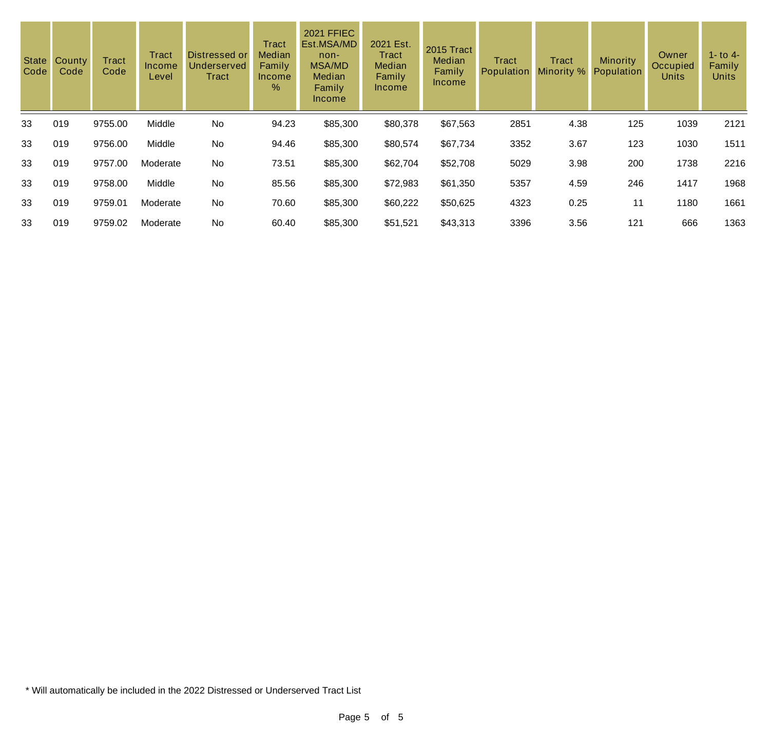| State<br>Code | County<br>Code | <b>Tract</b><br>Code | <b>Tract</b><br>Income<br>Level | Distressed or<br><b>Underserved</b><br>Tract | Tract<br><b>Median</b><br>Family<br>Income<br>% | <b>2021 FFIEC</b><br>Est.MSA/MD<br>$non-$<br><b>MSA/MD</b><br>Median<br>Family<br><b>Income</b> | 2021 Est.<br>Tract<br>Median<br>Family<br><b>Income</b> | 2015 Tract<br>Median<br>Family<br><b>Income</b> | Tract<br>Population | Tract<br>Minority % | <b>Minority</b><br>Population | Owner<br>Occupied<br><b>Units</b> | $1 -$ to $4 -$<br>Family<br><b>Units</b> |
|---------------|----------------|----------------------|---------------------------------|----------------------------------------------|-------------------------------------------------|-------------------------------------------------------------------------------------------------|---------------------------------------------------------|-------------------------------------------------|---------------------|---------------------|-------------------------------|-----------------------------------|------------------------------------------|
| 33            | 019            | 9755.00              | Middle                          | No                                           | 94.23                                           | \$85,300                                                                                        | \$80,378                                                | \$67,563                                        | 2851                | 4.38                | 125                           | 1039                              | 2121                                     |
| 33            | 019            | 9756.00              | Middle                          | No                                           | 94.46                                           | \$85,300                                                                                        | \$80,574                                                | \$67,734                                        | 3352                | 3.67                | 123                           | 1030                              | 1511                                     |
| 33            | 019            | 9757.00              | Moderate                        | No                                           | 73.51                                           | \$85,300                                                                                        | \$62,704                                                | \$52,708                                        | 5029                | 3.98                | 200                           | 1738                              | 2216                                     |
| 33            | 019            | 9758.00              | Middle                          | No                                           | 85.56                                           | \$85,300                                                                                        | \$72,983                                                | \$61,350                                        | 5357                | 4.59                | 246                           | 1417                              | 1968                                     |
| 33            | 019            | 9759.01              | Moderate                        | No                                           | 70.60                                           | \$85,300                                                                                        | \$60,222                                                | \$50,625                                        | 4323                | 0.25                | 11                            | 1180                              | 1661                                     |
| 33            | 019            | 9759.02              | Moderate                        | No                                           | 60.40                                           | \$85,300                                                                                        | \$51,521                                                | \$43,313                                        | 3396                | 3.56                | 121                           | 666                               | 1363                                     |